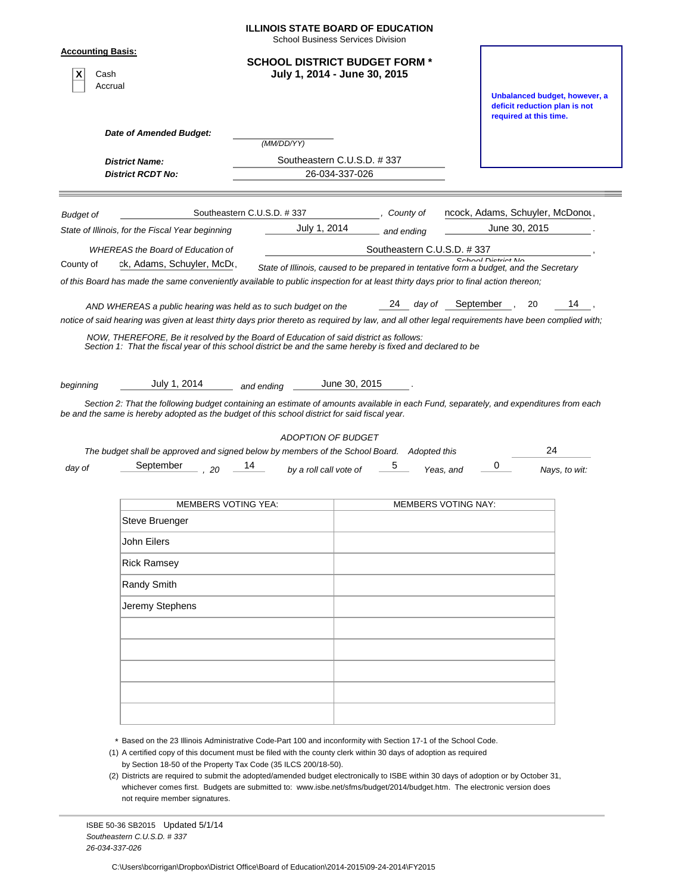|                                  |                                                                                                                                                                                                                                                        | <b>School Business Services Division</b>                                               |                            |                            |                                                         |                               |
|----------------------------------|--------------------------------------------------------------------------------------------------------------------------------------------------------------------------------------------------------------------------------------------------------|----------------------------------------------------------------------------------------|----------------------------|----------------------------|---------------------------------------------------------|-------------------------------|
| <b>Accounting Basis:</b><br>Cash | Accrual                                                                                                                                                                                                                                                | <b>SCHOOL DISTRICT BUDGET FORM *</b><br>July 1, 2014 - June 30, 2015                   |                            |                            |                                                         | Unbalanced budget, however, a |
|                                  | Date of Amended Budget:                                                                                                                                                                                                                                |                                                                                        |                            |                            | deficit reduction plan is not<br>required at this time. |                               |
|                                  |                                                                                                                                                                                                                                                        | (MM/DD/YY)                                                                             |                            |                            |                                                         |                               |
|                                  | <b>District Name:</b><br><b>District RCDT No:</b>                                                                                                                                                                                                      | Southeastern C.U.S.D. #337<br>26-034-337-026                                           |                            |                            |                                                         |                               |
|                                  |                                                                                                                                                                                                                                                        |                                                                                        |                            |                            |                                                         |                               |
| <b>Budget of</b>                 |                                                                                                                                                                                                                                                        | Southeastern C.U.S.D. #337                                                             | County of                  |                            | ncock, Adams, Schuyler, McDonot,                        |                               |
|                                  | State of Illinois, for the Fiscal Year beginning                                                                                                                                                                                                       | July 1, 2014                                                                           | and ending                 |                            | June 30, 2015                                           |                               |
|                                  | <b>WHEREAS the Board of Education of</b>                                                                                                                                                                                                               |                                                                                        | Southeastern C.U.S.D. #337 |                            |                                                         |                               |
| County of                        | ck, Adams, Schuyler, McDo,                                                                                                                                                                                                                             | State of Illinois, caused to be prepared in tentative form a budget, and the Secretary |                            |                            | Cohool Diotriot Mo                                      |                               |
|                                  | of this Board has made the same conveniently available to public inspection for at least thirty days prior to final action thereon;                                                                                                                    |                                                                                        |                            |                            |                                                         |                               |
|                                  | AND WHEREAS a public hearing was held as to such budget on the                                                                                                                                                                                         |                                                                                        | 24 day of                  | September,                 | 20                                                      | 14                            |
|                                  | notice of said hearing was given at least thirty days prior thereto as required by law, and all other legal requirements have been complied with;                                                                                                      |                                                                                        |                            |                            |                                                         |                               |
|                                  | July 1, 2014<br>Section 2: That the following budget containing an estimate of amounts available in each Fund, separately, and expenditures from each<br>be and the same is hereby adopted as the budget of this school district for said fiscal year. | June 30, 2015<br>and ending ______                                                     |                            |                            |                                                         |                               |
|                                  | The budget shall be approved and signed below by members of the School Board. Adopted this                                                                                                                                                             | <b>ADOPTION OF BUDGET</b>                                                              |                            |                            |                                                         | 24                            |
|                                  | September<br>.20                                                                                                                                                                                                                                       | 14<br>by a roll call vote of                                                           |                            | Yeas, and                  | 0                                                       | Nays, to wit:                 |
|                                  | <b>MEMBERS VOTING YEA:</b>                                                                                                                                                                                                                             |                                                                                        |                            | <b>MEMBERS VOTING NAY:</b> |                                                         |                               |
| beginning<br>day of              | Steve Bruenger                                                                                                                                                                                                                                         |                                                                                        |                            |                            |                                                         |                               |
|                                  | John Eilers                                                                                                                                                                                                                                            |                                                                                        |                            |                            |                                                         |                               |
|                                  | <b>Rick Ramsey</b>                                                                                                                                                                                                                                     |                                                                                        |                            |                            |                                                         |                               |
|                                  | <b>Randy Smith</b>                                                                                                                                                                                                                                     |                                                                                        |                            |                            |                                                         |                               |
|                                  | Jeremy Stephens                                                                                                                                                                                                                                        |                                                                                        |                            |                            |                                                         |                               |
|                                  |                                                                                                                                                                                                                                                        |                                                                                        |                            |                            |                                                         |                               |
|                                  |                                                                                                                                                                                                                                                        |                                                                                        |                            |                            |                                                         |                               |
|                                  |                                                                                                                                                                                                                                                        |                                                                                        |                            |                            |                                                         |                               |
|                                  |                                                                                                                                                                                                                                                        |                                                                                        |                            |                            |                                                         |                               |
|                                  |                                                                                                                                                                                                                                                        |                                                                                        |                            |                            |                                                         |                               |
|                                  |                                                                                                                                                                                                                                                        |                                                                                        |                            |                            |                                                         |                               |

(2) Districts are required to submit the adopted/amended budget electronically to ISBE within 30 days of adoption or by October 31, whichever comes first. Budgets are submitted to: www.isbe.net/sfms/budget/2014/budget.htm. The electronic version does not require member signatures.

ISBE 50-36 SB2015 Updated 5/1/14 *Southeastern C.U.S.D. # 337 26-034-337-026*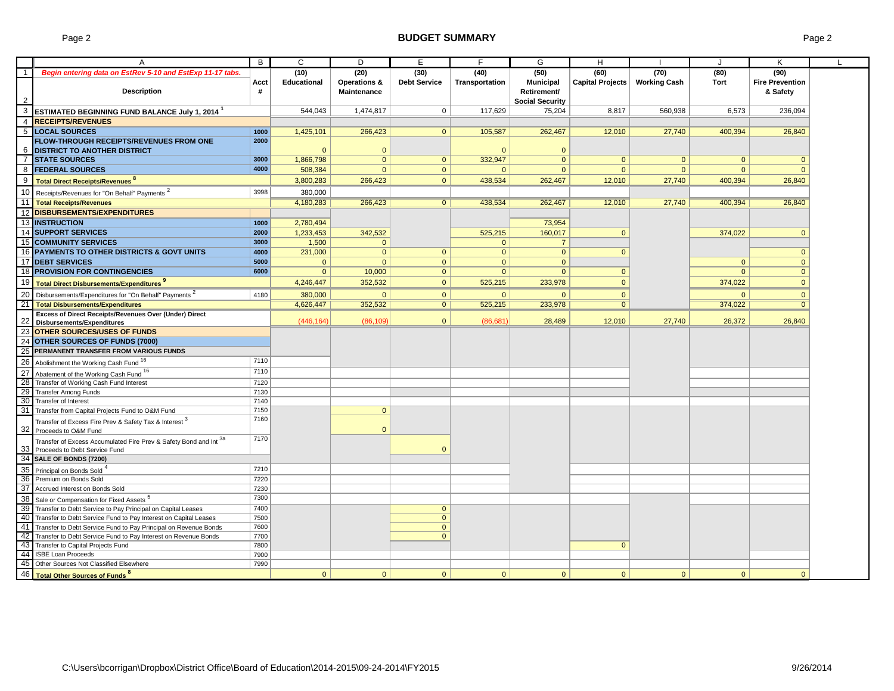### Page 2 **BUDGET SUMMARY Page 2 BUDGET SUMMARY**

|                | A                                                                                                     | B    | C                  | D              | E                   | F              | G                      | H                |                     | $\cdot$      | K                      |  |
|----------------|-------------------------------------------------------------------------------------------------------|------|--------------------|----------------|---------------------|----------------|------------------------|------------------|---------------------|--------------|------------------------|--|
|                |                                                                                                       |      |                    |                |                     |                |                        |                  |                     |              |                        |  |
| $\overline{1}$ | Begin entering data on EstRev 5-10 and EstExp 11-17 tabs.                                             |      | (10)               | (20)           | (30)                | (40)           | (50)                   | (60)             | (70)                | (80)         | (90)                   |  |
|                |                                                                                                       | Acct | <b>Educational</b> | Operations &   | <b>Debt Service</b> | Transportation | <b>Municipal</b>       | Capital Projects | <b>Working Cash</b> | <b>Tort</b>  | <b>Fire Prevention</b> |  |
|                | <b>Description</b>                                                                                    | #    |                    | Maintenance    |                     |                | Retirement/            |                  |                     |              | & Safety               |  |
| $\overline{2}$ |                                                                                                       |      |                    |                |                     |                | <b>Social Security</b> |                  |                     |              |                        |  |
|                | 3 ESTIMATED BEGINNING FUND BALANCE July 1, 2014 <sup>1</sup>                                          |      | 544,043            | 1,474,817      | $\mathbf 0$         | 117,629        | 75,204                 | 8,817            | 560,938             | 6,573        | 236,094                |  |
|                | 4 RECEIPTS/REVENUES                                                                                   |      |                    |                |                     |                |                        |                  |                     |              |                        |  |
|                | 5 LOCAL SOURCES                                                                                       | 1000 | 1,425,101          | 266,423        | $\overline{0}$      | 105,587        | 262,467                | 12,010           | 27,740              | 400,394      | 26,840                 |  |
|                | <b>FLOW-THROUGH RECEIPTS/REVENUES FROM ONE</b>                                                        | 2000 |                    |                |                     |                |                        |                  |                     |              |                        |  |
| 6              | <b>DISTRICT TO ANOTHER DISTRICT</b>                                                                   |      | $\mathbf{0}$       | $\overline{0}$ |                     | $\mathbf{0}$   | $\Omega$               |                  |                     |              |                        |  |
| $\overline{7}$ | <b>STATE SOURCES</b>                                                                                  | 3000 | 1,866,798          | $\overline{0}$ | $\mathbf{0}$        | 332,947        | $\Omega$               | $\mathbf{0}$     | $\mathbf{0}$        | $\Omega$     | $\mathbf{0}$           |  |
| 8              | <b>FEDERAL SOURCES</b>                                                                                | 4000 | 508,384            | $\Omega$       | $\overline{0}$      | $\mathbf{0}$   | $\Omega$               | $\mathbf{0}$     | $\mathbf{0}$        | $\Omega$     | $\mathbf{0}$           |  |
| 9              |                                                                                                       |      |                    | 266,423        | $\overline{0}$      |                |                        | 12,010           |                     |              | 26,840                 |  |
|                | Total Direct Receipts/Revenues <sup>8</sup>                                                           |      | 3,800,283          |                |                     | 438,534        | 262,467                |                  | 27,740              | 400,394      |                        |  |
|                | 10 Receipts/Revenues for "On Behalf" Payments <sup>2</sup>                                            | 3998 | 380,000            |                |                     |                |                        |                  |                     |              |                        |  |
|                | 11   Total Receipts/Revenues                                                                          |      | 4,180,283          | 266,423        | $\overline{0}$      | 438,534        | 262.467                | 12,010           | 27,740              | 400,394      | 26,840                 |  |
|                | 12 DISBURSEMENTS/EXPENDITURES                                                                         |      |                    |                |                     |                |                        |                  |                     |              |                        |  |
|                | <b>13 INSTRUCTION</b>                                                                                 | 1000 | 2,780,494          |                |                     |                | 73,954                 |                  |                     |              |                        |  |
|                | 14 SUPPORT SERVICES                                                                                   | 2000 | 1,233,453          | 342,532        |                     | 525,215        | 160,017                | $\mathbf{0}$     |                     | 374,022      | $\mathbf{0}$           |  |
|                | <b>15 COMMUNITY SERVICES</b>                                                                          | 3000 | 1,500              | $\Omega$       |                     | $\overline{0}$ | $\overline{7}$         |                  |                     |              |                        |  |
|                | 16 PAYMENTS TO OTHER DISTRICTS & GOVT UNITS                                                           | 4000 | 231,000            | $\mathbf{0}$   | $\overline{0}$      | $\mathbf{0}$   | $\mathbf{0}$           | $\mathbf{0}$     |                     |              | $\overline{0}$         |  |
|                | 17 <b>IDEBT SERVICES</b>                                                                              | 5000 | $\mathbf{0}$       | $\Omega$       | $\overline{0}$      | $\mathbf{0}$   | $\mathbf{0}$           |                  |                     | $\mathbf{0}$ | $\mathbf{0}$           |  |
|                | 18 <b>PROVISION FOR CONTINGENCIES</b>                                                                 | 6000 | $\mathbf{0}$       | 10.000         | $\overline{0}$      | $\Omega$       | $\Omega$               | $\mathbf{0}$     |                     | $\Omega$     | $\overline{0}$         |  |
|                | 19 Total Direct Disbursements/Expenditures <sup>9</sup>                                               |      | 4,246,447          | 352.532        | $\mathbf{0}$        | 525,215        | 233.978                | $\mathbf{0}$     |                     | 374,022      | $\mathbf{0}$           |  |
|                | 20 Disbursements/Expenditures for "On Behalf" Payments <sup>2</sup>                                   | 4180 | 380,000            | $\Omega$       | $\mathbf{0}$        | $\overline{0}$ | $\Omega$               | $\mathbf{0}$     |                     | $\Omega$     | $\mathbf{0}$           |  |
|                |                                                                                                       |      |                    |                |                     |                |                        |                  |                     |              |                        |  |
|                | 21 Total Disbursements/Expenditures                                                                   |      | 4,626,447          | 352,532        | $\overline{0}$      | 525,215        | 233,978                | $\mathbf{0}$     |                     | 374,022      | $\overline{0}$         |  |
| 22             | <b>Excess of Direct Receipts/Revenues Over (Under) Direct</b><br><b>Disbursements/Expenditures</b>    |      | (446, 164)         | (86, 109)      | $\Omega$            | (86, 681)      | 28,489                 | 12,010           | 27,740              | 26,372       | 26,840                 |  |
|                | 23 OTHER SOURCES/USES OF FUNDS                                                                        |      |                    |                |                     |                |                        |                  |                     |              |                        |  |
| 24             | <b>OTHER SOURCES OF FUNDS (7000)</b>                                                                  |      |                    |                |                     |                |                        |                  |                     |              |                        |  |
| 25             | PERMANENT TRANSFER FROM VARIOUS FUNDS                                                                 |      |                    |                |                     |                |                        |                  |                     |              |                        |  |
|                |                                                                                                       | 7110 |                    |                |                     |                |                        |                  |                     |              |                        |  |
|                | 26 Abolishment the Working Cash Fund 16                                                               |      |                    |                |                     |                |                        |                  |                     |              |                        |  |
|                | 27 Abatement of the Working Cash Fund 16                                                              | 7110 |                    |                |                     |                |                        |                  |                     |              |                        |  |
| 28             | Transfer of Working Cash Fund Interest                                                                | 7120 |                    |                |                     |                |                        |                  |                     |              |                        |  |
|                | 29 Transfer Among Funds                                                                               | 7130 |                    |                |                     |                |                        |                  |                     |              |                        |  |
|                | 30 Transfer of Interest                                                                               | 7140 |                    |                |                     |                |                        |                  |                     |              |                        |  |
|                | 31 Transfer from Capital Projects Fund to O&M Fund                                                    | 7150 |                    | $\mathbf{0}$   |                     |                |                        |                  |                     |              |                        |  |
|                | Transfer of Excess Fire Prev & Safety Tax & Interest <sup>3</sup><br>32 Proceeds to O&M Fund          | 7160 |                    | $\Omega$       |                     |                |                        |                  |                     |              |                        |  |
|                | Transfer of Excess Accumulated Fire Prev & Safety Bond and Int 3a<br>33 Proceeds to Debt Service Fund | 7170 |                    |                | $\Omega$            |                |                        |                  |                     |              |                        |  |
|                | 34 SALE OF BONDS (7200)                                                                               |      |                    |                |                     |                |                        |                  |                     |              |                        |  |
|                | 35 Principal on Bonds Sold                                                                            | 7210 |                    |                |                     |                |                        |                  |                     |              |                        |  |
|                | 36 Premium on Bonds Sold                                                                              | 7220 |                    |                |                     |                |                        |                  |                     |              |                        |  |
|                | 37 Accrued Interest on Bonds Sold                                                                     | 7230 |                    |                |                     |                |                        |                  |                     |              |                        |  |
|                | 38 Sale or Compensation for Fixed Assets <sup>5</sup>                                                 | 7300 |                    |                |                     |                |                        |                  |                     |              |                        |  |
|                | 39 Transfer to Debt Service to Pay Principal on Capital Leases                                        | 7400 |                    |                | $\overline{0}$      |                |                        |                  |                     |              |                        |  |
|                | 40 Transfer to Debt Service Fund to Pay Interest on Capital Leases                                    | 7500 |                    |                | $\overline{0}$      |                |                        |                  |                     |              |                        |  |
|                | 41 Transfer to Debt Service Fund to Pay Principal on Revenue Bonds                                    | 7600 |                    |                | $\mathbf{0}$        |                |                        |                  |                     |              |                        |  |
| 42             | Transfer to Debt Service Fund to Pay Interest on Revenue Bonds                                        | 7700 |                    |                | $\overline{0}$      |                |                        |                  |                     |              |                        |  |
| 43             | Transfer to Capital Projects Fund                                                                     | 7800 |                    |                |                     |                |                        | $\mathbf{0}$     |                     |              |                        |  |
|                | 44 ISBE Loan Proceeds                                                                                 | 7900 |                    |                |                     |                |                        |                  |                     |              |                        |  |
|                | 45 Other Sources Not Classified Elsewhere                                                             | 7990 |                    |                |                     |                |                        |                  |                     |              |                        |  |
|                | 46 Total Other Sources of Funds <sup>8</sup>                                                          |      | $\overline{0}$     | $\mathbf{0}$   | $\mathbf{0}$        | $\mathbf{0}$   | $\Omega$               | $\overline{0}$   | $\overline{0}$      | $\Omega$     | $\mathbf{0}$           |  |
|                |                                                                                                       |      |                    |                |                     |                |                        |                  |                     |              |                        |  |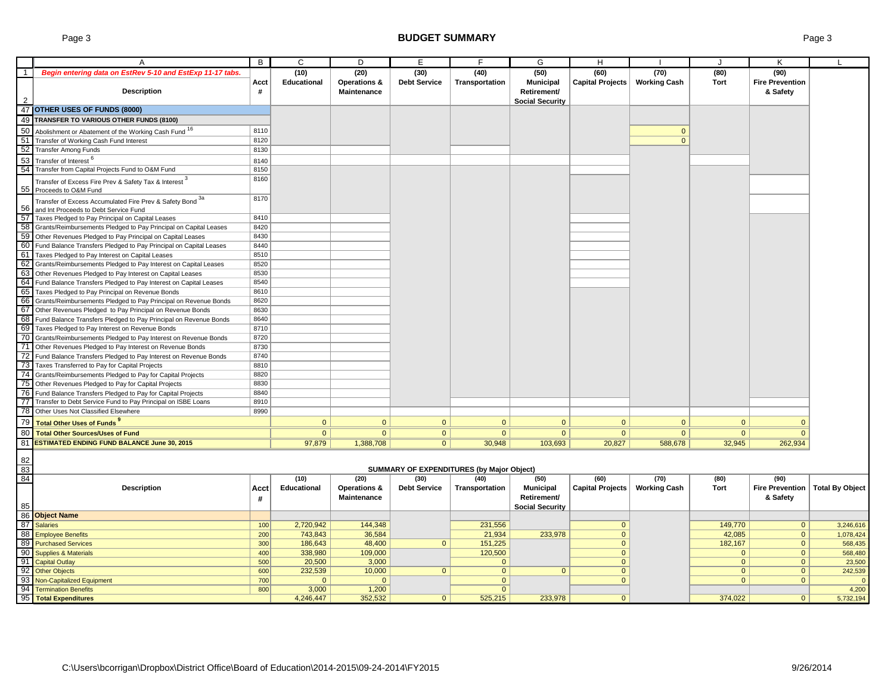|                | A                                                                                                     | B          | C              | D                       | E                   |                                                  | G                      | H                       |                     |                | K                              |                        |
|----------------|-------------------------------------------------------------------------------------------------------|------------|----------------|-------------------------|---------------------|--------------------------------------------------|------------------------|-------------------------|---------------------|----------------|--------------------------------|------------------------|
| $\overline{1}$ | Begin entering data on EstRev 5-10 and EstExp 11-17 tabs.                                             |            | (10)           | (20)                    | (30)                | (40)                                             | (50)                   | (60)                    | (70)                | (80)           | (90)                           |                        |
|                |                                                                                                       | Acct       | Educational    | <b>Operations &amp;</b> | <b>Debt Service</b> | Transportation                                   | <b>Municipal</b>       | Capital Projects        | <b>Working Cash</b> | <b>Tort</b>    | <b>Fire Prevention</b>         |                        |
|                | <b>Description</b>                                                                                    | #          |                | <b>Maintenance</b>      |                     |                                                  | Retirement/            |                         |                     |                | & Safety                       |                        |
|                |                                                                                                       |            |                |                         |                     |                                                  | <b>Social Security</b> |                         |                     |                |                                |                        |
|                | 47 OTHER USES OF FUNDS (8000)                                                                         |            |                |                         |                     |                                                  |                        |                         |                     |                |                                |                        |
|                | 49 TRANSFER TO VARIOUS OTHER FUNDS (8100)                                                             |            |                |                         |                     |                                                  |                        |                         |                     |                |                                |                        |
|                | 50 Abolishment or Abatement of the Working Cash Fund 16                                               | 8110       |                |                         |                     |                                                  |                        |                         | $\overline{0}$      |                |                                |                        |
|                | 51 Transfer of Working Cash Fund Interest                                                             | 8120       |                |                         |                     |                                                  |                        |                         | $\mathbf{0}$        |                |                                |                        |
|                | 52 Transfer Among Funds                                                                               | 8130       |                |                         |                     |                                                  |                        |                         |                     |                |                                |                        |
| 53             | Transfer of Interest <sup>6</sup>                                                                     | 8140       |                |                         |                     |                                                  |                        |                         |                     |                |                                |                        |
|                | 54 Transfer from Capital Projects Fund to O&M Fund                                                    | 8150       |                |                         |                     |                                                  |                        |                         |                     |                |                                |                        |
|                | Transfer of Excess Fire Prev & Safety Tax & Interest <sup>3</sup><br>55 Proceeds to O&M Fund          | 8160       |                |                         |                     |                                                  |                        |                         |                     |                |                                |                        |
|                | Transfer of Excess Accumulated Fire Prev & Safety Bond 3a<br>56 and Int Proceeds to Debt Service Fund | 8170       |                |                         |                     |                                                  |                        |                         |                     |                |                                |                        |
|                | 57 Taxes Pledged to Pay Principal on Capital Leases                                                   | 8410       |                |                         |                     |                                                  |                        |                         |                     |                |                                |                        |
|                | 58 Grants/Reimbursements Pledged to Pay Principal on Capital Leases                                   | 8420       |                |                         |                     |                                                  |                        |                         |                     |                |                                |                        |
|                | 59 Other Revenues Pledged to Pay Principal on Capital Leases                                          | 8430       |                |                         |                     |                                                  |                        |                         |                     |                |                                |                        |
|                | 60 Fund Balance Transfers Pledged to Pay Principal on Capital Leases                                  | 8440       |                |                         |                     |                                                  |                        |                         |                     |                |                                |                        |
|                | 61 Taxes Pledged to Pay Interest on Capital Leases                                                    | 8510       |                |                         |                     |                                                  |                        |                         |                     |                |                                |                        |
|                | 62 Grants/Reimbursements Pledged to Pay Interest on Capital Leases                                    | 8520       |                |                         |                     |                                                  |                        |                         |                     |                |                                |                        |
| 63             | Other Revenues Pledged to Pay Interest on Capital Leases                                              | 8530       |                |                         |                     |                                                  |                        |                         |                     |                |                                |                        |
|                | 64 Fund Balance Transfers Pledged to Pay Interest on Capital Leases                                   | 8540       |                |                         |                     |                                                  |                        |                         |                     |                |                                |                        |
| 65             | Taxes Pledged to Pay Principal on Revenue Bonds                                                       | 8610       |                |                         |                     |                                                  |                        |                         |                     |                |                                |                        |
|                | 66 Grants/Reimbursements Pledged to Pay Principal on Revenue Bonds                                    | 8620       |                |                         |                     |                                                  |                        |                         |                     |                |                                |                        |
|                | 67 Other Revenues Pledged to Pay Principal on Revenue Bonds                                           | 8630       |                |                         |                     |                                                  |                        |                         |                     |                |                                |                        |
|                | 68 Fund Balance Transfers Pledged to Pay Principal on Revenue Bonds                                   | 8640       |                |                         |                     |                                                  |                        |                         |                     |                |                                |                        |
|                | 69 Taxes Pledged to Pay Interest on Revenue Bonds                                                     | 8710       |                |                         |                     |                                                  |                        |                         |                     |                |                                |                        |
|                | 70 Grants/Reimbursements Pledged to Pay Interest on Revenue Bonds                                     | 8720       |                |                         |                     |                                                  |                        |                         |                     |                |                                |                        |
|                | 71 Other Revenues Pledged to Pay Interest on Revenue Bonds                                            | 8730       |                |                         |                     |                                                  |                        |                         |                     |                |                                |                        |
|                | 72 Fund Balance Transfers Pledged to Pay Interest on Revenue Bonds                                    | 8740       |                |                         |                     |                                                  |                        |                         |                     |                |                                |                        |
|                | 73 Taxes Transferred to Pay for Capital Projects                                                      | 8810       |                |                         |                     |                                                  |                        |                         |                     |                |                                |                        |
|                | 74 Grants/Reimbursements Pledged to Pay for Capital Projects                                          | 8820       |                |                         |                     |                                                  |                        |                         |                     |                |                                |                        |
|                | 75 Other Revenues Pledged to Pay for Capital Projects                                                 | 8830       |                |                         |                     |                                                  |                        |                         |                     |                |                                |                        |
|                | 76 Fund Balance Transfers Pledged to Pay for Capital Projects                                         | 8840       |                |                         |                     |                                                  |                        |                         |                     |                |                                |                        |
|                | 77 Transfer to Debt Service Fund to Pay Principal on ISBE Loans                                       | 8910       |                |                         |                     |                                                  |                        |                         |                     |                |                                |                        |
|                | 78 Other Uses Not Classified Elsewhere                                                                | 8990       |                |                         |                     |                                                  |                        |                         |                     |                |                                |                        |
|                | 79 Total Other Uses of Funds <sup>9</sup>                                                             |            | $\mathbf{0}$   | $\mathbf{0}$            | $\mathbf{0}$        | $\mathbf{0}$                                     | $\mathbf{0}$           | $\mathbf{0}$            | $\mathbf{0}$        | $\mathbf{0}$   | $\Omega$                       |                        |
|                | 80 Total Other Sources/Uses of Fund                                                                   |            | $\overline{0}$ | $\overline{0}$          | $\mathbf{0}$        | $\mathbf{0}$                                     | $\mathbf{0}$           | $\mathbf{0}$            | 0                   | $\overline{0}$ | $\mathbf{0}$                   |                        |
|                | 81 ESTIMATED ENDING FUND BALANCE June 30, 2015                                                        |            | 97,879         | 1,388,708               | $\overline{0}$      | 30,948                                           | 103,693                | 20,827                  | 588,678             | 32,945         | 262,934                        |                        |
|                |                                                                                                       |            |                |                         |                     |                                                  |                        |                         |                     |                |                                |                        |
| 82             |                                                                                                       |            |                |                         |                     |                                                  |                        |                         |                     |                |                                |                        |
| 83             |                                                                                                       |            |                |                         |                     | <b>SUMMARY OF EXPENDITURES (by Major Object)</b> |                        |                         |                     |                |                                |                        |
| 84             |                                                                                                       |            | (10)           | (20)                    | (30)                | (40)                                             | (50)                   | (60)                    | (70)                | (80)           | (90)                           |                        |
|                | <b>Description</b>                                                                                    | Acct       | Educational    | Operations &            | <b>Debt Service</b> | Transportation                                   | <b>Municipal</b>       | <b>Capital Projects</b> | <b>Working Cash</b> | <b>Tort</b>    | <b>Fire Prevention</b>         | <b>Total By Object</b> |
| 85             |                                                                                                       | #          |                | Maintenance             |                     |                                                  | Retirement/            |                         |                     |                | & Safety                       |                        |
|                | 86 Object Name                                                                                        |            |                |                         |                     |                                                  | <b>Social Security</b> |                         |                     |                |                                |                        |
|                | 87 Salaries                                                                                           |            | 2,720,942      | 144,348                 |                     |                                                  |                        | $\mathbf{0}$            |                     | 149,770        |                                |                        |
|                | 88 Employee Benefits                                                                                  | 100<br>200 | 743,843        | 36,584                  |                     | 231,556<br>21,934                                | 233,978                | $\mathbf{0}$            |                     | 42,085         | $\mathbf{0}$<br>$\overline{0}$ | 3,246,616              |
|                | 89 Purchased Services                                                                                 | 300        | 186,643        | 48,400                  | $\mathbf{0}$        | 151,225                                          |                        | $\mathbf{0}$            |                     | 182,167        | $\overline{0}$                 | 1,078,424<br>568,435   |
|                | 90 Supplies & Materials                                                                               | 400        | 338,980        | 109,000                 |                     | 120,500                                          |                        | $\overline{0}$          |                     | $\overline{0}$ | $\mathbf{0}$                   | 568,480                |
|                | 91 Capital Outlay                                                                                     | 500        | 20,500         | 3,000                   |                     | $\mathbf{0}$                                     |                        | $\mathbf{0}$            |                     | $\mathbf{0}$   | $\mathbf{0}$                   | 23,500                 |
|                | 92 Other Objects                                                                                      | 600        | 232,539        | 10,000                  | $\mathbf{0}$        | $\mathbf{0}$                                     | $\mathbf{0}$           | $\mathbf{0}$            |                     | $\overline{0}$ | $\mathbf{0}$                   | 242,539                |
|                | 93 Non-Capitalized Equipment                                                                          | 700        | $\Omega$       | $\overline{0}$          |                     | $\mathbf{0}$                                     |                        | $\mathbf{0}$            |                     | $\overline{0}$ | $\mathbf{0}$                   | $\Omega$               |
|                | 94 Termination Benefits                                                                               | 800        | 3,000          | 1,200                   |                     | $\mathbf{0}$                                     |                        |                         |                     |                |                                | 4,200                  |
|                | 95 Total Expenditures                                                                                 |            | 4,246,447      | 352,532                 | $\mathbf{0}$        | 525,215                                          | 233,978                | $\overline{0}$          |                     | 374,022        | $\mathbf{0}$                   | 5,732,194              |
|                |                                                                                                       |            |                |                         |                     |                                                  |                        |                         |                     |                |                                |                        |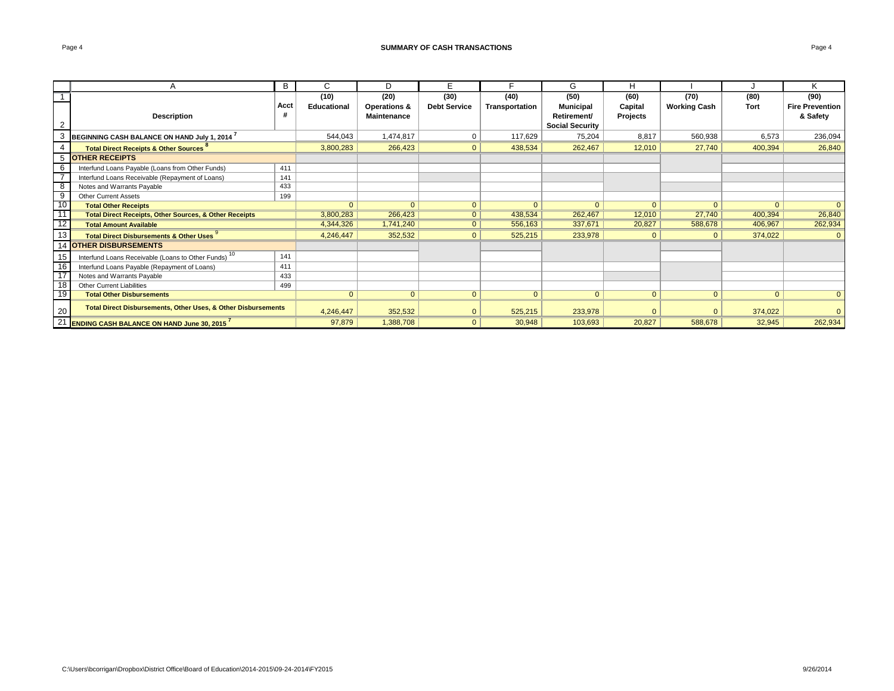#### **SUMMARY OF CASH TRANSACTIONS Page 4 Page 4 Page 4 Page 4 Page 4 Page 4 Page 4 Page 4 Page 4 Page 4 Page 4 Page 4 Page 4 Page 4 Page 4 Page 4 Page 4 Page 4 Page 4 Page 4 Page 4 P**

|                 |                                                                   | B    | C.           | D.                      | F                   |                | G                      | Н              |                     |                |                        |
|-----------------|-------------------------------------------------------------------|------|--------------|-------------------------|---------------------|----------------|------------------------|----------------|---------------------|----------------|------------------------|
|                 |                                                                   |      | (10)         | (20)                    | (30)                | (40)           | (50)                   | (60)           | (70)                | (80)           | (90)                   |
|                 |                                                                   | Acct | Educational  | <b>Operations &amp;</b> | <b>Debt Service</b> | Transportation | <b>Municipal</b>       | Capital        | <b>Working Cash</b> | <b>Tort</b>    | <b>Fire Prevention</b> |
|                 | <b>Description</b>                                                | #    |              | <b>Maintenance</b>      |                     |                | Retirement/            | Projects       |                     |                | & Safety               |
|                 |                                                                   |      |              |                         |                     |                | <b>Social Security</b> |                |                     |                |                        |
|                 | BEGINNING CASH BALANCE ON HAND July 1, 2014                       |      | 544,043      | 1,474,817               | 0                   | 117,629        | 75,204                 | 8,817          | 560,938             | 6,573          | 236,094                |
|                 | <b>Total Direct Receipts &amp; Other Sources</b>                  |      | 3,800,283    | 266,423                 | $\mathbf{0}$        | 438,534        | 262,467                | 12,010         | 27,740              | 400,394        | 26,840                 |
| 5               | <b>OTHER RECEIPTS</b>                                             |      |              |                         |                     |                |                        |                |                     |                |                        |
| 6               | Interfund Loans Payable (Loans from Other Funds)                  | 411  |              |                         |                     |                |                        |                |                     |                |                        |
|                 | Interfund Loans Receivable (Repayment of Loans)                   | 141  |              |                         |                     |                |                        |                |                     |                |                        |
| 8               | Notes and Warrants Payable                                        | 433  |              |                         |                     |                |                        |                |                     |                |                        |
| 9               | <b>Other Current Assets</b>                                       | 199  |              |                         |                     |                |                        |                |                     |                |                        |
| $-10$           | <b>Total Other Receipts</b>                                       |      | $\Omega$     | $\overline{0}$          | $\Omega$            | $\mathbf{0}$   | $\Omega$               | $\Omega$       | $\mathbf{0}$        | $\overline{0}$ | $\Omega$               |
| 11              | <b>Total Direct Receipts, Other Sources, &amp; Other Receipts</b> |      | 3,800,283    | 266,423                 | 0 <sup>1</sup>      | 438,534        | 262,467                | 12,010         | 27,740              | 400,394        | 26,840                 |
| 12              | <b>Total Amount Available</b>                                     |      | 4,344,326    | 1,741,240               | 0                   | 556,163        | 337,671                | 20,827         | 588,678             | 406,967        | 262,934                |
| 13              | <b>Total Direct Disbursements &amp; Other Uses</b>                |      | 4,246,447    | 352,532                 | $\overline{0}$      | 525,215        | 233,978                | $\overline{0}$ | $\mathbf{0}$        | 374,022        | $\Omega$               |
|                 | <b>14 OTHER DISBURSEMENTS</b>                                     |      |              |                         |                     |                |                        |                |                     |                |                        |
| 15              | Interfund Loans Receivable (Loans to Other Funds) <sup>10</sup>   | 141  |              |                         |                     |                |                        |                |                     |                |                        |
|                 | Interfund Loans Payable (Repayment of Loans)                      | 411  |              |                         |                     |                |                        |                |                     |                |                        |
| $\overline{17}$ | Notes and Warrants Payable                                        | 433  |              |                         |                     |                |                        |                |                     |                |                        |
| $\overline{18}$ | <b>Other Current Liabilities</b>                                  | 499  |              |                         |                     |                |                        |                |                     |                |                        |
| - 19            | <b>Total Other Disbursements</b>                                  |      | $\mathbf{0}$ | $\overline{0}$          | $\mathbf{0}$        | $\mathbf{0}$   | $\overline{0}$         | $\mathbf{0}$   | $\overline{0}$      | $\overline{0}$ | $\Omega$               |
| 20              | Total Direct Disbursements, Other Uses, & Other Disbursements     |      | 4,246,447    | 352,532                 | $\Omega$            | 525,215        | 233,978                |                | $\Omega$            | 374,022        |                        |
| 21              | <b>ENDING CASH BALANCE ON HAND June 30, 2015</b>                  |      | 97,879       | 1,388,708               | $\Omega$            | 30,948         | 103,693                | 20,827         | 588,678             | 32,945         | 262,934                |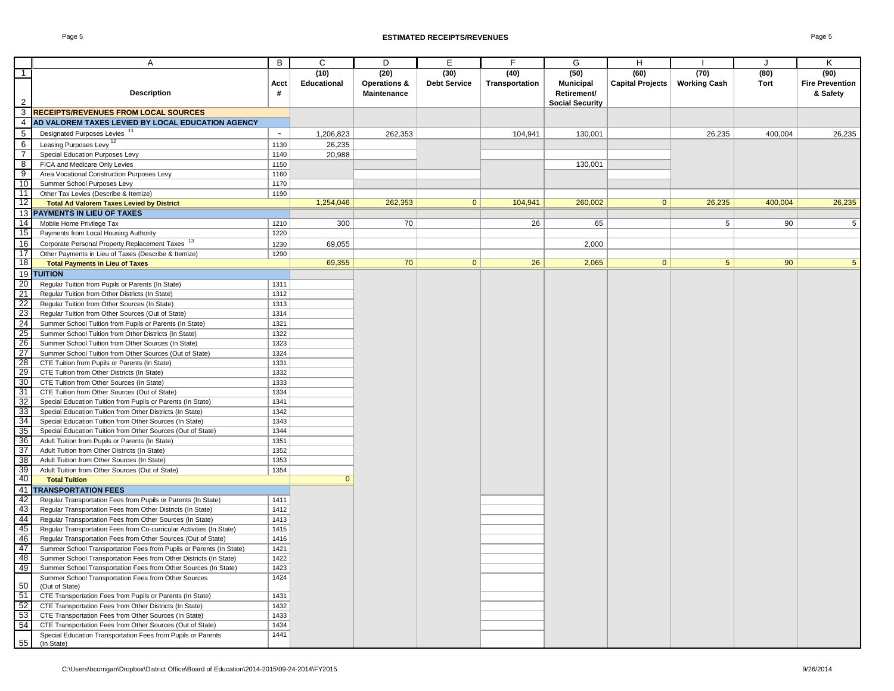#### Page 5 **ESTIMATED RECEIPTS/REVENUES** Page 5

|                                                       | Α                                                                          | В                        | C            | D                       | Е                   | F              | G                      | H                       |                     | IJ      | K                      |
|-------------------------------------------------------|----------------------------------------------------------------------------|--------------------------|--------------|-------------------------|---------------------|----------------|------------------------|-------------------------|---------------------|---------|------------------------|
| $\top$                                                |                                                                            |                          | (10)         | (20)                    | (30)                | (40)           | (50)                   | (60)                    | (70)                | (80)    | (90)                   |
|                                                       |                                                                            | Acct                     | Educational  | <b>Operations &amp;</b> | <b>Debt Service</b> | Transportation | <b>Municipal</b>       | <b>Capital Projects</b> | <b>Working Cash</b> | Tort    | <b>Fire Prevention</b> |
|                                                       | <b>Description</b>                                                         | #                        |              | <b>Maintenance</b>      |                     |                | Retirement/            |                         |                     |         | & Safety               |
| $\overline{2}$                                        |                                                                            |                          |              |                         |                     |                | <b>Social Security</b> |                         |                     |         |                        |
| 3                                                     | <b>RECEIPTS/REVENUES FROM LOCAL SOURCES</b>                                |                          |              |                         |                     |                |                        |                         |                     |         |                        |
| $\overline{4}$                                        | AD VALOREM TAXES LEVIED BY LOCAL EDUCATION AGENCY                          |                          |              |                         |                     |                |                        |                         |                     |         |                        |
| 5                                                     | Designated Purposes Levies <sup>11</sup>                                   | $\overline{\phantom{a}}$ | 1,206,823    | 262,353                 |                     | 104,941        | 130,001                |                         | 26,235              | 400,004 | 26,235                 |
| 6                                                     | Leasing Purposes Levy <sup>12</sup>                                        | 1130                     | 26,235       |                         |                     |                |                        |                         |                     |         |                        |
| $\overline{7}$                                        | Special Education Purposes Levy                                            | 1140                     | 20,988       |                         |                     |                |                        |                         |                     |         |                        |
| $\overline{\mathbf{8}}$                               | FICA and Medicare Only Levies                                              | 1150                     |              |                         |                     |                | 130,001                |                         |                     |         |                        |
| $\overline{9}$                                        | Area Vocational Construction Purposes Levy                                 | 1160                     |              |                         |                     |                |                        |                         |                     |         |                        |
| 10                                                    | Summer School Purposes Levy                                                | 1170                     |              |                         |                     |                |                        |                         |                     |         |                        |
| 11                                                    | Other Tax Levies (Describe & Itemize)                                      | 1190                     |              |                         |                     |                |                        |                         |                     |         |                        |
| $12$                                                  | <b>Total Ad Valorem Taxes Levied by District</b>                           |                          | 1,254,046    | 262,353                 | $\mathbf{0}$        | 104,941        | 260,002                | $\mathbf{0}$            | 26,235              | 400,004 | 26,235                 |
|                                                       | 13 PAYMENTS IN LIEU OF TAXES                                               |                          |              |                         |                     |                |                        |                         |                     |         |                        |
| 14                                                    | Mobile Home Privilege Tax                                                  | 1210                     | 300          | 70                      |                     | 26             | 65                     |                         | 5                   | 90      | 5                      |
| 15                                                    | Payments from Local Housing Authority                                      | 1220                     |              |                         |                     |                |                        |                         |                     |         |                        |
| 16                                                    | Corporate Personal Property Replacement Taxes <sup>13</sup>                | 1230                     | 69,055       |                         |                     |                | 2,000                  |                         |                     |         |                        |
| 17                                                    | Other Payments in Lieu of Taxes (Describe & Itemize)                       | 1290                     |              |                         |                     |                |                        |                         |                     |         |                        |
| 18                                                    |                                                                            |                          | 69,355       | 70                      | $\mathbf{0}$        | 26             | 2,065                  | 0                       | 5 <sup>5</sup>      | 90      | 5                      |
| 19                                                    | <b>Total Payments in Lieu of Taxes</b>                                     |                          |              |                         |                     |                |                        |                         |                     |         |                        |
|                                                       | <b>TUITION</b>                                                             |                          |              |                         |                     |                |                        |                         |                     |         |                        |
| $\frac{20}{21}$                                       | Regular Tuition from Pupils or Parents (In State)                          | 1311                     |              |                         |                     |                |                        |                         |                     |         |                        |
|                                                       | Regular Tuition from Other Districts (In State)                            | 1312                     |              |                         |                     |                |                        |                         |                     |         |                        |
|                                                       | Regular Tuition from Other Sources (In State)                              | 1313                     |              |                         |                     |                |                        |                         |                     |         |                        |
| $\frac{22}{23}$<br>$\frac{24}{25}$<br>$\frac{26}{27}$ | Regular Tuition from Other Sources (Out of State)                          | 1314                     |              |                         |                     |                |                        |                         |                     |         |                        |
|                                                       | Summer School Tuition from Pupils or Parents (In State)                    | 1321                     |              |                         |                     |                |                        |                         |                     |         |                        |
|                                                       | Summer School Tuition from Other Districts (In State)                      | 1322                     |              |                         |                     |                |                        |                         |                     |         |                        |
|                                                       | Summer School Tuition from Other Sources (In State)                        | 1323                     |              |                         |                     |                |                        |                         |                     |         |                        |
|                                                       | Summer School Tuition from Other Sources (Out of State)                    | 1324                     |              |                         |                     |                |                        |                         |                     |         |                        |
| $\frac{28}{29}$                                       | CTE Tuition from Pupils or Parents (In State)                              | 1331                     |              |                         |                     |                |                        |                         |                     |         |                        |
|                                                       | CTE Tuition from Other Districts (In State)                                | 1332                     |              |                         |                     |                |                        |                         |                     |         |                        |
| 30                                                    | CTE Tuition from Other Sources (In State)                                  | 1333                     |              |                         |                     |                |                        |                         |                     |         |                        |
| $\frac{31}{32}$                                       | CTE Tuition from Other Sources (Out of State)                              | 1334                     |              |                         |                     |                |                        |                         |                     |         |                        |
|                                                       | Special Education Tuition from Pupils or Parents (In State)                | 1341                     |              |                         |                     |                |                        |                         |                     |         |                        |
| <u>ು<br/>ಇಟ್ಟಿ ಇಟ್ಟ</u>                               | Special Education Tuition from Other Districts (In State)                  | 1342                     |              |                         |                     |                |                        |                         |                     |         |                        |
|                                                       | Special Education Tuition from Other Sources (In State)                    | 1343                     |              |                         |                     |                |                        |                         |                     |         |                        |
|                                                       | Special Education Tuition from Other Sources (Out of State)                | 1344                     |              |                         |                     |                |                        |                         |                     |         |                        |
|                                                       | Adult Tuition from Pupils or Parents (In State)                            | 1351                     |              |                         |                     |                |                        |                         |                     |         |                        |
|                                                       | Adult Tuition from Other Districts (In State)                              | 1352                     |              |                         |                     |                |                        |                         |                     |         |                        |
| 38                                                    | Adult Tuition from Other Sources (In State)                                | 1353                     |              |                         |                     |                |                        |                         |                     |         |                        |
| 39                                                    | Adult Tuition from Other Sources (Out of State)                            | 1354                     |              |                         |                     |                |                        |                         |                     |         |                        |
| - 40<br>$\frac{18}{41}$                               | <b>Total Tuition</b>                                                       |                          | $\mathbf{0}$ |                         |                     |                |                        |                         |                     |         |                        |
|                                                       | <b>TRANSPORTATION FEES</b>                                                 |                          |              |                         |                     |                |                        |                         |                     |         |                        |
| $rac{42}{43}$                                         | Regular Transportation Fees from Pupils or Parents (In State)              | 1411                     |              |                         |                     |                |                        |                         |                     |         |                        |
|                                                       | Regular Transportation Fees from Other Districts (In State)                | 1412                     |              |                         |                     |                |                        |                         |                     |         |                        |
|                                                       | Regular Transportation Fees from Other Sources (In State)                  | 1413                     |              |                         |                     |                |                        |                         |                     |         |                        |
| $\frac{44}{45}$                                       | Regular Transportation Fees from Co-curricular Activities (In State)       | 1415                     |              |                         |                     |                |                        |                         |                     |         |                        |
| $\frac{47}{47}$                                       | Regular Transportation Fees from Other Sources (Out of State)              | 1416                     |              |                         |                     |                |                        |                         |                     |         |                        |
|                                                       | Summer School Transportation Fees from Pupils or Parents (In State)        | 1421                     |              |                         |                     |                |                        |                         |                     |         |                        |
| -48                                                   | Summer School Transportation Fees from Other Districts (In State)          | 1422                     |              |                         |                     |                |                        |                         |                     |         |                        |
| 49                                                    | Summer School Transportation Fees from Other Sources (In State)            | 1423                     |              |                         |                     |                |                        |                         |                     |         |                        |
|                                                       | Summer School Transportation Fees from Other Sources                       | 1424                     |              |                         |                     |                |                        |                         |                     |         |                        |
| 50                                                    | (Out of State)                                                             |                          |              |                         |                     |                |                        |                         |                     |         |                        |
| 51                                                    | CTE Transportation Fees from Pupils or Parents (In State)                  | 1431                     |              |                         |                     |                |                        |                         |                     |         |                        |
| 52                                                    | CTE Transportation Fees from Other Districts (In State)                    | 1432                     |              |                         |                     |                |                        |                         |                     |         |                        |
| 53                                                    | CTE Transportation Fees from Other Sources (In State)                      | 1433                     |              |                         |                     |                |                        |                         |                     |         |                        |
| 54                                                    | CTE Transportation Fees from Other Sources (Out of State)                  | 1434                     |              |                         |                     |                |                        |                         |                     |         |                        |
| 55                                                    | Special Education Transportation Fees from Pupils or Parents<br>(In State) | 1441                     |              |                         |                     |                |                        |                         |                     |         |                        |
|                                                       |                                                                            |                          |              |                         |                     |                |                        |                         |                     |         |                        |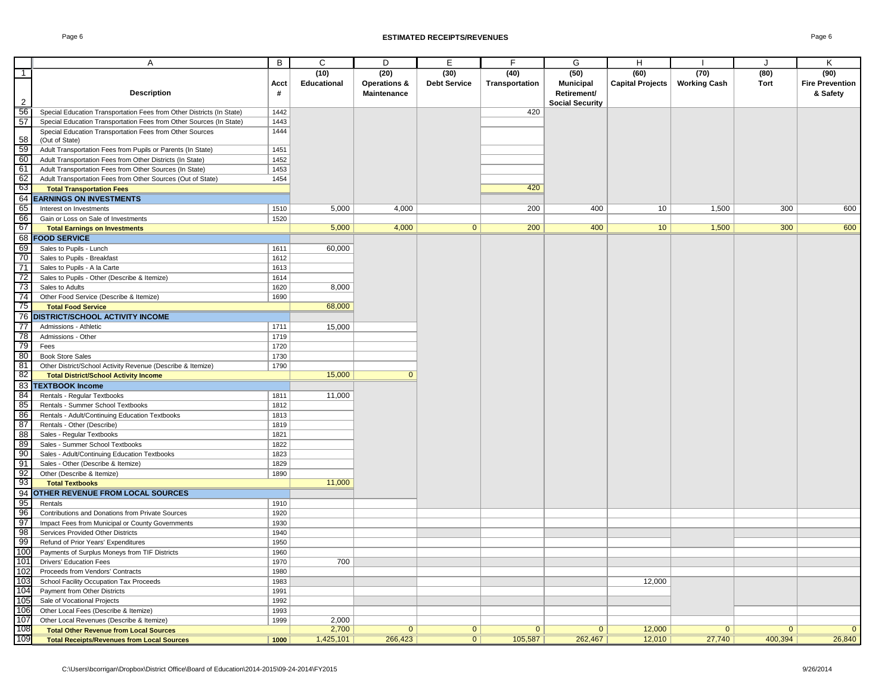|                     | Α                                                                     | B         | C                          | D                                              | E                           | F                      | G                                                                 | H                               |                             | J            | K                                          |
|---------------------|-----------------------------------------------------------------------|-----------|----------------------------|------------------------------------------------|-----------------------------|------------------------|-------------------------------------------------------------------|---------------------------------|-----------------------------|--------------|--------------------------------------------|
| $\overline{1}$<br>2 | <b>Description</b>                                                    | Acct<br># | (10)<br><b>Educational</b> | (20)<br><b>Operations &amp;</b><br>Maintenance | (30)<br><b>Debt Service</b> | (40)<br>Transportation | (50)<br><b>Municipal</b><br>Retirement/<br><b>Social Security</b> | (60)<br><b>Capital Projects</b> | (70)<br><b>Working Cash</b> | (80)<br>Tort | (90)<br><b>Fire Prevention</b><br>& Safety |
| 56                  | Special Education Transportation Fees from Other Districts (In State) | 1442      |                            |                                                |                             | 420                    |                                                                   |                                 |                             |              |                                            |
| 57                  | Special Education Transportation Fees from Other Sources (In State)   | 1443      |                            |                                                |                             |                        |                                                                   |                                 |                             |              |                                            |
|                     | Special Education Transportation Fees from Other Sources              | 1444      |                            |                                                |                             |                        |                                                                   |                                 |                             |              |                                            |
| 58                  | (Out of State)                                                        |           |                            |                                                |                             |                        |                                                                   |                                 |                             |              |                                            |
| 59                  | Adult Transportation Fees from Pupils or Parents (In State)           | 1451      |                            |                                                |                             |                        |                                                                   |                                 |                             |              |                                            |
| 60                  | Adult Transportation Fees from Other Districts (In State)             | 1452      |                            |                                                |                             |                        |                                                                   |                                 |                             |              |                                            |
| 61                  | Adult Transportation Fees from Other Sources (In State)               | 1453      |                            |                                                |                             |                        |                                                                   |                                 |                             |              |                                            |
| 62                  | Adult Transportation Fees from Other Sources (Out of State)           | 1454      |                            |                                                |                             |                        |                                                                   |                                 |                             |              |                                            |
| 63                  | <b>Total Transportation Fees</b>                                      |           |                            |                                                |                             | 420                    |                                                                   |                                 |                             |              |                                            |
| 64                  | <b>EARNINGS ON INVESTMENTS</b>                                        |           |                            |                                                |                             |                        |                                                                   |                                 |                             |              |                                            |
| 65                  | Interest on Investments                                               | 1510      | 5,000                      | 4,000                                          |                             | 200                    | 400                                                               | 10                              | 1,500                       | 300          | 600                                        |
| 66                  | Gain or Loss on Sale of Investments                                   | 1520      |                            |                                                |                             |                        |                                                                   |                                 |                             |              |                                            |
| -67                 | <b>Total Earnings on Investments</b>                                  |           | 5,000                      | 4,000                                          | $\overline{0}$              | 200                    | 400                                                               | 10 <sup>°</sup>                 | 1,500                       | 300          | 600                                        |
|                     | 68 FOOD SERVICE                                                       |           |                            |                                                |                             |                        |                                                                   |                                 |                             |              |                                            |
| 69                  | Sales to Pupils - Lunch                                               | 1611      | 60,000                     |                                                |                             |                        |                                                                   |                                 |                             |              |                                            |
| 70                  | Sales to Pupils - Breakfast                                           | 1612      |                            |                                                |                             |                        |                                                                   |                                 |                             |              |                                            |
| 71                  | Sales to Pupils - A la Carte                                          | 1613      |                            |                                                |                             |                        |                                                                   |                                 |                             |              |                                            |
| 72                  | Sales to Pupils - Other (Describe & Itemize)                          | 1614      |                            |                                                |                             |                        |                                                                   |                                 |                             |              |                                            |
| 73                  | Sales to Adults                                                       | 1620      | 8,000                      |                                                |                             |                        |                                                                   |                                 |                             |              |                                            |
| 74                  | Other Food Service (Describe & Itemize)                               | 1690      |                            |                                                |                             |                        |                                                                   |                                 |                             |              |                                            |
| 75                  | <b>Total Food Service</b>                                             |           | 68,000                     |                                                |                             |                        |                                                                   |                                 |                             |              |                                            |
|                     | <b>76 DISTRICT/SCHOOL ACTIVITY INCOME</b>                             |           |                            |                                                |                             |                        |                                                                   |                                 |                             |              |                                            |
| $\overline{77}$     | Admissions - Athletic                                                 | 1711      | 15,000                     |                                                |                             |                        |                                                                   |                                 |                             |              |                                            |
| $\overline{78}$     | Admissions - Other                                                    | 1719      |                            |                                                |                             |                        |                                                                   |                                 |                             |              |                                            |
| 79                  | Fees                                                                  | 1720      |                            |                                                |                             |                        |                                                                   |                                 |                             |              |                                            |
| 80                  | <b>Book Store Sales</b>                                               | 1730      |                            |                                                |                             |                        |                                                                   |                                 |                             |              |                                            |
| 81                  | Other District/School Activity Revenue (Describe & Itemize)           | 1790      |                            |                                                |                             |                        |                                                                   |                                 |                             |              |                                            |
| -82                 | <b>Total District/School Activity Income</b>                          |           | 15,000                     | $\Omega$                                       |                             |                        |                                                                   |                                 |                             |              |                                            |
| 83                  | <b>TEXTBOOK Income</b>                                                |           |                            |                                                |                             |                        |                                                                   |                                 |                             |              |                                            |
| 84                  | Rentals - Regular Textbooks                                           | 1811      | 11,000                     |                                                |                             |                        |                                                                   |                                 |                             |              |                                            |
| 85                  | Rentals - Summer School Textbooks                                     | 1812      |                            |                                                |                             |                        |                                                                   |                                 |                             |              |                                            |
| 86                  | Rentals - Adult/Continuing Education Textbooks                        | 1813      |                            |                                                |                             |                        |                                                                   |                                 |                             |              |                                            |
| 87                  | Rentals - Other (Describe)                                            | 1819      |                            |                                                |                             |                        |                                                                   |                                 |                             |              |                                            |
| 88                  | Sales - Regular Textbooks                                             | 1821      |                            |                                                |                             |                        |                                                                   |                                 |                             |              |                                            |
| 89                  | Sales - Summer School Textbooks                                       | 1822      |                            |                                                |                             |                        |                                                                   |                                 |                             |              |                                            |
| 90                  | Sales - Adult/Continuing Education Textbooks                          | 1823      |                            |                                                |                             |                        |                                                                   |                                 |                             |              |                                            |
| 91<br>92            | Sales - Other (Describe & Itemize)                                    | 1829      |                            |                                                |                             |                        |                                                                   |                                 |                             |              |                                            |
| -93                 | Other (Describe & Itemize)<br><b>Total Textbooks</b>                  | 1890      | 11,000                     |                                                |                             |                        |                                                                   |                                 |                             |              |                                            |
| 94                  | <b>OTHER REVENUE FROM LOCAL SOURCES</b>                               |           |                            |                                                |                             |                        |                                                                   |                                 |                             |              |                                            |
| 95                  | Rentals                                                               | 1910      |                            |                                                |                             |                        |                                                                   |                                 |                             |              |                                            |
| 96                  | Contributions and Donations from Private Sources                      | 1920      |                            |                                                |                             |                        |                                                                   |                                 |                             |              |                                            |
| 97                  | Impact Fees from Municipal or County Governments                      | 1930      |                            |                                                |                             |                        |                                                                   |                                 |                             |              |                                            |
| 98                  | Services Provided Other Districts                                     | 1940      |                            |                                                |                             |                        |                                                                   |                                 |                             |              |                                            |
| 99                  | Refund of Prior Years' Expenditures                                   | 1950      |                            |                                                |                             |                        |                                                                   |                                 |                             |              |                                            |
| 100                 | Payments of Surplus Moneys from TIF Districts                         | 1960      |                            |                                                |                             |                        |                                                                   |                                 |                             |              |                                            |
| 101                 | <b>Drivers' Education Fees</b>                                        | 1970      | 700                        |                                                |                             |                        |                                                                   |                                 |                             |              |                                            |
| 102                 | Proceeds from Vendors' Contracts                                      | 1980      |                            |                                                |                             |                        |                                                                   |                                 |                             |              |                                            |
| 10 <sup>°</sup>     | School Facility Occupation Tax Proceeds                               | 1983      |                            |                                                |                             |                        |                                                                   | 12,000                          |                             |              |                                            |
| 104                 | Payment from Other Districts                                          | 1991      |                            |                                                |                             |                        |                                                                   |                                 |                             |              |                                            |
| 105                 | Sale of Vocational Projects                                           | 1992      |                            |                                                |                             |                        |                                                                   |                                 |                             |              |                                            |
| 106                 | Other Local Fees (Describe & Itemize)                                 | 1993      |                            |                                                |                             |                        |                                                                   |                                 |                             |              |                                            |
| 107                 | Other Local Revenues (Describe & Itemize)                             | 1999      | 2,000                      |                                                |                             |                        |                                                                   |                                 |                             |              |                                            |
| 108                 | <b>Total Other Revenue from Local Sources</b>                         |           | 2,700                      | $\mathbf{0}$                                   | $\mathbf{0}$                | $\mathbf{0}$           | $\mathbf{0}$                                                      | 12,000                          | $\mathbf{0}$                | $\mathbf{0}$ | $\overline{0}$                             |
| 109                 | <b>Total Receipts/Revenues from Local Sources</b>                     | 1000      | 1,425,101                  | 266,423                                        | $\overline{0}$              | 105,587                | 262,467                                                           | 12,010                          | 27,740                      | 400,394      | 26,840                                     |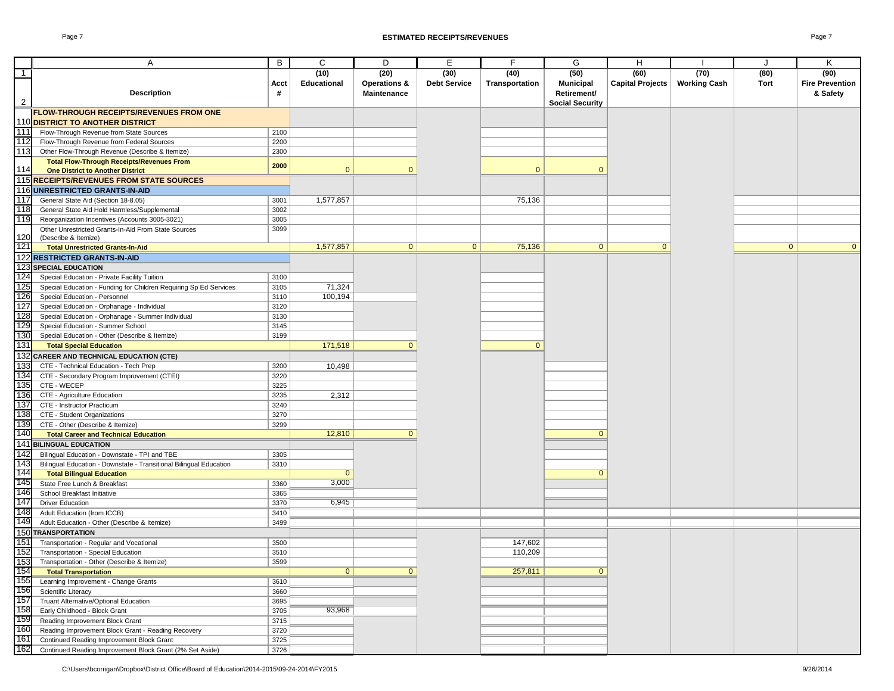|                | A                                                                  | B    | C              | D                  | E                   | F              | G                      | H                       |                     | J              | Κ                      |
|----------------|--------------------------------------------------------------------|------|----------------|--------------------|---------------------|----------------|------------------------|-------------------------|---------------------|----------------|------------------------|
| $\overline{1}$ |                                                                    |      | (10)           | (20)               | (30)                | (40)           | (50)                   | (60)                    | (70)                | (80)           | (90)                   |
|                |                                                                    | Acct | Educational    | Operations &       | <b>Debt Service</b> | Transportation | <b>Municipal</b>       | <b>Capital Projects</b> | <b>Working Cash</b> | Tort           | <b>Fire Prevention</b> |
|                |                                                                    |      |                |                    |                     |                |                        |                         |                     |                |                        |
|                | <b>Description</b>                                                 | #    |                | <b>Maintenance</b> |                     |                | Retirement/            |                         |                     |                | & Safety               |
| $\overline{2}$ |                                                                    |      |                |                    |                     |                | <b>Social Security</b> |                         |                     |                |                        |
|                | <b>IFLOW-THROUGH RECEIPTS/REVENUES FROM ONE</b>                    |      |                |                    |                     |                |                        |                         |                     |                |                        |
|                | 110 DISTRICT TO ANOTHER DISTRICT                                   |      |                |                    |                     |                |                        |                         |                     |                |                        |
|                |                                                                    |      |                |                    |                     |                |                        |                         |                     |                |                        |
| 111            | Flow-Through Revenue from State Sources                            | 2100 |                |                    |                     |                |                        |                         |                     |                |                        |
| 112            | Flow-Through Revenue from Federal Sources                          | 2200 |                |                    |                     |                |                        |                         |                     |                |                        |
| 113            | Other Flow-Through Revenue (Describe & Itemize)                    | 2300 |                |                    |                     |                |                        |                         |                     |                |                        |
|                | <b>Total Flow-Through Receipts/Revenues From</b>                   |      |                |                    |                     |                |                        |                         |                     |                |                        |
| 114            | <b>One District to Another District</b>                            | 2000 | $\mathbf{0}$   | $\Omega$           |                     | $\mathbf{0}$   | $\Omega$               |                         |                     |                |                        |
|                |                                                                    |      |                |                    |                     |                |                        |                         |                     |                |                        |
|                | 115 RECEIPTS/REVENUES FROM STATE SOURCES                           |      |                |                    |                     |                |                        |                         |                     |                |                        |
|                | 116 UNRESTRICTED GRANTS-IN-AID                                     |      |                |                    |                     |                |                        |                         |                     |                |                        |
| 117            | General State Aid (Section 18-8.05)                                | 3001 | 1,577,857      |                    |                     | 75,136         |                        |                         |                     |                |                        |
| 118            | General State Aid Hold Harmless/Supplemental                       | 3002 |                |                    |                     |                |                        |                         |                     |                |                        |
|                |                                                                    |      |                |                    |                     |                |                        |                         |                     |                |                        |
| 119            | Reorganization Incentives (Accounts 3005-3021)                     | 3005 |                |                    |                     |                |                        |                         |                     |                |                        |
|                | Other Unrestricted Grants-In-Aid From State Sources                | 3099 |                |                    |                     |                |                        |                         |                     |                |                        |
| 120            | (Describe & Itemize)                                               |      |                |                    |                     |                |                        |                         |                     |                |                        |
| 121            | <b>Total Unrestricted Grants-In-Aid</b>                            |      | 1,577,857      | $\mathbf{0}$       | $\overline{0}$      | 75,136         | $\mathbf{0}$           | $\overline{0}$          |                     | $\overline{0}$ | $\overline{0}$         |
|                |                                                                    |      |                |                    |                     |                |                        |                         |                     |                |                        |
|                | 122 RESTRICTED GRANTS-IN-AID                                       |      |                |                    |                     |                |                        |                         |                     |                |                        |
|                | <b>123 SPECIAL EDUCATION</b>                                       |      |                |                    |                     |                |                        |                         |                     |                |                        |
| 124            | Special Education - Private Facility Tuition                       | 3100 |                |                    |                     |                |                        |                         |                     |                |                        |
| 125            | Special Education - Funding for Children Requiring Sp Ed Services  | 3105 | 71,324         |                    |                     |                |                        |                         |                     |                |                        |
|                |                                                                    |      |                |                    |                     |                |                        |                         |                     |                |                        |
| 126            | Special Education - Personnel                                      | 3110 | 100,194        |                    |                     |                |                        |                         |                     |                |                        |
| 127            | Special Education - Orphanage - Individual                         | 3120 |                |                    |                     |                |                        |                         |                     |                |                        |
| 128            | Special Education - Orphanage - Summer Individual                  | 3130 |                |                    |                     |                |                        |                         |                     |                |                        |
| 129            | Special Education - Summer School                                  | 3145 |                |                    |                     |                |                        |                         |                     |                |                        |
| 130            |                                                                    | 3199 |                |                    |                     |                |                        |                         |                     |                |                        |
|                | Special Education - Other (Describe & Itemize)                     |      |                |                    |                     |                |                        |                         |                     |                |                        |
| 131            | <b>Total Special Education</b>                                     |      | 171,518        | $\mathbf{0}$       |                     | $\mathbf{0}$   |                        |                         |                     |                |                        |
|                | 132 CAREER AND TECHNICAL EDUCATION (CTE)                           |      |                |                    |                     |                |                        |                         |                     |                |                        |
| 133            | CTE - Technical Education - Tech Prep                              | 3200 | 10,498         |                    |                     |                |                        |                         |                     |                |                        |
|                |                                                                    |      |                |                    |                     |                |                        |                         |                     |                |                        |
| 134            | CTE - Secondary Program Improvement (CTEI)                         | 3220 |                |                    |                     |                |                        |                         |                     |                |                        |
| 135            | CTE - WECEP                                                        | 3225 |                |                    |                     |                |                        |                         |                     |                |                        |
| 136            | CTE - Agriculture Education                                        | 3235 | 2,312          |                    |                     |                |                        |                         |                     |                |                        |
| 137            | CTE - Instructor Practicum                                         | 3240 |                |                    |                     |                |                        |                         |                     |                |                        |
| 138            |                                                                    |      |                |                    |                     |                |                        |                         |                     |                |                        |
|                | CTE - Student Organizations                                        | 3270 |                |                    |                     |                |                        |                         |                     |                |                        |
| 139            | CTE - Other (Describe & Itemize)                                   | 3299 |                |                    |                     |                |                        |                         |                     |                |                        |
| 140            | <b>Total Career and Technical Education</b>                        |      | 12,810         | $\mathbf{0}$       |                     |                | $\Omega$               |                         |                     |                |                        |
|                | <b>141 BILINGUAL EDUCATION</b>                                     |      |                |                    |                     |                |                        |                         |                     |                |                        |
| 142            | Bilingual Education - Downstate - TPI and TBE                      |      |                |                    |                     |                |                        |                         |                     |                |                        |
|                |                                                                    | 3305 |                |                    |                     |                |                        |                         |                     |                |                        |
| 143            | Bilingual Education - Downstate - Transitional Bilingual Education | 3310 |                |                    |                     |                |                        |                         |                     |                |                        |
| 144            | <b>Total Bilingual Education</b>                                   |      | $\overline{0}$ |                    |                     |                | $\Omega$               |                         |                     |                |                        |
| 145            | State Free Lunch & Breakfast                                       | 3360 | 3,000          |                    |                     |                |                        |                         |                     |                |                        |
| 146            | School Breakfast Initiative                                        | 3365 |                |                    |                     |                |                        |                         |                     |                |                        |
| 147            |                                                                    |      | 6,945          |                    |                     |                |                        |                         |                     |                |                        |
|                | <b>Driver Education</b>                                            | 3370 |                |                    |                     |                |                        |                         |                     |                |                        |
| 148            | Adult Education (from ICCB)                                        | 3410 |                |                    |                     |                |                        |                         |                     |                |                        |
| 149            | Adult Education - Other (Describe & Itemize)                       | 3499 |                |                    |                     |                |                        |                         |                     |                |                        |
|                | <b>150 TRANSPORTATION</b>                                          |      |                |                    |                     |                |                        |                         |                     |                |                        |
|                |                                                                    |      |                |                    |                     |                |                        |                         |                     |                |                        |
| 151            | Transportation - Regular and Vocational                            | 3500 |                |                    |                     | 147,602        |                        |                         |                     |                |                        |
| 152            | Transportation - Special Education                                 | 3510 |                |                    |                     | 110,209        |                        |                         |                     |                |                        |
| 153            | Transportation - Other (Describe & Itemize)                        | 3599 |                |                    |                     |                |                        |                         |                     |                |                        |
| 154            | <b>Total Transportation</b>                                        |      | $\mathbf{0}$   | $\mathbf{0}$       |                     | 257,811        | $\mathbf{0}$           |                         |                     |                |                        |
| 155            |                                                                    |      |                |                    |                     |                |                        |                         |                     |                |                        |
|                | Learning Improvement - Change Grants                               | 3610 |                |                    |                     |                |                        |                         |                     |                |                        |
| 156            | Scientific Literacy                                                | 3660 |                |                    |                     |                |                        |                         |                     |                |                        |
| 157            | Truant Alternative/Optional Education                              | 3695 |                |                    |                     |                |                        |                         |                     |                |                        |
| 158            | Early Childhood - Block Grant                                      | 3705 | 93,968         |                    |                     |                |                        |                         |                     |                |                        |
| 159            | Reading Improvement Block Grant                                    | 3715 |                |                    |                     |                |                        |                         |                     |                |                        |
| 160            |                                                                    |      |                |                    |                     |                |                        |                         |                     |                |                        |
|                | Reading Improvement Block Grant - Reading Recovery                 | 3720 |                |                    |                     |                |                        |                         |                     |                |                        |
| 161            | Continued Reading Improvement Block Grant                          | 3725 |                |                    |                     |                |                        |                         |                     |                |                        |
| 162            | Continued Reading Improvement Block Grant (2% Set Aside)           | 3726 |                |                    |                     |                |                        |                         |                     |                |                        |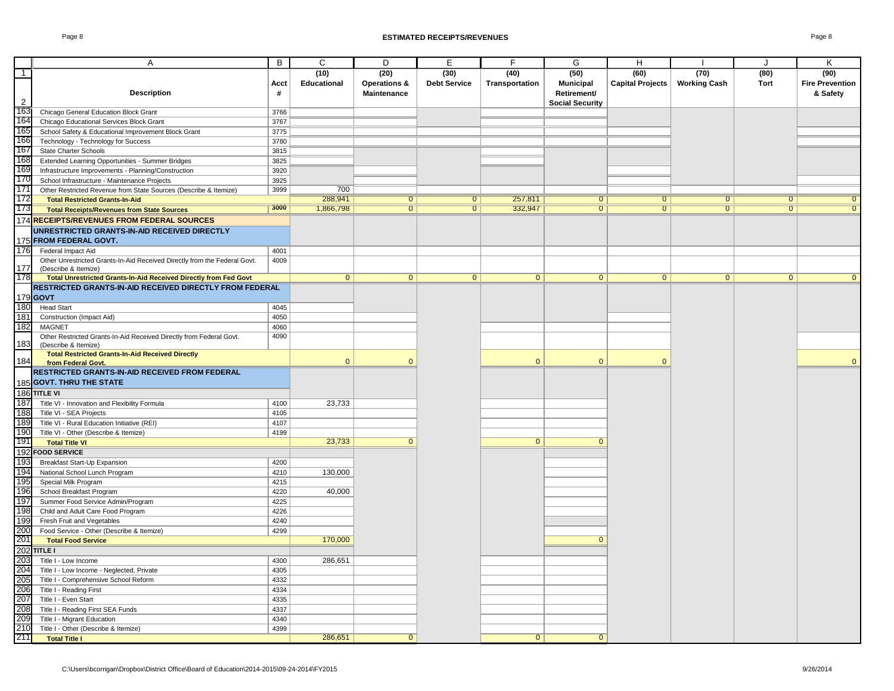|                | A                                                                         | B    | $\mathsf{C}$   | D                       | E                   | $\overline{F}$ | G                      | H                       |                     | J              | K                      |
|----------------|---------------------------------------------------------------------------|------|----------------|-------------------------|---------------------|----------------|------------------------|-------------------------|---------------------|----------------|------------------------|
| $\overline{1}$ |                                                                           |      | (10)           | (20)                    | (30)                | (40)           | (50)                   | (60)                    | (70)                | (80)           | (90)                   |
|                |                                                                           | Acct | Educational    | <b>Operations &amp;</b> | <b>Debt Service</b> | Transportation | <b>Municipal</b>       | <b>Capital Projects</b> | <b>Working Cash</b> | Tort           | <b>Fire Prevention</b> |
|                | <b>Description</b>                                                        | #    |                | Maintenance             |                     |                | Retirement/            |                         |                     |                | & Safety               |
| $\overline{2}$ |                                                                           |      |                |                         |                     |                | <b>Social Security</b> |                         |                     |                |                        |
| 163            | Chicago General Education Block Grant                                     | 3766 |                |                         |                     |                |                        |                         |                     |                |                        |
| 164            | Chicago Educational Services Block Grant                                  | 3767 |                |                         |                     |                |                        |                         |                     |                |                        |
| 165            | School Safety & Educational Improvement Block Grant                       | 3775 |                |                         |                     |                |                        |                         |                     |                |                        |
| 166            | Technology - Technology for Success                                       | 3780 |                |                         |                     |                |                        |                         |                     |                |                        |
| 167            | State Charter Schools                                                     | 3815 |                |                         |                     |                |                        |                         |                     |                |                        |
| 168            | Extended Learning Opportunities - Summer Bridges                          | 3825 |                |                         |                     |                |                        |                         |                     |                |                        |
| 169            | Infrastructure Improvements - Planning/Construction                       | 3920 |                |                         |                     |                |                        |                         |                     |                |                        |
| 170            | School Infrastructure - Maintenance Projects                              | 3925 |                |                         |                     |                |                        |                         |                     |                |                        |
| 171            | Other Restricted Revenue from State Sources (Describe & Itemize)          | 3999 | 700            |                         |                     |                |                        |                         |                     |                |                        |
| 172            | <b>Total Restricted Grants-In-Aid</b>                                     |      | 288,941        | $\overline{0}$          | $\overline{0}$      | 257,811        | $\overline{0}$         | $\overline{0}$          | $\overline{0}$      | $\overline{0}$ |                        |
| 173            | <b>Total Receipts/Revenues from State Sources</b>                         | 3000 | 1,866,798      | $\overline{0}$          | $\overline{0}$      | 332,947        | $\overline{0}$         | $\overline{0}$          | $\overline{0}$      | $\overline{0}$ | $\overline{0}$         |
|                | 174 RECEIPTS/REVENUES FROM FEDERAL SOURCES                                |      |                |                         |                     |                |                        |                         |                     |                |                        |
|                | UNRESTRICTED GRANTS-IN-AID RECEIVED DIRECTLY                              |      |                |                         |                     |                |                        |                         |                     |                |                        |
|                | 175 FROM FEDERAL GOVT.                                                    |      |                |                         |                     |                |                        |                         |                     |                |                        |
| 176            | Federal Impact Aid                                                        | 4001 |                |                         |                     |                |                        |                         |                     |                |                        |
|                | Other Unrestricted Grants-In-Aid Received Directly from the Federal Govt. | 4009 |                |                         |                     |                |                        |                         |                     |                |                        |
| 177            | (Describe & Itemize)                                                      |      |                |                         |                     |                |                        |                         |                     |                |                        |
| 178            | Total Unrestricted Grants-In-Aid Received Directly from Fed Govt          |      | $\overline{0}$ | $\overline{0}$          | $\overline{0}$      | $\overline{0}$ | $\overline{0}$         | $\overline{0}$          | $\overline{0}$      | $\overline{0}$ | $\Omega$               |
|                | RESTRICTED GRANTS-IN-AID RECEIVED DIRECTLY FROM FEDERAL                   |      |                |                         |                     |                |                        |                         |                     |                |                        |
|                | 179 <b>GOVT</b>                                                           |      |                |                         |                     |                |                        |                         |                     |                |                        |
| 180            | <b>Head Start</b>                                                         | 4045 |                |                         |                     |                |                        |                         |                     |                |                        |
| 181            | Construction (Impact Aid)                                                 | 4050 |                |                         |                     |                |                        |                         |                     |                |                        |
| 182            | <b>MAGNET</b>                                                             | 4060 |                |                         |                     |                |                        |                         |                     |                |                        |
|                | Other Restricted Grants-In-Aid Received Directly from Federal Govt.       | 4090 |                |                         |                     |                |                        |                         |                     |                |                        |
| 183            | (Describe & Itemize)                                                      |      |                |                         |                     |                |                        |                         |                     |                |                        |
|                | <b>Total Restricted Grants-In-Aid Received Directly</b>                   |      |                |                         |                     |                |                        |                         |                     |                |                        |
| 184            | from Federal Govt.                                                        |      | $\Omega$       | $\Omega$                |                     | $\mathbf{0}$   | $\Omega$               | $\mathbf{0}$            |                     |                | $\mathbf{0}$           |
|                | RESTRICTED GRANTS-IN-AID RECEIVED FROM FEDERAL                            |      |                |                         |                     |                |                        |                         |                     |                |                        |
|                | 185 GOVT. THRU THE STATE                                                  |      |                |                         |                     |                |                        |                         |                     |                |                        |
|                | 186 TITLE VI                                                              |      |                |                         |                     |                |                        |                         |                     |                |                        |
| 187            | Title VI - Innovation and Flexibility Formula                             | 4100 | 23,733         |                         |                     |                |                        |                         |                     |                |                        |
| 188            | Title VI - SEA Projects                                                   | 4105 |                |                         |                     |                |                        |                         |                     |                |                        |
| 189            | Title VI - Rural Education Initiative (REI)                               | 4107 |                |                         |                     |                |                        |                         |                     |                |                        |
| 190            | Title VI - Other (Describe & Itemize)                                     | 4199 |                |                         |                     |                |                        |                         |                     |                |                        |
| 191            | <b>Total Title VI</b>                                                     |      | 23,733         | $\mathbf{0}$            |                     | $\overline{0}$ | $\mathbf{0}$           |                         |                     |                |                        |
| 192            | <b>FOOD SERVICE</b>                                                       |      |                |                         |                     |                |                        |                         |                     |                |                        |
| 193            | Breakfast Start-Up Expansion                                              | 4200 |                |                         |                     |                |                        |                         |                     |                |                        |
| 194            | National School Lunch Program                                             | 4210 | 130,000        |                         |                     |                |                        |                         |                     |                |                        |
| 195            | Special Milk Program                                                      | 4215 |                |                         |                     |                |                        |                         |                     |                |                        |
| 196            | School Breakfast Program                                                  | 4220 | 40,000         |                         |                     |                |                        |                         |                     |                |                        |
| 197            | Summer Food Service Admin/Program                                         | 4225 |                |                         |                     |                |                        |                         |                     |                |                        |
| 198            | Child and Adult Care Food Program                                         | 4226 |                |                         |                     |                |                        |                         |                     |                |                        |
| 199            | Fresh Fruit and Vegetables                                                | 4240 |                |                         |                     |                |                        |                         |                     |                |                        |
| 200            | Food Service - Other (Describe & Itemize)                                 | 4299 |                |                         |                     |                |                        |                         |                     |                |                        |
| 201            | <b>Total Food Service</b>                                                 |      | 170,000        |                         |                     |                | $\mathbf{0}$           |                         |                     |                |                        |
| 202            | <b>TITLE I</b>                                                            |      |                |                         |                     |                |                        |                         |                     |                |                        |
| 203            | Title I - Low Income                                                      | 4300 | 286,651        |                         |                     |                |                        |                         |                     |                |                        |
| 204            | Title I - Low Income - Neglected, Private                                 | 4305 |                |                         |                     |                |                        |                         |                     |                |                        |
| 205            | Title I - Comprehensive School Reform                                     | 4332 |                |                         |                     |                |                        |                         |                     |                |                        |
| 206            | Title I - Reading First                                                   | 4334 |                |                         |                     |                |                        |                         |                     |                |                        |
| 207            | Title I - Even Start                                                      | 4335 |                |                         |                     |                |                        |                         |                     |                |                        |
| 208            | Title I - Reading First SEA Funds                                         | 4337 |                |                         |                     |                |                        |                         |                     |                |                        |
| 209            | Title I - Migrant Education                                               | 4340 |                |                         |                     |                |                        |                         |                     |                |                        |
| 210            | Title I - Other (Describe & Itemize)                                      | 4399 |                |                         |                     |                |                        |                         |                     |                |                        |
| 211            | <b>Total Title I</b>                                                      |      | 286,651        | $\overline{0}$          |                     | $\mathbf{0}$   | $\Omega$               |                         |                     |                |                        |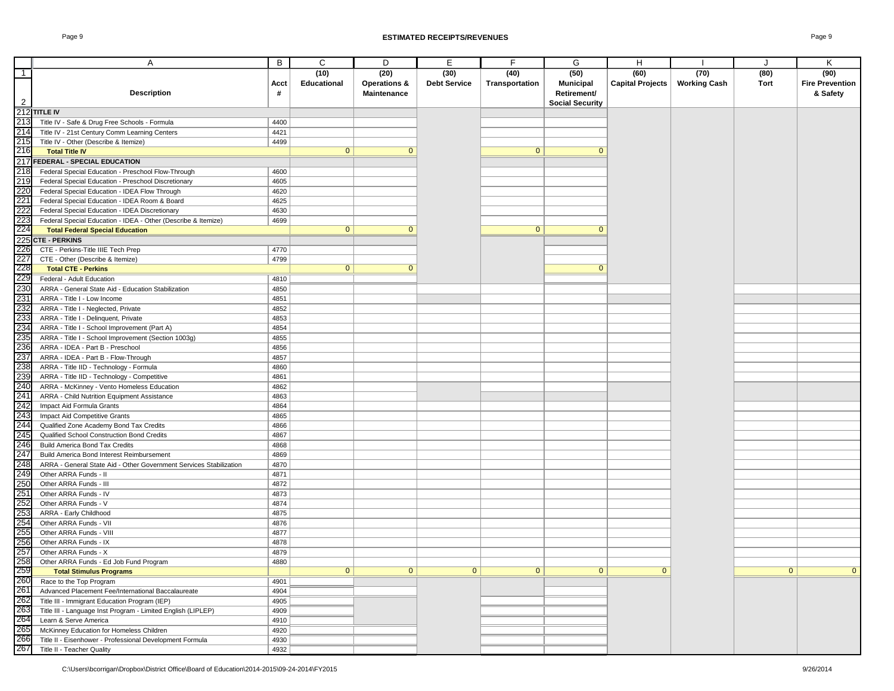|                                                      | Α                                                                  | B    | C                  | D            | E                   | F              | G                      | H                       |                     | $\cdot$      | Κ                      |
|------------------------------------------------------|--------------------------------------------------------------------|------|--------------------|--------------|---------------------|----------------|------------------------|-------------------------|---------------------|--------------|------------------------|
| $\overline{1}$                                       |                                                                    |      | (10)               | (20)         | (30)                | (40)           | (50)                   | (60)                    | (70)                | (80)         | (90)                   |
|                                                      |                                                                    | Acct | <b>Educational</b> | Operations & | <b>Debt Service</b> | Transportation | <b>Municipal</b>       | <b>Capital Projects</b> | <b>Working Cash</b> | Tort         | <b>Fire Prevention</b> |
|                                                      |                                                                    |      |                    |              |                     |                |                        |                         |                     |              |                        |
|                                                      | <b>Description</b>                                                 | #    |                    | Maintenance  |                     |                | Retirement/            |                         |                     |              | & Safety               |
| $\overline{2}$                                       |                                                                    |      |                    |              |                     |                | <b>Social Security</b> |                         |                     |              |                        |
|                                                      | 212 TITLE IV<br>213 Title IV                                       |      |                    |              |                     |                |                        |                         |                     |              |                        |
|                                                      | Title IV - Safe & Drug Free Schools - Formula                      | 4400 |                    |              |                     |                |                        |                         |                     |              |                        |
|                                                      | Title IV - 21st Century Comm Learning Centers                      | 4421 |                    |              |                     |                |                        |                         |                     |              |                        |
|                                                      |                                                                    |      |                    |              |                     |                |                        |                         |                     |              |                        |
| $\frac{214}{215}$                                    | Title IV - Other (Describe & Itemize)                              | 4499 |                    |              |                     |                |                        |                         |                     |              |                        |
|                                                      | <b>Total Title IV</b>                                              |      | $\mathbf{0}$       | $\mathbf 0$  |                     | $\mathbf{0}$   | $\mathbf{0}$           |                         |                     |              |                        |
| $\frac{217}{218}$                                    | FEDERAL - SPECIAL EDUCATION                                        |      |                    |              |                     |                |                        |                         |                     |              |                        |
|                                                      | Federal Special Education - Preschool Flow-Through                 | 4600 |                    |              |                     |                |                        |                         |                     |              |                        |
|                                                      | Federal Special Education - Preschool Discretionary                |      |                    |              |                     |                |                        |                         |                     |              |                        |
|                                                      |                                                                    | 4605 |                    |              |                     |                |                        |                         |                     |              |                        |
|                                                      | Federal Special Education - IDEA Flow Through                      | 4620 |                    |              |                     |                |                        |                         |                     |              |                        |
|                                                      | Federal Special Education - IDEA Room & Board                      | 4625 |                    |              |                     |                |                        |                         |                     |              |                        |
|                                                      | Federal Special Education - IDEA Discretionary                     | 4630 |                    |              |                     |                |                        |                         |                     |              |                        |
|                                                      | Federal Special Education - IDEA - Other (Describe & Itemize)      | 4699 |                    |              |                     |                |                        |                         |                     |              |                        |
| 219<br>220<br>221<br>222<br>223<br>224<br>225<br>226 |                                                                    |      | $\mathbf{0}$       | $\mathbf{0}$ |                     | $\mathbf{0}$   | $\mathbf{0}$           |                         |                     |              |                        |
|                                                      | <b>Total Federal Special Education</b>                             |      |                    |              |                     |                |                        |                         |                     |              |                        |
|                                                      | <b>CTE - PERKINS</b>                                               |      |                    |              |                     |                |                        |                         |                     |              |                        |
|                                                      | CTE - Perkins-Title IIIE Tech Prep                                 | 4770 |                    |              |                     |                |                        |                         |                     |              |                        |
| $\frac{227}{228}$                                    | CTE - Other (Describe & Itemize)                                   | 4799 |                    |              |                     |                |                        |                         |                     |              |                        |
|                                                      | <b>Total CTE - Perkins</b>                                         |      | $\mathbf{0}$       | $\mathbf{0}$ |                     |                | $\mathbf{0}$           |                         |                     |              |                        |
|                                                      |                                                                    |      |                    |              |                     |                |                        |                         |                     |              |                        |
|                                                      | Federal - Adult Education                                          | 4810 |                    |              |                     |                |                        |                         |                     |              |                        |
|                                                      | ARRA - General State Aid - Education Stabilization                 | 4850 |                    |              |                     |                |                        |                         |                     |              |                        |
|                                                      | ARRA - Title I - Low Income                                        | 4851 |                    |              |                     |                |                        |                         |                     |              |                        |
|                                                      | ARRA - Title I - Neglected, Private                                | 4852 |                    |              |                     |                |                        |                         |                     |              |                        |
|                                                      | ARRA - Title I - Delinquent, Private                               | 4853 |                    |              |                     |                |                        |                         |                     |              |                        |
|                                                      |                                                                    | 4854 |                    |              |                     |                |                        |                         |                     |              |                        |
|                                                      | ARRA - Title I - School Improvement (Part A)                       |      |                    |              |                     |                |                        |                         |                     |              |                        |
|                                                      | ARRA - Title I - School Improvement (Section 1003g)                | 4855 |                    |              |                     |                |                        |                         |                     |              |                        |
|                                                      | ARRA - IDEA - Part B - Preschool                                   | 4856 |                    |              |                     |                |                        |                         |                     |              |                        |
|                                                      | ARRA - IDEA - Part B - Flow-Through                                | 4857 |                    |              |                     |                |                        |                         |                     |              |                        |
|                                                      | ARRA - Title IID - Technology - Formula                            | 4860 |                    |              |                     |                |                        |                         |                     |              |                        |
|                                                      | ARRA - Title IID - Technology - Competitive                        | 4861 |                    |              |                     |                |                        |                         |                     |              |                        |
|                                                      |                                                                    | 4862 |                    |              |                     |                |                        |                         |                     |              |                        |
|                                                      | ARRA - McKinney - Vento Homeless Education                         |      |                    |              |                     |                |                        |                         |                     |              |                        |
|                                                      | ARRA - Child Nutrition Equipment Assistance                        | 4863 |                    |              |                     |                |                        |                         |                     |              |                        |
|                                                      | Impact Aid Formula Grants                                          | 4864 |                    |              |                     |                |                        |                         |                     |              |                        |
|                                                      | Impact Aid Competitive Grants                                      | 4865 |                    |              |                     |                |                        |                         |                     |              |                        |
|                                                      | Qualified Zone Academy Bond Tax Credits                            | 4866 |                    |              |                     |                |                        |                         |                     |              |                        |
|                                                      | Qualified School Construction Bond Credits                         | 4867 |                    |              |                     |                |                        |                         |                     |              |                        |
|                                                      | <b>Build America Bond Tax Credits</b>                              | 4868 |                    |              |                     |                |                        |                         |                     |              |                        |
|                                                      |                                                                    |      |                    |              |                     |                |                        |                         |                     |              |                        |
|                                                      | Build America Bond Interest Reimbursement                          | 4869 |                    |              |                     |                |                        |                         |                     |              |                        |
|                                                      | ARRA - General State Aid - Other Government Services Stabilization | 4870 |                    |              |                     |                |                        |                         |                     |              |                        |
|                                                      | Other ARRA Funds - II                                              | 4871 |                    |              |                     |                |                        |                         |                     |              |                        |
|                                                      | Other ARRA Funds - III                                             | 4872 |                    |              |                     |                |                        |                         |                     |              |                        |
|                                                      | Other ARRA Funds - IV                                              | 4873 |                    |              |                     |                |                        |                         |                     |              |                        |
|                                                      | Other ARRA Funds - V                                               | 4874 |                    |              |                     |                |                        |                         |                     |              |                        |
|                                                      |                                                                    |      |                    |              |                     |                |                        |                         |                     |              |                        |
|                                                      | ARRA - Early Childhood                                             | 4875 |                    |              |                     |                |                        |                         |                     |              |                        |
|                                                      | Other ARRA Funds - VII                                             | 4876 |                    |              |                     |                |                        |                         |                     |              |                        |
|                                                      | Other ARRA Funds - VIII                                            | 4877 |                    |              |                     |                |                        |                         |                     |              |                        |
|                                                      | Other ARRA Funds - IX                                              | 4878 |                    |              |                     |                |                        |                         |                     |              |                        |
|                                                      | Other ARRA Funds - X                                               | 4879 |                    |              |                     |                |                        |                         |                     |              |                        |
|                                                      | Other ARRA Funds - Ed Job Fund Program                             | 4880 |                    |              |                     |                |                        |                         |                     |              |                        |
|                                                      |                                                                    |      | $\overline{0}$     |              | $\mathbf{0}$        | $\overline{0}$ |                        | $\mathbf{0}$            |                     | $\mathbf{0}$ | $\mathbf{0}$           |
|                                                      | <b>Total Stimulus Programs</b>                                     |      |                    | $\mathbf{0}$ |                     |                | $\mathbf{0}$           |                         |                     |              |                        |
|                                                      | Race to the Top Program                                            | 4901 |                    |              |                     |                |                        |                         |                     |              |                        |
|                                                      | Advanced Placement Fee/International Baccalaureate                 | 4904 |                    |              |                     |                |                        |                         |                     |              |                        |
|                                                      | Title III - Immigrant Education Program (IEP)                      | 4905 |                    |              |                     |                |                        |                         |                     |              |                        |
|                                                      | Title III - Language Inst Program - Limited English (LIPLEP)       | 4909 |                    |              |                     |                |                        |                         |                     |              |                        |
|                                                      | Learn & Serve America                                              | 4910 |                    |              |                     |                |                        |                         |                     |              |                        |
|                                                      | McKinney Education for Homeless Children                           |      |                    |              |                     |                |                        |                         |                     |              |                        |
|                                                      |                                                                    | 4920 |                    |              |                     |                |                        |                         |                     |              |                        |
|                                                      | Title II - Eisenhower - Professional Development Formula           | 4930 |                    |              |                     |                |                        |                         |                     |              |                        |
|                                                      | Title II - Teacher Quality                                         | 4932 |                    |              |                     |                |                        |                         |                     |              |                        |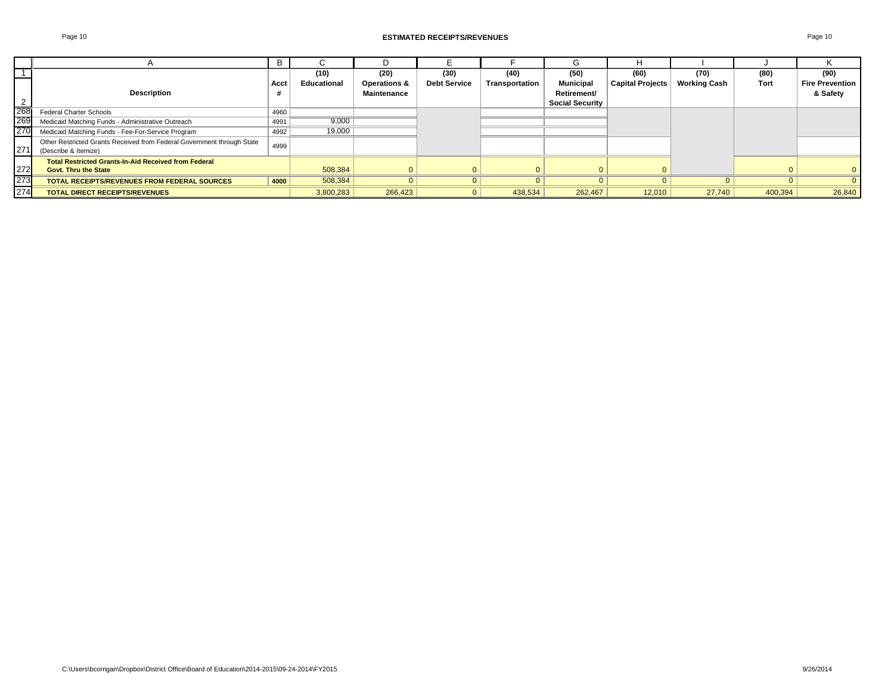|     |                                                                                                | B    |             |              |                     |                |                        |                  |                     |         |                        |
|-----|------------------------------------------------------------------------------------------------|------|-------------|--------------|---------------------|----------------|------------------------|------------------|---------------------|---------|------------------------|
|     |                                                                                                |      | (10)        | (20)         | (30)                | (40)           | (50)                   | (60)             | (70)                | (80)    | (90)                   |
|     |                                                                                                | Acct | Educational | Operations & | <b>Debt Service</b> | Transportation | <b>Municipal</b>       | Capital Projects | <b>Working Cash</b> | Tort    | <b>Fire Prevention</b> |
|     | <b>Description</b>                                                                             |      |             | Maintenance  |                     |                | Retirement/            |                  |                     |         | & Safety               |
|     |                                                                                                |      |             |              |                     |                | <b>Social Security</b> |                  |                     |         |                        |
| 268 | <b>Federal Charter Schools</b>                                                                 | 4960 |             |              |                     |                |                        |                  |                     |         |                        |
| 269 | Medicaid Matching Funds - Administrative Outreach                                              | 4991 | 9,000       |              |                     |                |                        |                  |                     |         |                        |
| 270 | Medicaid Matching Funds - Fee-For-Service Program                                              | 4992 | 19,000      |              |                     |                |                        |                  |                     |         |                        |
| 271 | Other Restricted Grants Received from Federal Government through State<br>(Describe & Itemize) | 4999 |             |              |                     |                |                        |                  |                     |         |                        |
|     | <b>Total Restricted Grants-In-Aid Received from Federal</b>                                    |      |             |              |                     |                |                        |                  |                     |         |                        |
| 272 | <b>Govt. Thru the State</b>                                                                    |      | 508.384     |              |                     |                |                        |                  |                     |         | $\mathbf{0}$           |
| 273 | <b>TOTAL RECEIPTS/REVENUES FROM FEDERAL SOURCES</b>                                            | 4000 | 508,384     |              |                     |                |                        |                  |                     |         |                        |
| 274 | <b>TOTAL DIRECT RECEIPTS/REVENUES</b>                                                          |      | 3,800,283   | 266,423      |                     | 438,534        | 262,467                | 12,010           | 27,740              | 400,394 | 26,840                 |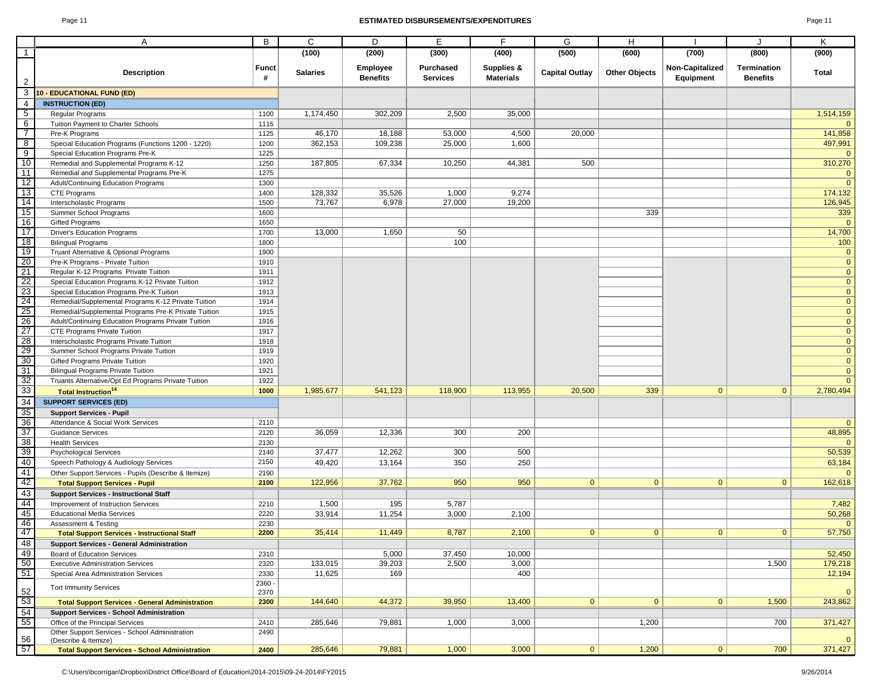#### Page 11 **ESTIMATED DISBURSEMENTS/EXPENDITURES** Page 11

|                                                                                                           | Α                                                                               | B                 | $\mathsf{C}$      | D                                  | E                                   | F                              | G                     | H                    |                              | $\cdot$                        | Κ                       |
|-----------------------------------------------------------------------------------------------------------|---------------------------------------------------------------------------------|-------------------|-------------------|------------------------------------|-------------------------------------|--------------------------------|-----------------------|----------------------|------------------------------|--------------------------------|-------------------------|
| $\overline{1}$                                                                                            |                                                                                 |                   | (100)             | (200)                              | (300)                               | (400)                          | (500)                 | (600)                | (700)                        | (800)                          | (900)                   |
|                                                                                                           |                                                                                 |                   |                   |                                    |                                     |                                |                       |                      |                              |                                |                         |
| $\overline{2}$                                                                                            | <b>Description</b>                                                              | <b>Funct</b><br># | <b>Salaries</b>   | <b>Employee</b><br><b>Benefits</b> | <b>Purchased</b><br><b>Services</b> | Supplies &<br><b>Materials</b> | <b>Capital Outlay</b> | <b>Other Objects</b> | Non-Capitalized<br>Equipment | Termination<br><b>Benefits</b> | Total                   |
| 3                                                                                                         | 10 - EDUCATIONAL FUND (ED)                                                      |                   |                   |                                    |                                     |                                |                       |                      |                              |                                |                         |
| $\overline{4}$                                                                                            | <b>INSTRUCTION (ED)</b>                                                         |                   |                   |                                    |                                     |                                |                       |                      |                              |                                |                         |
| $5\overline{)}$                                                                                           | Regular Programs                                                                | 1100              | 1,174,450         | 302,209                            | 2,500                               | 35,000                         |                       |                      |                              |                                | 1,514,159               |
| $6\overline{6}$                                                                                           | Tuition Payment to Charter Schools                                              | 1115              |                   |                                    |                                     |                                |                       |                      |                              |                                |                         |
| $\overline{7}$                                                                                            | Pre-K Programs                                                                  | 1125              | 46,170            | 18,188                             | 53,000                              | 4,500                          | 20,000                |                      |                              |                                | 141,858                 |
| 8                                                                                                         | Special Education Programs (Functions 1200 - 1220)                              | 1200              | 362,153           | 109,238                            | 25,000                              | 1,600                          |                       |                      |                              |                                | 497,991                 |
| 9                                                                                                         | Special Education Programs Pre-K                                                | 1225              |                   |                                    |                                     |                                |                       |                      |                              |                                | $\Omega$                |
| 10                                                                                                        | Remedial and Supplemental Programs K-12                                         | 1250              | 187,805           | 67,334                             | 10,250                              | 44,381                         | 500                   |                      |                              |                                | 310,270                 |
| 11                                                                                                        | Remedial and Supplemental Programs Pre-K                                        | 1275              |                   |                                    |                                     |                                |                       |                      |                              |                                | $\mathbf 0$             |
| 12                                                                                                        | Adult/Continuing Education Programs                                             | 1300              |                   |                                    |                                     |                                |                       |                      |                              |                                | $\Omega$                |
| 13                                                                                                        | CTE Programs                                                                    | 1400              | 128,332           | 35,526                             | 1,000                               | 9,274                          |                       |                      |                              |                                | 174,132                 |
| 14                                                                                                        | Interscholastic Programs                                                        | 1500              | 73,767            | 6,978                              | 27,000                              | 19,200                         |                       |                      |                              |                                | 126,945                 |
| 15                                                                                                        | Summer School Programs                                                          | 1600              |                   |                                    |                                     |                                |                       | 339                  |                              |                                | 339                     |
| 16                                                                                                        | Gifted Programs                                                                 | 1650              |                   |                                    |                                     |                                |                       |                      |                              |                                | $\Omega$                |
| 17                                                                                                        | <b>Driver's Education Programs</b>                                              | 1700              | 13,000            | 1,650                              | 50                                  |                                |                       |                      |                              |                                | 14,700                  |
| 18                                                                                                        | <b>Bilingual Programs</b>                                                       | 1800              |                   |                                    | 100                                 |                                |                       |                      |                              |                                | 100                     |
| 19                                                                                                        | Truant Alternative & Optional Programs                                          | 1900              |                   |                                    |                                     |                                |                       |                      |                              |                                | $\mathbf{0}$            |
| 20                                                                                                        | Pre-K Programs - Private Tuition                                                | 1910              |                   |                                    |                                     |                                |                       |                      |                              |                                | $\pmb{0}$               |
| 21                                                                                                        | Regular K-12 Programs Private Tuition                                           | 1911              |                   |                                    |                                     |                                |                       |                      |                              |                                | $\mathbf 0$             |
| $\frac{22}{23}$                                                                                           | Special Education Programs K-12 Private Tuition                                 | 1912              |                   |                                    |                                     |                                |                       |                      |                              |                                | $\mathbf 0$             |
|                                                                                                           | Special Education Programs Pre-K Tuition                                        | 1913              |                   |                                    |                                     |                                |                       |                      |                              |                                | $\mathbf 0$             |
| 24                                                                                                        | Remedial/Supplemental Programs K-12 Private Tuition                             | 1914              |                   |                                    |                                     |                                |                       |                      |                              |                                | $\pmb{0}$               |
| 25                                                                                                        | Remedial/Supplemental Programs Pre-K Private Tuition                            | 1915              |                   |                                    |                                     |                                |                       |                      |                              |                                | $\mathbf 0$             |
| $\frac{26}{27}$                                                                                           | Adult/Continuing Education Programs Private Tuition                             | 1916              |                   |                                    |                                     |                                |                       |                      |                              |                                | $\pmb{0}$               |
|                                                                                                           | CTE Programs Private Tuition                                                    | 1917              |                   |                                    |                                     |                                |                       |                      |                              |                                | $\overline{0}$          |
| 28                                                                                                        | Interscholastic Programs Private Tuition                                        | 1918              |                   |                                    |                                     |                                |                       |                      |                              |                                | $\pmb{0}$               |
| $\frac{29}{30}$                                                                                           | Summer School Programs Private Tuition                                          | 1919              |                   |                                    |                                     |                                |                       |                      |                              |                                | $\overline{\mathbf{0}}$ |
|                                                                                                           | Gifted Programs Private Tuition                                                 | 1920              |                   |                                    |                                     |                                |                       |                      |                              |                                | $\mathbf 0$             |
|                                                                                                           | <b>Bilingual Programs Private Tuition</b>                                       | 1921              |                   |                                    |                                     |                                |                       |                      |                              |                                | $\mathbf 0$             |
| $\frac{31}{32}$                                                                                           | Truants Alternative/Opt Ed Programs Private Tuition                             | 1922              |                   |                                    |                                     |                                |                       |                      |                              |                                | $\mathbf{0}$            |
|                                                                                                           | <b>Total Instruction<sup>14</sup></b>                                           | 1000              | 1,985,677         | 541,123                            | 118,900                             | 113,955                        | 20,500                | 339                  | $\mathbf{0}$                 | 0                              | 2,780,494               |
| $\begin{array}{r} \n \overline{33} \\  \overline{34} \\  \overline{35} \\  \overline{36} \\  \end{array}$ | <b>SUPPORT SERVICES (ED)</b>                                                    |                   |                   |                                    |                                     |                                |                       |                      |                              |                                |                         |
|                                                                                                           | <b>Support Services - Pupil</b>                                                 |                   |                   |                                    |                                     |                                |                       |                      |                              |                                |                         |
|                                                                                                           | Attendance & Social Work Services                                               | 2110              |                   |                                    |                                     |                                |                       |                      |                              |                                | $\mathbf{0}$            |
| 37                                                                                                        | <b>Guidance Services</b>                                                        | 2120              | 36,059            | 12,336                             | 300                                 | 200                            |                       |                      |                              |                                | 48,895                  |
| 38                                                                                                        | <b>Health Services</b>                                                          | 2130              |                   |                                    |                                     |                                |                       |                      |                              |                                | $\mathbf{0}$            |
|                                                                                                           | <b>Psychological Services</b>                                                   | 2140              | 37,477            | 12,262                             | 300                                 | 500                            |                       |                      |                              |                                | 50,539                  |
|                                                                                                           | Speech Pathology & Audiology Services                                           | 2150              | 49,420            | 13,164                             | 350                                 | 250                            |                       |                      |                              |                                | 63,184                  |
|                                                                                                           | Other Support Services - Pupils (Describe & Itemize)                            | 2190              |                   |                                    |                                     |                                |                       |                      |                              |                                | $\Omega$                |
|                                                                                                           | <b>Total Support Services - Pupil</b>                                           | 2100              | 122,956           | 37,762                             | 950                                 | 950                            | $\mathbf{0}$          | $\mathbf{0}$         | $\mathbf{0}$                 | $\mathbf{0}$                   | 162,618                 |
| $\begin{array}{r} 39 \\ \hline 40 \\ \hline 42 \\ \hline 43 \end{array}$                                  | <b>Support Services - Instructional Staff</b>                                   |                   |                   |                                    |                                     |                                |                       |                      |                              |                                |                         |
|                                                                                                           | Improvement of Instruction Services                                             |                   | 1,500             | 195                                | 5,787                               |                                |                       |                      |                              |                                | 7,482                   |
| $\frac{44}{45}$                                                                                           | <b>Educational Media Services</b>                                               | 2210<br>2220      | 33,914            | 11,254                             | 3,000                               | 2,100                          |                       |                      |                              |                                | 50,268                  |
| 46                                                                                                        | <b>Assessment &amp; Testing</b>                                                 | 2230              |                   |                                    |                                     |                                |                       |                      |                              |                                | $\mathbf{0}$            |
|                                                                                                           | <b>Total Support Services - Instructional Staff</b>                             | 2200              | 35,414            | 11,449                             | 8,787                               | 2,100                          | 0                     | $\overline{0}$       | 0                            | $\overline{0}$                 | 57,750                  |
|                                                                                                           |                                                                                 |                   |                   |                                    |                                     |                                |                       |                      |                              |                                |                         |
| $\begin{array}{r} 47 \\ \hline 48 \\ \hline 49 \\ \hline 50 \\ \hline 51 \end{array}$                     | <b>Support Services - General Administration</b><br>Board of Education Services | 2310              |                   | 5,000                              | 37,450                              | 10,000                         |                       |                      |                              |                                | 52,450                  |
|                                                                                                           |                                                                                 |                   |                   |                                    |                                     |                                |                       |                      |                              |                                |                         |
|                                                                                                           | <b>Executive Administration Services</b>                                        | 2320              | 133,015<br>11,625 | 39,203<br>169                      | 2,500                               | 3,000<br>400                   |                       |                      |                              | 1,500                          | 179,218                 |
|                                                                                                           | Special Area Administration Services                                            | 2330              |                   |                                    |                                     |                                |                       |                      |                              |                                | 12,194                  |
|                                                                                                           | <b>Tort Immunity Services</b>                                                   | 2360 -<br>2370    |                   |                                    |                                     |                                |                       |                      |                              |                                | $\mathbf{0}$            |
|                                                                                                           | <b>Total Support Services - General Administration</b>                          | 2300              | 144,640           | 44,372                             | 39,950                              | 13,400                         | 0                     | $\overline{0}$       | 0                            | 1,500                          | 243,862                 |
| $\begin{array}{r} 52 \\ 53 \\ \hline 54 \\ \hline 55 \end{array}$                                         | <b>Support Services - School Administration</b>                                 |                   |                   |                                    |                                     |                                |                       |                      |                              |                                |                         |
|                                                                                                           | Office of the Principal Services                                                | 2410              | 285,646           | 79,881                             | 1,000                               | 3,000                          |                       | 1,200                |                              | 700                            | 371,427                 |
|                                                                                                           | Other Support Services - School Administration                                  | 2490              |                   |                                    |                                     |                                |                       |                      |                              |                                |                         |
|                                                                                                           | (Describe & Itemize)                                                            |                   |                   |                                    |                                     |                                |                       |                      |                              |                                | $\mathbf 0$             |
| $\frac{56}{57}$                                                                                           | <b>Total Support Services - School Administration</b>                           | 2400              | 285,646           | 79,881                             | 1,000                               | 3,000                          | 0                     | 1,200                | 0                            | 700                            | 371,427                 |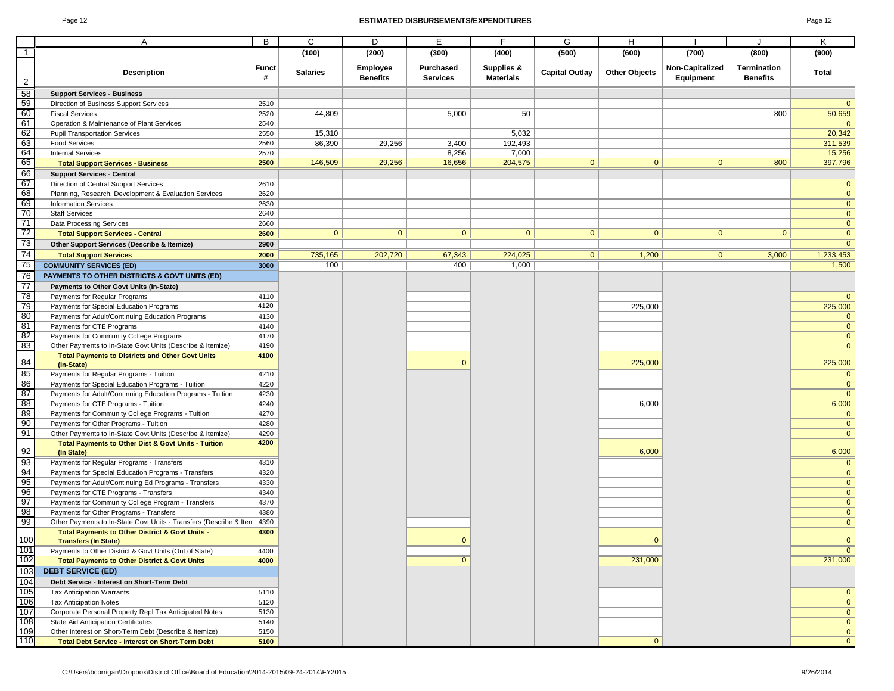#### Page 12 **ESTIMATED DISBURSEMENTS/EXPENDITURES** Page 12

| 10<br>эг |  |
|----------|--|
|----------|--|

|                                                                                               | Α                                                                                         | B     | C               | D               | E               | F.               | G                     | Н                    |                 | J               | Κ                       |
|-----------------------------------------------------------------------------------------------|-------------------------------------------------------------------------------------------|-------|-----------------|-----------------|-----------------|------------------|-----------------------|----------------------|-----------------|-----------------|-------------------------|
|                                                                                               |                                                                                           |       | (100)           | (200)           | (300)           | (400)            | (500)                 | (600)                | (700)           | (800)           | (900)                   |
|                                                                                               |                                                                                           |       |                 |                 |                 |                  |                       |                      |                 |                 |                         |
|                                                                                               | <b>Description</b>                                                                        | Funct | <b>Salaries</b> | <b>Employee</b> | Purchased       | Supplies &       | <b>Capital Outlay</b> | <b>Other Objects</b> | Non-Capitalized | Termination     | Total                   |
| $\overline{2}$                                                                                |                                                                                           | #     |                 | <b>Benefits</b> | <b>Services</b> | <b>Materials</b> |                       |                      | Equipment       | <b>Benefits</b> |                         |
| 58                                                                                            | <b>Support Services - Business</b>                                                        |       |                 |                 |                 |                  |                       |                      |                 |                 |                         |
|                                                                                               | Direction of Business Support Services                                                    | 2510  |                 |                 |                 |                  |                       |                      |                 |                 | $\mathbf{0}$            |
|                                                                                               | <b>Fiscal Services</b>                                                                    | 2520  | 44,809          |                 | 5,000           | 50               |                       |                      |                 | 800             | 50,659                  |
|                                                                                               | Operation & Maintenance of Plant Services                                                 | 2540  |                 |                 |                 |                  |                       |                      |                 |                 | $\overline{0}$          |
|                                                                                               | <b>Pupil Transportation Services</b>                                                      | 2550  | 15,310          |                 |                 | 5,032            |                       |                      |                 |                 | 20,342                  |
|                                                                                               | <b>Food Services</b>                                                                      | 2560  | 86,390          | 29,256          | 3,400           | 192,493          |                       |                      |                 |                 | 311,539                 |
|                                                                                               | <b>Internal Services</b>                                                                  | 2570  |                 |                 | 8,256           | 7,000            |                       |                      |                 |                 | 15,256                  |
|                                                                                               | <b>Total Support Services - Business</b>                                                  | 2500  | 146,509         | 29,256          | 16,656          | 204,575          | $\mathbf{0}$          | $\mathbf{0}$         | $\overline{0}$  | 800             | 397,796                 |
|                                                                                               | <b>Support Services - Central</b>                                                         |       |                 |                 |                 |                  |                       |                      |                 |                 |                         |
|                                                                                               | Direction of Central Support Services                                                     | 2610  |                 |                 |                 |                  |                       |                      |                 |                 | $\mathbf{0}$            |
|                                                                                               | Planning, Research, Development & Evaluation Services                                     | 2620  |                 |                 |                 |                  |                       |                      |                 |                 | $\mathbf 0$             |
|                                                                                               | <b>Information Services</b>                                                               | 2630  |                 |                 |                 |                  |                       |                      |                 |                 | $\mathbf{0}$            |
|                                                                                               | <b>Staff Services</b>                                                                     | 2640  |                 |                 |                 |                  |                       |                      |                 |                 | $\mathbf{0}$            |
|                                                                                               | Data Processing Services                                                                  | 2660  |                 |                 |                 |                  |                       |                      |                 |                 | $\mathbf{0}$            |
|                                                                                               | <b>Total Support Services - Central</b>                                                   | 2600  | $\mathbf{0}$    | $\overline{0}$  | $\mathbf{0}$    | $\overline{0}$   | $\mathbf{0}$          | $\overline{0}$       | 0 <sup>1</sup>  | $\overline{0}$  | $\mathbf{0}$            |
| 59<br>60<br>61<br>62<br>63<br>64<br>65<br>66<br>7<br>7<br>7<br>7<br>7<br>7<br>7<br>7<br><br>7 | Other Support Services (Describe & Itemize)                                               | 2900  |                 |                 |                 |                  |                       |                      |                 |                 | $\overline{0}$          |
|                                                                                               | <b>Total Support Services</b>                                                             | 2000  | 735,165         | 202,720         | 67,343          | 224,025          | $\overline{0}$        | 1,200                | 0 <sup>1</sup>  | 3,000           | 1,233,453               |
| 75                                                                                            | <b>COMMUNITY SERVICES (ED)</b>                                                            | 3000  | 100             |                 | 400             | 1,000            |                       |                      |                 |                 | 1,500                   |
| 76                                                                                            | PAYMENTS TO OTHER DISTRICTS & GOVT UNITS (ED)                                             |       |                 |                 |                 |                  |                       |                      |                 |                 |                         |
| 77                                                                                            | Payments to Other Govt Units (In-State)                                                   |       |                 |                 |                 |                  |                       |                      |                 |                 |                         |
|                                                                                               |                                                                                           | 4110  |                 |                 |                 |                  |                       |                      |                 |                 |                         |
|                                                                                               | Payments for Regular Programs                                                             | 4120  |                 |                 |                 |                  |                       | 225,000              |                 |                 | $\mathbf{0}$<br>225,000 |
| 78<br>79<br>80<br>81                                                                          | Payments for Special Education Programs                                                   | 4130  |                 |                 |                 |                  |                       |                      |                 |                 | $\mathbf{0}$            |
|                                                                                               | Payments for Adult/Continuing Education Programs<br>Payments for CTE Programs             | 4140  |                 |                 |                 |                  |                       |                      |                 |                 | $\mathbf{0}$            |
| 82                                                                                            | Payments for Community College Programs                                                   | 4170  |                 |                 |                 |                  |                       |                      |                 |                 | $\mathbf 0$             |
| 83                                                                                            | Other Payments to In-State Govt Units (Describe & Itemize)                                | 4190  |                 |                 |                 |                  |                       |                      |                 |                 | $\mathbf{0}$            |
|                                                                                               | <b>Total Payments to Districts and Other Govt Units</b>                                   | 4100  |                 |                 |                 |                  |                       |                      |                 |                 |                         |
| 84                                                                                            | (In-State)                                                                                |       |                 |                 | $\Omega$        |                  |                       | 225,000              |                 |                 | 225,000                 |
| 85                                                                                            | Payments for Regular Programs - Tuition                                                   | 4210  |                 |                 |                 |                  |                       |                      |                 |                 | $\mathbf{0}$            |
|                                                                                               | Payments for Special Education Programs - Tuition                                         | 4220  |                 |                 |                 |                  |                       |                      |                 |                 | $\mathbf 0$             |
| $\frac{86}{87}$                                                                               | Payments for Adult/Continuing Education Programs - Tuition                                | 4230  |                 |                 |                 |                  |                       |                      |                 |                 | $\mathbf{0}$            |
| $\begin{array}{r}\n 88 \\  89 \\  \hline\n 90\n \end{array}$                                  | Payments for CTE Programs - Tuition                                                       | 4240  |                 |                 |                 |                  |                       | 6,000                |                 |                 | 6,000                   |
|                                                                                               | Payments for Community College Programs - Tuition                                         | 4270  |                 |                 |                 |                  |                       |                      |                 |                 | $\mathbf{0}$            |
|                                                                                               | Payments for Other Programs - Tuition                                                     | 4280  |                 |                 |                 |                  |                       |                      |                 |                 | $\mathbf{0}$            |
| $\frac{6}{91}$                                                                                | Other Payments to In-State Govt Units (Describe & Itemize)                                | 4290  |                 |                 |                 |                  |                       |                      |                 |                 | $\overline{0}$          |
|                                                                                               | <b>Total Payments to Other Dist &amp; Govt Units - Tuition</b>                            | 4200  |                 |                 |                 |                  |                       |                      |                 |                 |                         |
| 92                                                                                            | (In State)                                                                                |       |                 |                 |                 |                  |                       | 6,000                |                 |                 | 6,000                   |
| 93<br>94<br>95<br>96<br>97<br>98<br>99                                                        | Payments for Regular Programs - Transfers                                                 | 4310  |                 |                 |                 |                  |                       |                      |                 |                 | $\mathbf{0}$            |
|                                                                                               | Payments for Special Education Programs - Transfers                                       | 4320  |                 |                 |                 |                  |                       |                      |                 |                 | $\mathbf 0$             |
|                                                                                               | Payments for Adult/Continuing Ed Programs - Transfers                                     | 4330  |                 |                 |                 |                  |                       |                      |                 |                 | $\mathbf{0}$            |
|                                                                                               | Payments for CTE Programs - Transfers                                                     | 4340  |                 |                 |                 |                  |                       |                      |                 |                 | $\mathbf{0}$            |
|                                                                                               | Payments for Community College Program - Transfers                                        | 4370  |                 |                 |                 |                  |                       |                      |                 |                 | $\mathbf{0}$            |
|                                                                                               | Payments for Other Programs - Transfers                                                   | 4380  |                 |                 |                 |                  |                       |                      |                 |                 | $\mathbf 0$             |
|                                                                                               | Other Payments to In-State Govt Units - Transfers (Describe & Item                        | 4390  |                 |                 |                 |                  |                       |                      |                 |                 | $\mathbf{0}$            |
| 100                                                                                           | <b>Total Payments to Other District &amp; Govt Units -</b><br><b>Transfers (In State)</b> | 4300  |                 |                 | $\mathbf 0$     |                  |                       |                      |                 |                 | $\mathbf{0}$            |
| 101                                                                                           | Payments to Other District & Govt Units (Out of State)                                    | 4400  |                 |                 |                 |                  |                       |                      |                 |                 | $\overline{0}$          |
| 102                                                                                           | <b>Total Payments to Other District &amp; Govt Units</b>                                  | 4000  |                 |                 | $\overline{0}$  |                  |                       | 231,000              |                 |                 | 231,000                 |
| 103                                                                                           | <b>DEBT SERVICE (ED)</b>                                                                  |       |                 |                 |                 |                  |                       |                      |                 |                 |                         |
| $\frac{104}{105}$<br>$\frac{106}{107}$                                                        | Debt Service - Interest on Short-Term Debt                                                |       |                 |                 |                 |                  |                       |                      |                 |                 |                         |
|                                                                                               | <b>Tax Anticipation Warrants</b>                                                          | 5110  |                 |                 |                 |                  |                       |                      |                 |                 | $\mathbf{0}$            |
|                                                                                               | <b>Tax Anticipation Notes</b>                                                             | 5120  |                 |                 |                 |                  |                       |                      |                 |                 | $\overline{0}$          |
|                                                                                               | Corporate Personal Property Repl Tax Anticipated Notes                                    | 5130  |                 |                 |                 |                  |                       |                      |                 |                 | $\overline{0}$          |
| 108                                                                                           | State Aid Anticipation Certificates                                                       | 5140  |                 |                 |                 |                  |                       |                      |                 |                 | $\overline{0}$          |
| 109                                                                                           | Other Interest on Short-Term Debt (Describe & Itemize)                                    | 5150  |                 |                 |                 |                  |                       |                      |                 |                 | $\overline{0}$          |
| 110                                                                                           | <b>Total Debt Service - Interest on Short-Term Debt</b>                                   | 5100  |                 |                 |                 |                  |                       | $\mathbf{0}$         |                 |                 | $\overline{0}$          |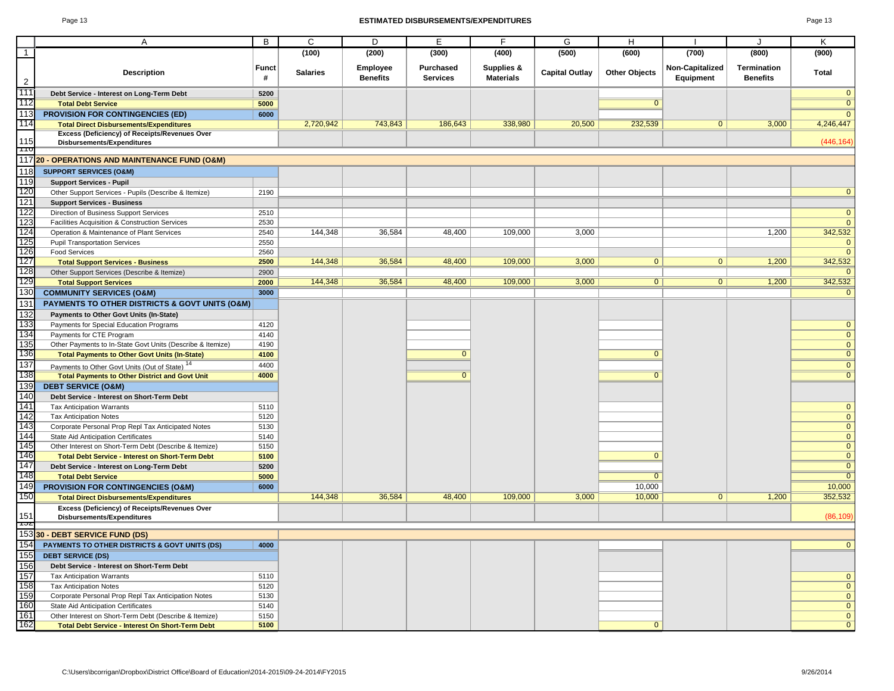#### Page 13 **ESTIMATED DISBURSEMENTS/EXPENDITURES** Page 13

| ١P<br>٠ |  |
|---------|--|
|---------|--|

|                                     | Α                                                                                                          | B                 | C               | D                           | Е                            | F                              | G                     | Н                    |                              | J                              | Κ                             |
|-------------------------------------|------------------------------------------------------------------------------------------------------------|-------------------|-----------------|-----------------------------|------------------------------|--------------------------------|-----------------------|----------------------|------------------------------|--------------------------------|-------------------------------|
| $\overline{1}$                      |                                                                                                            |                   | (100)           | (200)                       | (300)                        | (400)                          | (500)                 | (600)                | (700)                        | (800)                          | (900)                         |
|                                     |                                                                                                            |                   |                 |                             |                              |                                |                       |                      |                              |                                |                               |
| $\overline{c}$                      | <b>Description</b>                                                                                         | <b>Funct</b><br># | <b>Salaries</b> | Employee<br><b>Benefits</b> | Purchased<br><b>Services</b> | Supplies &<br><b>Materials</b> | <b>Capital Outlay</b> | <b>Other Objects</b> | Non-Capitalized<br>Equipment | Termination<br><b>Benefits</b> | Total                         |
| 111                                 | Debt Service - Interest on Long-Term Debt                                                                  | 5200              |                 |                             |                              |                                |                       |                      |                              |                                | $\mathbf 0$                   |
| 112                                 | <b>Total Debt Service</b>                                                                                  | 5000              |                 |                             |                              |                                |                       | $\overline{0}$       |                              |                                | $\overline{0}$                |
| 113                                 | <b>PROVISION FOR CONTINGENCIES (ED)</b>                                                                    | 6000              |                 |                             |                              |                                |                       |                      |                              |                                | $\Omega$                      |
| 114                                 | <b>Total Direct Disbursements/Expenditures</b>                                                             |                   | 2,720,942       | 743,843                     | 186,643                      | 338,980                        | 20,500                | 232,539              | $\mathbf{0}$                 | 3,000                          | 4,246,447                     |
|                                     | Excess (Deficiency) of Receipts/Revenues Over                                                              |                   |                 |                             |                              |                                |                       |                      |                              |                                |                               |
| 115<br>$\overline{\phantom{a}}$     | Disbursements/Expenditures                                                                                 |                   |                 |                             |                              |                                |                       |                      |                              |                                | (446, 164)                    |
|                                     | 117 20 - OPERATIONS AND MAINTENANCE FUND (O&M)                                                             |                   |                 |                             |                              |                                |                       |                      |                              |                                |                               |
| 118                                 | <b>SUPPORT SERVICES (O&amp;M)</b>                                                                          |                   |                 |                             |                              |                                |                       |                      |                              |                                |                               |
| 119                                 | <b>Support Services - Pupil</b>                                                                            |                   |                 |                             |                              |                                |                       |                      |                              |                                |                               |
| 120                                 | Other Support Services - Pupils (Describe & Itemize)                                                       | 2190              |                 |                             |                              |                                |                       |                      |                              |                                | $\mathbf 0$                   |
| 121                                 | <b>Support Services - Business</b>                                                                         |                   |                 |                             |                              |                                |                       |                      |                              |                                |                               |
| 122                                 | Direction of Business Support Services                                                                     | 2510              |                 |                             |                              |                                |                       |                      |                              |                                | $\mathbf 0$                   |
|                                     | Facilities Acquisition & Construction Services                                                             | 2530              |                 |                             |                              |                                |                       |                      |                              |                                | $\overline{0}$                |
| $\frac{123}{124}$                   | Operation & Maintenance of Plant Services                                                                  | 2540              | 144,348         | 36,584                      | 48,400                       | 109,000                        | 3,000                 |                      |                              | 1,200                          | 342,532                       |
|                                     | <b>Pupil Transportation Services</b>                                                                       | 2550              |                 |                             |                              |                                |                       |                      |                              |                                | $\mathbf 0$                   |
|                                     | <b>Food Services</b>                                                                                       | 2560              |                 |                             |                              |                                |                       |                      |                              |                                | $\mathbf{0}$                  |
| $\frac{125}{126}$                   | <b>Total Support Services - Business</b>                                                                   | 2500              | 144,348         | 36,584                      | 48,400                       | 109,000                        | 3,000                 | $\mathbf{0}$         | $\mathbf{0}$                 | 1,200                          | 342,532                       |
| 128                                 | Other Support Services (Describe & Itemize)                                                                | 2900              |                 |                             |                              |                                |                       |                      |                              |                                |                               |
| 129                                 | <b>Total Support Services</b>                                                                              | 2000              | 144,348         | 36,584                      | 48,400                       | 109,000                        | 3,000                 | $\overline{0}$       | $\overline{0}$               | 1,200                          | 342,532                       |
| 130                                 | <b>COMMUNITY SERVICES (O&amp;M)</b>                                                                        | 3000              |                 |                             |                              |                                |                       |                      |                              |                                | $\mathbf{0}$                  |
| 131                                 | <b>PAYMENTS TO OTHER DISTRICTS &amp; GOVT UNITS (O&amp;M)</b>                                              |                   |                 |                             |                              |                                |                       |                      |                              |                                |                               |
| 132                                 | Payments to Other Govt Units (In-State)                                                                    |                   |                 |                             |                              |                                |                       |                      |                              |                                |                               |
|                                     | Payments for Special Education Programs                                                                    | 4120              |                 |                             |                              |                                |                       |                      |                              |                                | $\mathbf 0$                   |
| $\frac{133}{134}$ $\frac{134}{135}$ | Payments for CTE Program                                                                                   | 4140              |                 |                             |                              |                                |                       |                      |                              |                                | $\mathbf 0$                   |
|                                     | Other Payments to In-State Govt Units (Describe & Itemize)                                                 | 4190              |                 |                             |                              |                                |                       |                      |                              |                                | $\mathbf 0$                   |
|                                     | <b>Total Payments to Other Govt Units (In-State)</b>                                                       | 4100              |                 |                             | $\mathbf{0}$                 |                                |                       | $\mathbf{0}$         |                              |                                | $\overline{0}$                |
|                                     |                                                                                                            | 4400              |                 |                             |                              |                                |                       |                      |                              |                                | $\overline{0}$                |
| 137<br>138                          | Payments to Other Govt Units (Out of State) <sup>14</sup>                                                  |                   |                 |                             | $\overline{0}$               |                                |                       | $\overline{0}$       |                              |                                | $\overline{0}$                |
| 139                                 | <b>Total Payments to Other District and Govt Unit</b>                                                      | 4000              |                 |                             |                              |                                |                       |                      |                              |                                |                               |
| 140                                 | <b>DEBT SERVICE (O&amp;M)</b>                                                                              |                   |                 |                             |                              |                                |                       |                      |                              |                                |                               |
| 141                                 | Debt Service - Interest on Short-Term Debt                                                                 |                   |                 |                             |                              |                                |                       |                      |                              |                                |                               |
|                                     | <b>Tax Anticipation Warrants</b>                                                                           | 5110<br>5120      |                 |                             |                              |                                |                       |                      |                              |                                | $\mathbf 0$<br>$\overline{0}$ |
| $\frac{142}{143}$                   | <b>Tax Anticipation Notes</b><br>Corporate Personal Prop Repl Tax Anticipated Notes                        |                   |                 |                             |                              |                                |                       |                      |                              |                                | $\mathbf 0$                   |
|                                     |                                                                                                            | 5130              |                 |                             |                              |                                |                       |                      |                              |                                | $\mathbf 0$                   |
| 145                                 | State Aid Anticipation Certificates<br>Other Interest on Short-Term Debt (Describe & Itemize)              | 5140<br>5150      |                 |                             |                              |                                |                       |                      |                              |                                | $\overline{0}$                |
| 146                                 | <b>Total Debt Service - Interest on Short-Term Debt</b>                                                    | 5100              |                 |                             |                              |                                |                       | $\mathbf{0}$         |                              |                                | $\overline{0}$                |
| 147                                 | Debt Service - Interest on Long-Term Debt                                                                  | 5200              |                 |                             |                              |                                |                       |                      |                              |                                | $\overline{0}$                |
| 148                                 | <b>Total Debt Service</b>                                                                                  | 5000              |                 |                             |                              |                                |                       | $\overline{0}$       |                              |                                | $\overline{0}$                |
| 149                                 | PROVISION FOR CONTINGENCIES (O&M)                                                                          | 6000              |                 |                             |                              |                                |                       | 10,000               |                              |                                | 10,000                        |
| 150                                 | <b>Total Direct Disbursements/Expenditures</b>                                                             |                   | 144,348         | 36,584                      | 48,400                       | 109,000                        | 3,000                 | 10,000               | $\mathbf{0}$                 | 1,200                          | 352,532                       |
|                                     | Excess (Deficiency) of Receipts/Revenues Over                                                              |                   |                 |                             |                              |                                |                       |                      |                              |                                |                               |
| 151<br>πυz                          | <b>Disbursements/Expenditures</b>                                                                          |                   |                 |                             |                              |                                |                       |                      |                              |                                | (86, 109)                     |
|                                     | 153330 - DEBT SERVICE FUND (DS)                                                                            |                   |                 |                             |                              |                                |                       |                      |                              |                                |                               |
|                                     |                                                                                                            |                   |                 |                             |                              |                                |                       |                      |                              |                                | $\overline{0}$                |
| 154                                 | PAYMENTS TO OTHER DISTRICTS & GOVT UNITS (DS)                                                              | 4000              |                 |                             |                              |                                |                       |                      |                              |                                |                               |
| 155                                 | <b>DEBT SERVICE (DS)</b>                                                                                   |                   |                 |                             |                              |                                |                       |                      |                              |                                |                               |
| 156                                 | Debt Service - Interest on Short-Term Debt                                                                 |                   |                 |                             |                              |                                |                       |                      |                              |                                |                               |
| 157<br>158<br>159<br>160<br>161     | <b>Tax Anticipation Warrants</b>                                                                           | 5110              |                 |                             |                              |                                |                       |                      |                              |                                | $\mathbf 0$                   |
|                                     | <b>Tax Anticipation Notes</b><br>Corporate Personal Prop Repl Tax Anticipation Notes                       | 5120<br>5130      |                 |                             |                              |                                |                       |                      |                              |                                | $\mathbf 0$<br>$\overline{0}$ |
|                                     | State Aid Anticipation Certificates                                                                        | 5140              |                 |                             |                              |                                |                       |                      |                              |                                | $\overline{0}$                |
|                                     |                                                                                                            |                   |                 |                             |                              |                                |                       |                      |                              |                                | $\overline{0}$                |
| 162                                 | Other Interest on Short-Term Debt (Describe & Itemize)<br>Total Debt Service - Interest On Short-Term Debt | 5150<br>5100      |                 |                             |                              |                                |                       | $\mathbf{0}$         |                              |                                | $\overline{0}$                |
|                                     |                                                                                                            |                   |                 |                             |                              |                                |                       |                      |                              |                                |                               |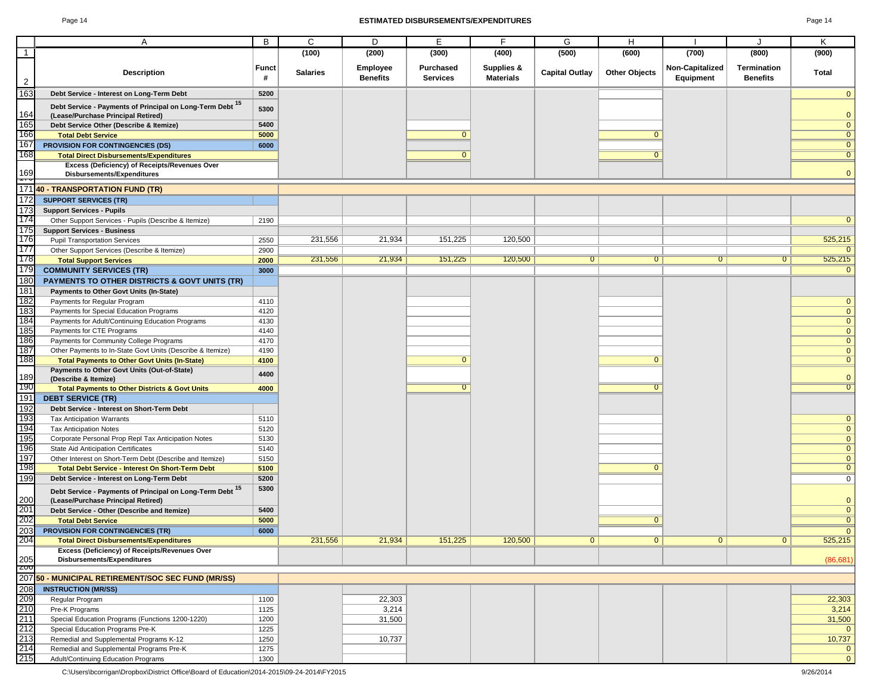#### Page 14 **ESTIMATED DISBURSEMENTS/EXPENDITURES** Page 14

|                                 | Α                                                                                  | B            | C               | D               | Е               | F                | G                     | н                    |                 | J                  | Κ                                |
|---------------------------------|------------------------------------------------------------------------------------|--------------|-----------------|-----------------|-----------------|------------------|-----------------------|----------------------|-----------------|--------------------|----------------------------------|
| $\overline{1}$                  |                                                                                    |              | (100)           | (200)           | (300)           | (400)            | (500)                 | (600)                | (700)           | (800)              | (900)                            |
|                                 |                                                                                    | <b>Funct</b> |                 | <b>Employee</b> | Purchased       | Supplies &       |                       |                      | Non-Capitalized | <b>Termination</b> |                                  |
|                                 | <b>Description</b>                                                                 | #            | <b>Salaries</b> | <b>Benefits</b> | <b>Services</b> | <b>Materials</b> | <b>Capital Outlay</b> | <b>Other Objects</b> | Equipment       | <b>Benefits</b>    | Total                            |
| $\overline{2}$                  |                                                                                    |              |                 |                 |                 |                  |                       |                      |                 |                    |                                  |
| 163                             | Debt Service - Interest on Long-Term Debt                                          | 5200         |                 |                 |                 |                  |                       |                      |                 |                    | $\mathbf{0}$                     |
|                                 | Debt Service - Payments of Principal on Long-Term Debt 15                          | 5300         |                 |                 |                 |                  |                       |                      |                 |                    |                                  |
| 164                             | (Lease/Purchase Principal Retired)                                                 | 5400         |                 |                 |                 |                  |                       |                      |                 |                    | $\mathbf{0}$                     |
| 165<br>166                      | Debt Service Other (Describe & Itemize)                                            | 5000         |                 |                 | $\mathbf{0}$    |                  |                       | $\mathbf{0}$         |                 |                    | $\overline{0}$<br>$\mathbf{0}$   |
| 167                             | <b>Total Debt Service</b><br>PROVISION FOR CONTINGENCIES (DS)                      | 6000         |                 |                 |                 |                  |                       |                      |                 |                    | $\overline{0}$                   |
| 168                             | <b>Total Direct Disbursements/Expenditures</b>                                     |              |                 |                 | $\mathbf{0}$    |                  |                       | $\overline{0}$       |                 |                    | $\overline{0}$                   |
|                                 | Excess (Deficiency) of Receipts/Revenues Over                                      |              |                 |                 |                 |                  |                       |                      |                 |                    |                                  |
| 169                             | Disbursements/Expenditures                                                         |              |                 |                 |                 |                  |                       |                      |                 |                    | $\Omega$                         |
| ---                             | 17140 - TRANSPORTATION FUND (TR)                                                   |              |                 |                 |                 |                  |                       |                      |                 |                    |                                  |
| 172                             | <b>SUPPORT SERVICES (TR)</b>                                                       |              |                 |                 |                 |                  |                       |                      |                 |                    |                                  |
| 173                             | <b>Support Services - Pupils</b>                                                   |              |                 |                 |                 |                  |                       |                      |                 |                    |                                  |
| 174                             | Other Support Services - Pupils (Describe & Itemize)                               | 2190         |                 |                 |                 |                  |                       |                      |                 |                    | $\Omega$                         |
| 175                             | <b>Support Services - Business</b>                                                 |              |                 |                 |                 |                  |                       |                      |                 |                    |                                  |
| 176                             | <b>Pupil Transportation Services</b>                                               | 2550         | 231,556         | 21,934          | 151,225         | 120,500          |                       |                      |                 |                    | 525,215                          |
| 177                             | Other Support Services (Describe & Itemize)                                        | 2900         |                 |                 |                 |                  |                       |                      |                 |                    |                                  |
| 178                             | <b>Total Support Services</b>                                                      | 2000         | 231,556         | 21,934          | 151,225         | 120,500          | $\overline{0}$        | $\overline{0}$       | $\mathbf{0}$    | 0                  | 525,215                          |
| 179                             | <b>COMMUNITY SERVICES (TR)</b>                                                     | 3000         |                 |                 |                 |                  |                       |                      |                 |                    |                                  |
| 180                             | <b>PAYMENTS TO OTHER DISTRICTS &amp; GOVT UNITS (TR)</b>                           |              |                 |                 |                 |                  |                       |                      |                 |                    |                                  |
| 181<br>182<br>183<br>184<br>185 | Payments to Other Govt Units (In-State)                                            |              |                 |                 |                 |                  |                       |                      |                 |                    |                                  |
|                                 | Payments for Regular Program                                                       | 4110         |                 |                 |                 |                  |                       |                      |                 |                    | $\mathbf{0}$                     |
|                                 | Payments for Special Education Programs                                            | 4120         |                 |                 |                 |                  |                       |                      |                 |                    | $\mathbf 0$                      |
|                                 | Payments for Adult/Continuing Education Programs                                   | 4130         |                 |                 |                 |                  |                       |                      |                 |                    | $\mathbf{0}$                     |
|                                 | Payments for CTE Programs                                                          | 4140         |                 |                 |                 |                  |                       |                      |                 |                    | $\mathbf{0}$                     |
| 186                             | Payments for Community College Programs                                            | 4170         |                 |                 |                 |                  |                       |                      |                 |                    | $\mathbf{0}$                     |
| 187<br>188                      | Other Payments to In-State Govt Units (Describe & Itemize)                         | 4190         |                 |                 | $\overline{0}$  |                  |                       | $\Omega$             |                 |                    | $\mathbf{0}$<br>$\overline{0}$   |
|                                 | <b>Total Payments to Other Govt Units (In-State)</b>                               | 4100         |                 |                 |                 |                  |                       |                      |                 |                    |                                  |
| 189                             | Payments to Other Govt Units (Out-of-State)<br>(Describe & Itemize)                | 4400         |                 |                 |                 |                  |                       |                      |                 |                    | $\mathbf 0$                      |
| 190                             | <b>Total Payments to Other Districts &amp; Govt Units</b>                          | 4000         |                 |                 | $\overline{0}$  |                  |                       | $\Omega$             |                 |                    | $\overline{0}$                   |
| 191                             | <b>DEBT SERVICE (TR)</b>                                                           |              |                 |                 |                 |                  |                       |                      |                 |                    |                                  |
| 192                             | Debt Service - Interest on Short-Term Debt                                         |              |                 |                 |                 |                  |                       |                      |                 |                    |                                  |
| 193                             | <b>Tax Anticipation Warrants</b>                                                   | 5110         |                 |                 |                 |                  |                       |                      |                 |                    | $\mathbf 0$                      |
|                                 | <b>Tax Anticipation Notes</b>                                                      | 5120         |                 |                 |                 |                  |                       |                      |                 |                    | $\mathbf{0}$                     |
|                                 | Corporate Personal Prop Repl Tax Anticipation Notes                                | 5130         |                 |                 |                 |                  |                       |                      |                 |                    | $\mathbf{0}$                     |
|                                 | State Aid Anticipation Certificates                                                | 5140         |                 |                 |                 |                  |                       |                      |                 |                    | $\mathbf 0$                      |
| 194<br>195<br>196<br>197<br>198 | Other Interest on Short-Term Debt (Describe and Itemize)                           | 5150         |                 |                 |                 |                  |                       |                      |                 |                    | $\mathbf 0$                      |
|                                 | <b>Total Debt Service - Interest On Short-Term Debt</b>                            | 5100         |                 |                 |                 |                  |                       | $\mathbf{0}$         |                 |                    | $\overline{0}$                   |
| 199                             | Debt Service - Interest on Long-Term Debt                                          | 5200         |                 |                 |                 |                  |                       |                      |                 |                    | $\overline{0}$                   |
|                                 | Debt Service - Payments of Principal on Long-Term Debt 15                          | 5300         |                 |                 |                 |                  |                       |                      |                 |                    |                                  |
| 200                             | (Lease/Purchase Principal Retired)                                                 |              |                 |                 |                 |                  |                       |                      |                 |                    | $\mathbf 0$                      |
| 201<br>202                      | Debt Service - Other (Describe and Itemize)                                        | 5400         |                 |                 |                 |                  |                       |                      |                 |                    | $\overline{0}$<br>$\overline{0}$ |
| 203                             | <b>Total Debt Service</b>                                                          | 5000         |                 |                 |                 |                  |                       |                      |                 |                    |                                  |
| 204                             | PROVISION FOR CONTINGENCIES (TR)<br><b>Total Direct Disbursements/Expenditures</b> | 6000         | 231,556         | 21,934          | 151,225         | 120,500          | $\mathbf{0}$          | $\mathbf{0}$         | $\mathbf{0}$    | $\mathbf{0}$       | $\mathbf{0}$<br>525,215          |
|                                 | Excess (Deficiency) of Receipts/Revenues Over                                      |              |                 |                 |                 |                  |                       |                      |                 |                    |                                  |
| 205                             | Disbursements/Expenditures                                                         |              |                 |                 |                 |                  |                       |                      |                 |                    | (86, 681)                        |
| ZUO                             |                                                                                    |              |                 |                 |                 |                  |                       |                      |                 |                    |                                  |
|                                 | 207 50 - MUNICIPAL RETIREMENT/SOC SEC FUND (MR/SS)                                 |              |                 |                 |                 |                  |                       |                      |                 |                    |                                  |
| 208                             | <b>INSTRUCTION (MR/SS)</b>                                                         |              |                 |                 |                 |                  |                       |                      |                 |                    |                                  |
| 200<br>210<br>211<br>212<br>213 | Regular Program                                                                    | 1100         |                 | 22,303          |                 |                  |                       |                      |                 |                    | 22,303                           |
|                                 | Pre-K Programs                                                                     | 1125         |                 | 3,214           |                 |                  |                       |                      |                 |                    | 3,214                            |
|                                 | Special Education Programs (Functions 1200-1220)                                   | 1200         |                 | 31,500          |                 |                  |                       |                      |                 |                    | 31,500                           |
|                                 | Special Education Programs Pre-K                                                   | 1225         |                 |                 |                 |                  |                       |                      |                 |                    |                                  |
|                                 | Remedial and Supplemental Programs K-12                                            | 1250         |                 | 10,737          |                 |                  |                       |                      |                 |                    | 10,737                           |
| 214<br>215                      | Remedial and Supplemental Programs Pre-K                                           | 1275         |                 |                 |                 |                  |                       |                      |                 |                    | $\mathbf{0}$                     |
|                                 | Adult/Continuing Education Programs                                                | 1300         |                 |                 |                 |                  |                       |                      |                 |                    | $\overline{0}$                   |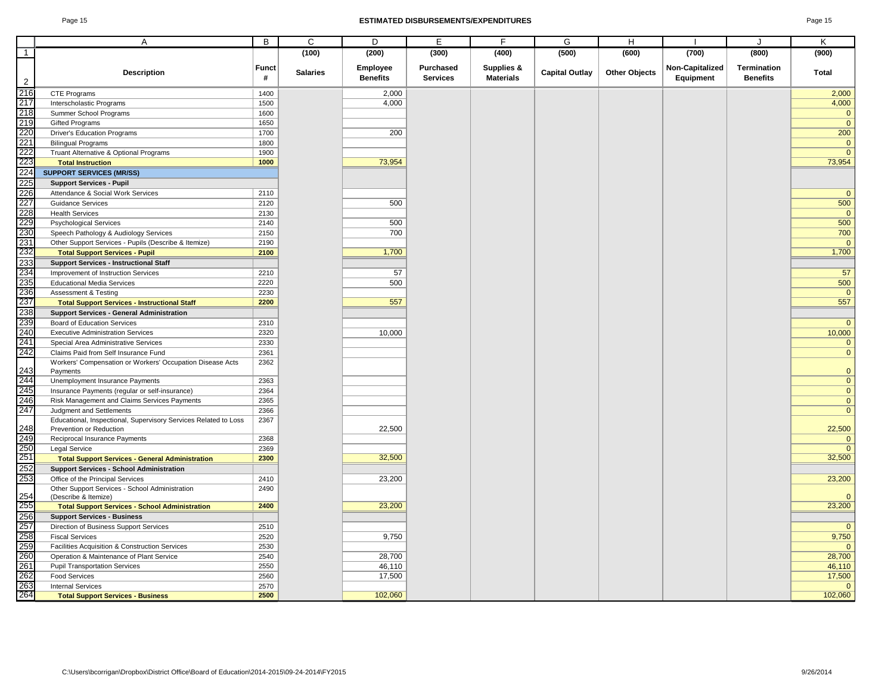#### Page 15 **ESTIMATED DISBURSEMENTS/EXPENDITURES** Page 15

|                                                                           | A                                                                     | B          | C               | D                           | E               | F                              | G                     | H                    |                              | J                  | Κ              |
|---------------------------------------------------------------------------|-----------------------------------------------------------------------|------------|-----------------|-----------------------------|-----------------|--------------------------------|-----------------------|----------------------|------------------------------|--------------------|----------------|
| $\overline{1}$                                                            |                                                                       |            | (100)           | (200)                       | (300)           | (400)                          | (500)                 | (600)                | (700)                        | (800)              | (900)          |
|                                                                           |                                                                       |            |                 |                             | Purchased       |                                |                       |                      |                              | <b>Termination</b> |                |
| $\overline{2}$                                                            | <b>Description</b>                                                    | Funct<br># | <b>Salaries</b> | Employee<br><b>Benefits</b> | <b>Services</b> | Supplies &<br><b>Materials</b> | <b>Capital Outlay</b> | <b>Other Objects</b> | Non-Capitalized<br>Equipment | <b>Benefits</b>    | Total          |
|                                                                           | <b>CTE Programs</b>                                                   | 1400       |                 | 2,000                       |                 |                                |                       |                      |                              |                    | 2,000          |
|                                                                           | Interscholastic Programs                                              | 1500       |                 | 4,000                       |                 |                                |                       |                      |                              |                    | 4,000          |
|                                                                           | Summer School Programs                                                | 1600       |                 |                             |                 |                                |                       |                      |                              |                    | $\mathbf{0}$   |
|                                                                           | <b>Gifted Programs</b>                                                | 1650       |                 |                             |                 |                                |                       |                      |                              |                    | $\mathbf{0}$   |
|                                                                           | <b>Driver's Education Programs</b>                                    | 1700       |                 | 200                         |                 |                                |                       |                      |                              |                    | 200            |
|                                                                           | <b>Bilingual Programs</b>                                             | 1800       |                 |                             |                 |                                |                       |                      |                              |                    | $\overline{0}$ |
|                                                                           | Truant Alternative & Optional Programs                                | 1900       |                 |                             |                 |                                |                       |                      |                              |                    | $\overline{0}$ |
|                                                                           | <b>Total Instruction</b>                                              | 1000       |                 | 73,954                      |                 |                                |                       |                      |                              |                    | 73,954         |
|                                                                           | <b>SUPPORT SERVICES (MR/SS)</b>                                       |            |                 |                             |                 |                                |                       |                      |                              |                    |                |
|                                                                           | <b>Support Services - Pupil</b>                                       |            |                 |                             |                 |                                |                       |                      |                              |                    |                |
|                                                                           | Attendance & Social Work Services                                     | 2110       |                 |                             |                 |                                |                       |                      |                              |                    | $\mathbf{0}$   |
|                                                                           | <b>Guidance Services</b>                                              | 2120       |                 | 500                         |                 |                                |                       |                      |                              |                    | 500            |
|                                                                           | <b>Health Services</b>                                                | 2130       |                 |                             |                 |                                |                       |                      |                              |                    | $\mathbf{0}$   |
|                                                                           | <b>Psychological Services</b>                                         | 2140       |                 | 500                         |                 |                                |                       |                      |                              |                    | 500            |
|                                                                           | Speech Pathology & Audiology Services                                 | 2150       |                 | 700                         |                 |                                |                       |                      |                              |                    | 700            |
|                                                                           | Other Support Services - Pupils (Describe & Itemize)                  | 2190       |                 |                             |                 |                                |                       |                      |                              |                    | $\mathbf{0}$   |
|                                                                           | <b>Total Support Services - Pupil</b>                                 | 2100       |                 | 1,700                       |                 |                                |                       |                      |                              |                    | 1,700          |
|                                                                           | <b>Support Services - Instructional Staff</b>                         |            |                 |                             |                 |                                |                       |                      |                              |                    |                |
|                                                                           | Improvement of Instruction Services                                   | 2210       |                 | 57                          |                 |                                |                       |                      |                              |                    | 57             |
|                                                                           | <b>Educational Media Services</b>                                     | 2220       |                 | 500                         |                 |                                |                       |                      |                              |                    | 500            |
|                                                                           | <b>Assessment &amp; Testing</b>                                       | 2230       |                 |                             |                 |                                |                       |                      |                              |                    | $\mathbf{0}$   |
|                                                                           | <b>Total Support Services - Instructional Staff</b>                   | 2200       |                 | 557                         |                 |                                |                       |                      |                              |                    | 557            |
|                                                                           | <b>Support Services - General Administration</b>                      |            |                 |                             |                 |                                |                       |                      |                              |                    |                |
|                                                                           | <b>Board of Education Services</b>                                    | 2310       |                 |                             |                 |                                |                       |                      |                              |                    | $\mathbf{0}$   |
|                                                                           | <b>Executive Administration Services</b>                              | 2320       |                 | 10,000                      |                 |                                |                       |                      |                              |                    | 10,000         |
|                                                                           | Special Area Administrative Services                                  | 2330       |                 |                             |                 |                                |                       |                      |                              |                    | $\overline{0}$ |
|                                                                           | Claims Paid from Self Insurance Fund                                  | 2361       |                 |                             |                 |                                |                       |                      |                              |                    | $\overline{0}$ |
|                                                                           | Workers' Compensation or Workers' Occupation Disease Acts<br>Payments | 2362       |                 |                             |                 |                                |                       |                      |                              |                    | $\overline{0}$ |
| 243<br>244<br>245<br>246<br>247                                           | Unemployment Insurance Payments                                       | 2363       |                 |                             |                 |                                |                       |                      |                              |                    | $\mathbf 0$    |
|                                                                           | Insurance Payments (regular or self-insurance)                        | 2364       |                 |                             |                 |                                |                       |                      |                              |                    | $\mathbf{0}$   |
|                                                                           | Risk Management and Claims Services Payments                          | 2365       |                 |                             |                 |                                |                       |                      |                              |                    | $\overline{0}$ |
|                                                                           | Judgment and Settlements                                              | 2366       |                 |                             |                 |                                |                       |                      |                              |                    | $\mathbf{0}$   |
|                                                                           | Educational, Inspectional, Supervisory Services Related to Loss       | 2367       |                 |                             |                 |                                |                       |                      |                              |                    |                |
|                                                                           | Prevention or Reduction                                               |            |                 | 22,500                      |                 |                                |                       |                      |                              |                    | 22,500         |
|                                                                           | Reciprocal Insurance Payments                                         | 2368       |                 |                             |                 |                                |                       |                      |                              |                    | $\mathbf 0$    |
|                                                                           | Legal Service                                                         | 2369       |                 |                             |                 |                                |                       |                      |                              |                    | $\mathbf{0}$   |
| 248<br>249<br>250<br>251<br>252<br>253                                    | <b>Total Support Services - General Administration</b>                | 2300       |                 | 32,500                      |                 |                                |                       |                      |                              |                    | 32,500         |
|                                                                           | <b>Support Services - School Administration</b>                       |            |                 |                             |                 |                                |                       |                      |                              |                    |                |
|                                                                           | Office of the Principal Services                                      | 2410       |                 | 23,200                      |                 |                                |                       |                      |                              |                    | 23,200         |
|                                                                           | Other Support Services - School Administration                        | 2490       |                 |                             |                 |                                |                       |                      |                              |                    |                |
|                                                                           | (Describe & Itemize)                                                  |            |                 |                             |                 |                                |                       |                      |                              |                    | $\mathbf{0}$   |
|                                                                           | <b>Total Support Services - School Administration</b>                 | 2400       |                 | 23,200                      |                 |                                |                       |                      |                              |                    | 23,200         |
| 254<br>255<br>256<br>256<br>257<br>258<br>259<br>262<br>262<br>263<br>264 | <b>Support Services - Business</b>                                    |            |                 |                             |                 |                                |                       |                      |                              |                    |                |
|                                                                           | Direction of Business Support Services                                | 2510       |                 |                             |                 |                                |                       |                      |                              |                    | $\overline{0}$ |
|                                                                           | <b>Fiscal Services</b>                                                | 2520       |                 | 9,750                       |                 |                                |                       |                      |                              |                    | 9,750          |
|                                                                           | Facilities Acquisition & Construction Services                        | 2530       |                 |                             |                 |                                |                       |                      |                              |                    | $\mathbf{0}$   |
|                                                                           | Operation & Maintenance of Plant Service                              | 2540       |                 | 28,700                      |                 |                                |                       |                      |                              |                    | 28,700         |
|                                                                           | <b>Pupil Transportation Services</b>                                  | 2550       |                 | 46,110                      |                 |                                |                       |                      |                              |                    | 46,110         |
|                                                                           | <b>Food Services</b>                                                  | 2560       |                 | 17,500                      |                 |                                |                       |                      |                              |                    | 17,500         |
|                                                                           | <b>Internal Services</b>                                              | 2570       |                 |                             |                 |                                |                       |                      |                              |                    | $\mathbf 0$    |
|                                                                           | <b>Total Support Services - Business</b>                              | 2500       |                 | 102,060                     |                 |                                |                       |                      |                              |                    | 102,060        |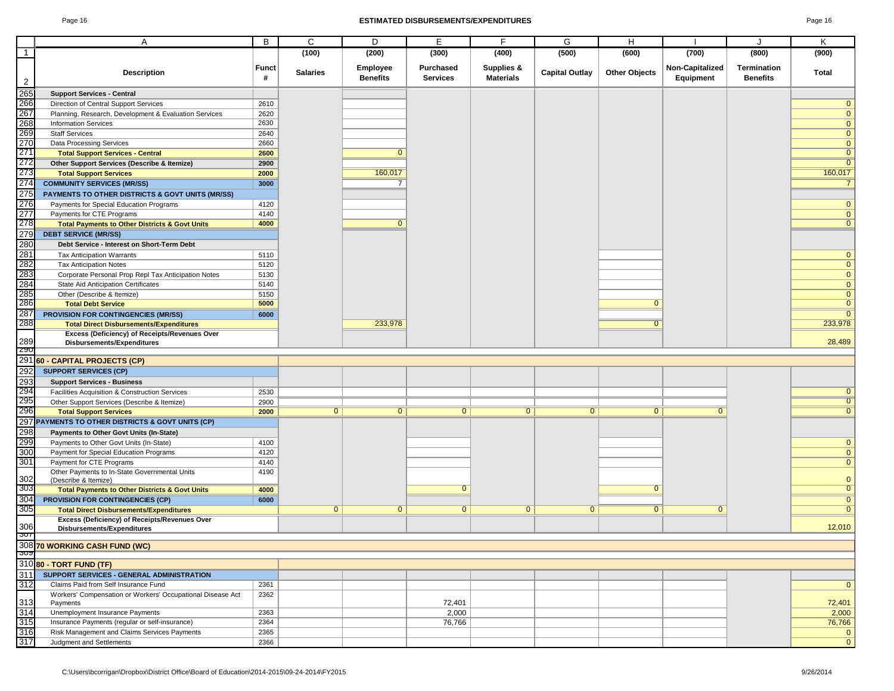#### Page 16 **ESTIMATED DISBURSEMENTS/EXPENDITURES** Page 16

|                                                                                               |                                                                                                 | В            | C               | D                           | Е                                   | F                              | G                     | H                    |                              | J.                             |                             |
|-----------------------------------------------------------------------------------------------|-------------------------------------------------------------------------------------------------|--------------|-----------------|-----------------------------|-------------------------------------|--------------------------------|-----------------------|----------------------|------------------------------|--------------------------------|-----------------------------|
| $\overline{1}$                                                                                | Α                                                                                               |              | (100)           |                             |                                     |                                | (500)                 | (600)                | (700)                        | (800)                          | Κ<br>(900)                  |
|                                                                                               |                                                                                                 |              |                 | (200)                       | (300)                               | (400)                          |                       |                      |                              |                                |                             |
| $\frac{2}{265}$                                                                               | <b>Description</b>                                                                              | Funct<br>#   | <b>Salaries</b> | Employee<br><b>Benefits</b> | <b>Purchased</b><br><b>Services</b> | Supplies &<br><b>Materials</b> | <b>Capital Outlay</b> | <b>Other Objects</b> | Non-Capitalized<br>Equipment | Termination<br><b>Benefits</b> | Total                       |
|                                                                                               | <b>Support Services - Central</b>                                                               |              |                 |                             |                                     |                                |                       |                      |                              |                                |                             |
| 266                                                                                           | Direction of Central Support Services                                                           | 2610         |                 |                             |                                     |                                |                       |                      |                              |                                | $\mathbf 0$                 |
| 267                                                                                           | Planning, Research, Development & Evaluation Services                                           | 2620         |                 |                             |                                     |                                |                       |                      |                              |                                | $\mathbf 0$                 |
| 268                                                                                           | <b>Information Services</b>                                                                     | 2630         |                 |                             |                                     |                                |                       |                      |                              |                                | $\mathbf{0}$                |
| 269                                                                                           | <b>Staff Services</b>                                                                           | 2640         |                 |                             |                                     |                                |                       |                      |                              |                                | $\mathbf 0$                 |
| 270                                                                                           | Data Processing Services                                                                        | 2660         |                 |                             |                                     |                                |                       |                      |                              |                                | $\mathbf 0$                 |
| 271                                                                                           | <b>Total Support Services - Central</b>                                                         | 2600         |                 | $\mathbf 0$                 |                                     |                                |                       |                      |                              |                                | $\mathbf 0$                 |
| 272                                                                                           | Other Support Services (Describe & Itemize)                                                     | 2900         |                 |                             |                                     |                                |                       |                      |                              |                                | $\mathbf{0}$                |
| 273                                                                                           | <b>Total Support Services</b>                                                                   | 2000         |                 | 160,017                     |                                     |                                |                       |                      |                              |                                | 160,017                     |
| 274                                                                                           | <b>COMMUNITY SERVICES (MR/SS)</b>                                                               | 3000         |                 | $\overline{7}$              |                                     |                                |                       |                      |                              |                                |                             |
| 275                                                                                           | PAYMENTS TO OTHER DISTRICTS & GOVT UNITS (MR/SS)                                                |              |                 |                             |                                     |                                |                       |                      |                              |                                |                             |
| 276                                                                                           | Payments for Special Education Programs                                                         | 4120         |                 |                             |                                     |                                |                       |                      |                              |                                | $\mathbf{0}$                |
| 277                                                                                           | Payments for CTE Programs                                                                       | 4140         |                 |                             |                                     |                                |                       |                      |                              |                                | $\mathbf 0$                 |
| 278                                                                                           | <b>Total Payments to Other Districts &amp; Govt Units</b>                                       | 4000         |                 | $\mathbf{0}$                |                                     |                                |                       |                      |                              |                                | $\mathbf 0$                 |
| 279                                                                                           | <b>DEBT SERVICE (MR/SS)</b>                                                                     |              |                 |                             |                                     |                                |                       |                      |                              |                                |                             |
| 280                                                                                           | Debt Service - Interest on Short-Term Debt                                                      |              |                 |                             |                                     |                                |                       |                      |                              |                                |                             |
| 281                                                                                           | <b>Tax Anticipation Warrants</b>                                                                | 5110         |                 |                             |                                     |                                |                       |                      |                              |                                | $\mathbf{0}$                |
| 282                                                                                           | <b>Tax Anticipation Notes</b>                                                                   | 5120         |                 |                             |                                     |                                |                       |                      |                              |                                | $\mathbf{0}$                |
| 283                                                                                           | Corporate Personal Prop Repl Tax Anticipation Notes                                             | 5130         |                 |                             |                                     |                                |                       |                      |                              |                                | $\mathbf{0}$                |
| 284                                                                                           | State Aid Anticipation Certificates                                                             | 5140         |                 |                             |                                     |                                |                       |                      |                              |                                | $\mathbf{0}$                |
| 285<br>286                                                                                    | Other (Describe & Itemize)                                                                      | 5150         |                 |                             |                                     |                                |                       |                      |                              |                                | $\mathbf 0$                 |
| 287                                                                                           | <b>Total Debt Service</b>                                                                       | 5000         |                 |                             |                                     |                                |                       | $\mathbf{0}$         |                              |                                | $\mathbf 0$                 |
| 288                                                                                           | PROVISION FOR CONTINGENCIES (MR/SS)                                                             | 6000         |                 | 233,978                     |                                     |                                |                       | $\Omega$             |                              |                                | $\overline{0}$              |
|                                                                                               | <b>Total Direct Disbursements/Expenditures</b><br>Excess (Deficiency) of Receipts/Revenues Over |              |                 |                             |                                     |                                |                       |                      |                              |                                | 233,978                     |
| 289                                                                                           | Disbursements/Expenditures                                                                      |              |                 |                             |                                     |                                |                       |                      |                              |                                | 28,489                      |
| ZYU                                                                                           |                                                                                                 |              |                 |                             |                                     |                                |                       |                      |                              |                                |                             |
|                                                                                               | 291 60 - CAPITAL PROJECTS (CP)                                                                  |              |                 |                             |                                     |                                |                       |                      |                              |                                |                             |
| 292                                                                                           | <b>SUPPORT SERVICES (CP)</b>                                                                    |              |                 |                             |                                     |                                |                       |                      |                              |                                |                             |
| 293<br>294                                                                                    | <b>Support Services - Business</b>                                                              |              |                 |                             |                                     |                                |                       |                      |                              |                                |                             |
|                                                                                               | Facilities Acquisition & Construction Services                                                  | 2530         |                 |                             |                                     |                                |                       |                      |                              |                                | $\mathbf{0}$                |
| 295                                                                                           | Other Support Services (Describe & Itemize)                                                     | 2900         |                 |                             |                                     |                                |                       |                      |                              |                                | $\overline{0}$              |
| 296                                                                                           | <b>Total Support Services</b>                                                                   | 2000         | $\overline{0}$  | $\overline{0}$              | $\overline{0}$                      | $\overline{0}$                 | $\overline{0}$        | $\overline{0}$       | $\Omega$                     |                                | $\overline{0}$              |
|                                                                                               | 297 PAYMENTS TO OTHER DISTRICTS & GOVT UNITS (CP)                                               |              |                 |                             |                                     |                                |                       |                      |                              |                                |                             |
| 298                                                                                           | Payments to Other Govt Units (In-State)                                                         |              |                 |                             |                                     |                                |                       |                      |                              |                                |                             |
| 299                                                                                           | Payments to Other Govt Units (In-State)                                                         | 4100         |                 |                             |                                     |                                |                       |                      |                              |                                | $\mathbf 0$                 |
| 300<br>301                                                                                    | Payment for Special Education Programs<br>Payment for CTE Programs                              | 4120<br>4140 |                 |                             |                                     |                                |                       |                      |                              |                                | $\mathbf{0}$<br>$\mathbf 0$ |
|                                                                                               | Other Payments to In-State Governmental Units                                                   | 4190         |                 |                             |                                     |                                |                       |                      |                              |                                |                             |
| 302                                                                                           | (Describe & Itemize)                                                                            |              |                 |                             |                                     |                                |                       |                      |                              |                                | $\mathbf{0}$                |
|                                                                                               |                                                                                                 |              |                 |                             |                                     |                                |                       |                      |                              |                                |                             |
|                                                                                               | <b>Total Payments to Other Districts &amp; Govt Units</b>                                       | 4000         |                 |                             | $\overline{0}$                      |                                |                       | $\overline{0}$       |                              |                                | $\overline{0}$              |
|                                                                                               | <b>PROVISION FOR CONTINGENCIES (CP)</b>                                                         | 6000         |                 |                             |                                     |                                |                       |                      |                              |                                | $\overline{0}$              |
|                                                                                               | <b>Total Direct Disbursements/Expenditures</b>                                                  |              | $\overline{0}$  | $\mathbf{0}$                | $\mathbf{0}$                        | $\mathbf{0}$                   | $\mathbf{0}$          | 0                    | $\mathbf{0}$                 |                                | $\overline{0}$              |
|                                                                                               | Excess (Deficiency) of Receipts/Revenues Over                                                   |              |                 |                             |                                     |                                |                       |                      |                              |                                |                             |
|                                                                                               | Disbursements/Expenditures                                                                      |              |                 |                             |                                     |                                |                       |                      |                              |                                | 12,010                      |
|                                                                                               |                                                                                                 |              |                 |                             |                                     |                                |                       |                      |                              |                                |                             |
|                                                                                               | 308 70 WORKING CASH FUND (WC)                                                                   |              |                 |                             |                                     |                                |                       |                      |                              |                                |                             |
|                                                                                               | 310 80 - TORT FUND (TF)                                                                         |              |                 |                             |                                     |                                |                       |                      |                              |                                |                             |
|                                                                                               | SUPPORT SERVICES - GENERAL ADMINISTRATION                                                       |              |                 |                             |                                     |                                |                       |                      |                              |                                |                             |
|                                                                                               | Claims Paid from Self Insurance Fund                                                            | 2361         |                 |                             |                                     |                                |                       |                      |                              |                                | $\mathbf 0$                 |
|                                                                                               | Workers' Compensation or Workers' Occupational Disease Act                                      | 2362         |                 |                             |                                     |                                |                       |                      |                              |                                |                             |
|                                                                                               | Payments<br>Unemployment Insurance Payments                                                     | 2363         |                 |                             | 72,401                              |                                |                       |                      |                              |                                | 72,401                      |
|                                                                                               | Insurance Payments (regular or self-insurance)                                                  | 2364         |                 |                             | 2,000                               |                                |                       |                      |                              |                                | 2,000                       |
| 303<br>30 <sup>2</sup><br>305<br>306<br><u> ၁೮၅</u><br>311<br>312<br>313<br>314<br>315<br>316 | Risk Management and Claims Services Payments                                                    | 2365         |                 |                             | 76,766                              |                                |                       |                      |                              |                                | 76,766<br>$\mathbf{0}$      |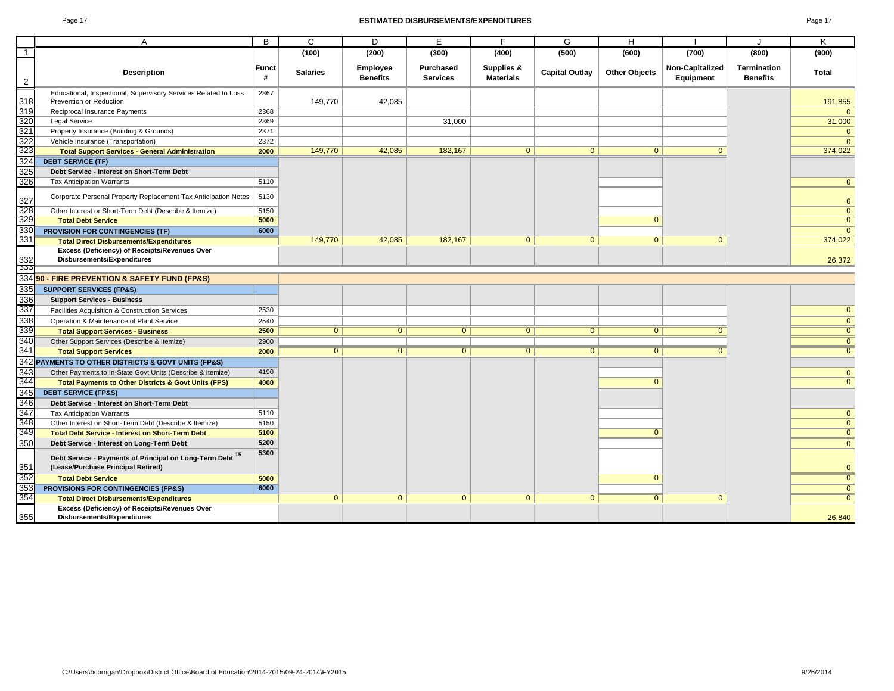#### Page 17 **ESTIMATED DISBURSEMENTS/EXPENDITURES** Page 17

| ı |  |
|---|--|
|---|--|

|                   | A                                                                                               | B                 | C               | D                                  | E                            | F                              | G                     | H                    |                              |                                | K              |
|-------------------|-------------------------------------------------------------------------------------------------|-------------------|-----------------|------------------------------------|------------------------------|--------------------------------|-----------------------|----------------------|------------------------------|--------------------------------|----------------|
| $\overline{1}$    |                                                                                                 |                   | (100)           | (200)                              | (300)                        | (400)                          | (500)                 | (600)                | (700)                        | (800)                          | (900)          |
| $\overline{2}$    | <b>Description</b>                                                                              | <b>Funct</b><br># | <b>Salaries</b> | <b>Employee</b><br><b>Benefits</b> | Purchased<br><b>Services</b> | Supplies &<br><b>Materials</b> | <b>Capital Outlay</b> | <b>Other Objects</b> | Non-Capitalized<br>Equipment | Termination<br><b>Benefits</b> | <b>Total</b>   |
|                   | Educational, Inspectional, Supervisory Services Related to Loss                                 | 2367              |                 |                                    |                              |                                |                       |                      |                              |                                |                |
| 318               | Prevention or Reduction                                                                         |                   | 149,770         | 42,085                             |                              |                                |                       |                      |                              |                                | 191,855        |
| 319               | Reciprocal Insurance Payments                                                                   | 2368              |                 |                                    |                              |                                |                       |                      |                              |                                | $\Omega$       |
| 320               | Legal Service                                                                                   | 2369              |                 |                                    | 31.000                       |                                |                       |                      |                              |                                | 31,000         |
| 321               | Property Insurance (Building & Grounds)                                                         | 2371              |                 |                                    |                              |                                |                       |                      |                              |                                | $\overline{0}$ |
| 322<br>323        | Vehicle Insurance (Transportation)                                                              | 2372              |                 |                                    |                              |                                |                       |                      |                              |                                | $\Omega$       |
|                   | <b>Total Support Services - General Administration</b>                                          | 2000              | 149,770         | 42,085                             | 182,167                      | $\overline{0}$                 | $\mathbf{0}$          | $\mathbf{0}$         | $\Omega$                     |                                | 374,022        |
| 324               | <b>DEBT SERVICE (TF)</b>                                                                        |                   |                 |                                    |                              |                                |                       |                      |                              |                                |                |
| 325               | Debt Service - Interest on Short-Term Debt                                                      |                   |                 |                                    |                              |                                |                       |                      |                              |                                |                |
| 326               | <b>Tax Anticipation Warrants</b>                                                                | 5110              |                 |                                    |                              |                                |                       |                      |                              |                                | $\mathbf{0}$   |
| 327               | Corporate Personal Property Replacement Tax Anticipation Notes                                  | 5130              |                 |                                    |                              |                                |                       |                      |                              |                                | $\mathbf{0}$   |
| 328<br>329        | Other Interest or Short-Term Debt (Describe & Itemize)                                          | 5150              |                 |                                    |                              |                                |                       |                      |                              |                                | $\mathbf{0}$   |
|                   | <b>Total Debt Service</b>                                                                       | 5000              |                 |                                    |                              |                                |                       | $\mathbf{0}$         |                              |                                | $\overline{0}$ |
| 330               | <b>PROVISION FOR CONTINGENCIES (TF)</b>                                                         | 6000              |                 |                                    |                              |                                |                       |                      |                              |                                | $\overline{0}$ |
| 331               | <b>Total Direct Disbursements/Expenditures</b>                                                  |                   | 149,770         | 42,085                             | 182,167                      | $\Omega$                       | $\overline{0}$        | $\overline{0}$       | $\Omega$                     |                                | 374,022        |
| $\frac{332}{333}$ | Excess (Deficiency) of Receipts/Revenues Over<br>Disbursements/Expenditures                     |                   |                 |                                    |                              |                                |                       |                      |                              |                                | 26,372         |
|                   |                                                                                                 |                   |                 |                                    |                              |                                |                       |                      |                              |                                |                |
|                   | 334 90 - FIRE PREVENTION & SAFETY FUND (FP&S)                                                   |                   |                 |                                    |                              |                                |                       |                      |                              |                                |                |
| 335               | <b>SUPPORT SERVICES (FP&amp;S)</b>                                                              |                   |                 |                                    |                              |                                |                       |                      |                              |                                |                |
| 336               | <b>Support Services - Business</b>                                                              |                   |                 |                                    |                              |                                |                       |                      |                              |                                |                |
| 337               | Facilities Acquisition & Construction Services                                                  | 2530              |                 |                                    |                              |                                |                       |                      |                              |                                | $\mathbf{0}$   |
| 338               | Operation & Maintenance of Plant Service                                                        | 2540              |                 |                                    |                              |                                |                       |                      |                              |                                | $\overline{0}$ |
| 339               | <b>Total Support Services - Business</b>                                                        | 2500              | $\overline{0}$  | $\overline{0}$                     | $\overline{0}$               | $\overline{0}$                 | $\overline{0}$        | $\overline{0}$       | $\overline{0}$               |                                | $\overline{0}$ |
| 340               | Other Support Services (Describe & Itemize)                                                     | 2900              |                 |                                    |                              |                                |                       |                      |                              |                                | $\overline{0}$ |
| 341               | <b>Total Support Services</b>                                                                   | 2000              | $\overline{0}$  | $\overline{0}$                     | $\overline{0}$               | $\overline{0}$                 | $\overline{0}$        | $\overline{0}$       | $\Omega$                     |                                | $\overline{0}$ |
|                   | 342 PAYMENTS TO OTHER DISTRICTS & GOVT UNITS (FP&S)                                             |                   |                 |                                    |                              |                                |                       |                      |                              |                                |                |
| 343<br>344        | Other Payments to In-State Govt Units (Describe & Itemize)                                      | 4190              |                 |                                    |                              |                                |                       |                      |                              |                                | $\mathbf{0}$   |
|                   | <b>Total Payments to Other Districts &amp; Govt Units (FPS)</b>                                 | 4000              |                 |                                    |                              |                                |                       | $\Omega$             |                              |                                | $\overline{0}$ |
| 345               | <b>DEBT SERVICE (FP&amp;S)</b>                                                                  |                   |                 |                                    |                              |                                |                       |                      |                              |                                |                |
| 346<br>347        | Debt Service - Interest on Short-Term Debt                                                      |                   |                 |                                    |                              |                                |                       |                      |                              |                                |                |
|                   | <b>Tax Anticipation Warrants</b>                                                                | 5110              |                 |                                    |                              |                                |                       |                      |                              |                                | $\mathbf 0$    |
| 348<br>349        | Other Interest on Short-Term Debt (Describe & Itemize)                                          | 5150              |                 |                                    |                              |                                |                       |                      |                              |                                | $\overline{0}$ |
|                   | <b>Total Debt Service - Interest on Short-Term Debt</b>                                         | 5100              |                 |                                    |                              |                                |                       | $\Omega$             |                              |                                | $\overline{0}$ |
| 350               | Debt Service - Interest on Long-Term Debt                                                       | 5200              |                 |                                    |                              |                                |                       |                      |                              |                                | $\mathbf{0}$   |
| 351               | Debt Service - Payments of Principal on Long-Term Debt 15<br>(Lease/Purchase Principal Retired) | 5300              |                 |                                    |                              |                                |                       |                      |                              |                                | $\mathbf{0}$   |
| 352               | <b>Total Debt Service</b>                                                                       | 5000              |                 |                                    |                              |                                |                       | $\Omega$             |                              |                                | $\overline{0}$ |
| 353               | <b>PROVISIONS FOR CONTINGENCIES (FP&amp;S)</b>                                                  | 6000              |                 |                                    |                              |                                |                       |                      |                              |                                | $\overline{0}$ |
| 354               | <b>Total Direct Disbursements/Expenditures</b>                                                  |                   | $\overline{0}$  | $\overline{0}$                     | $\mathbf{0}$                 | $\Omega$                       | $\overline{0}$        | $\overline{0}$       | $\Omega$                     |                                | $\overline{0}$ |
| 355               | Excess (Deficiency) of Receipts/Revenues Over<br>Disbursements/Expenditures                     |                   |                 |                                    |                              |                                |                       |                      |                              |                                | 26,840         |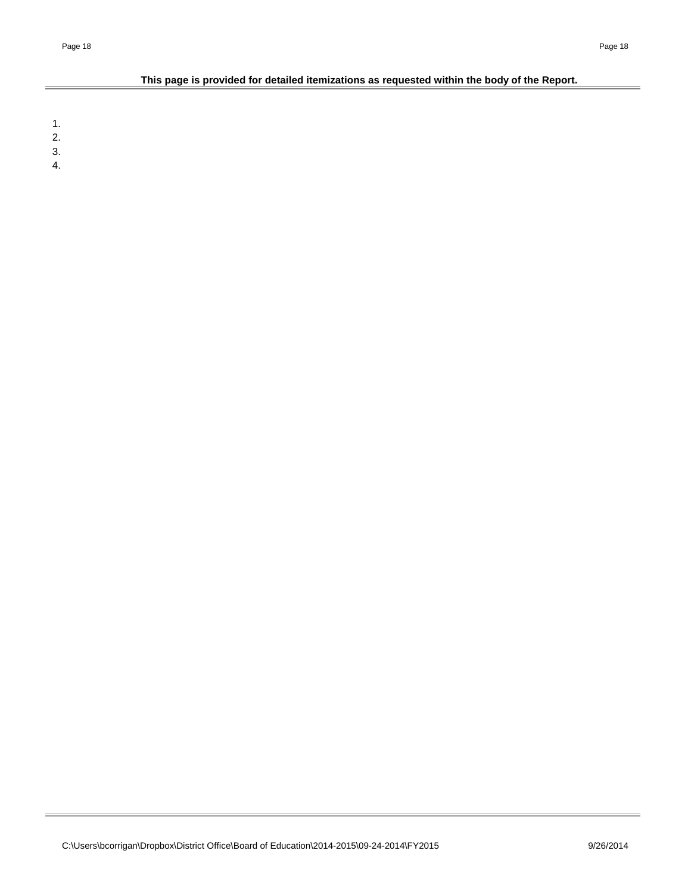### **This page is provided for detailed itemizations as requested within the body of the Report.**

1.

2.

3. 4.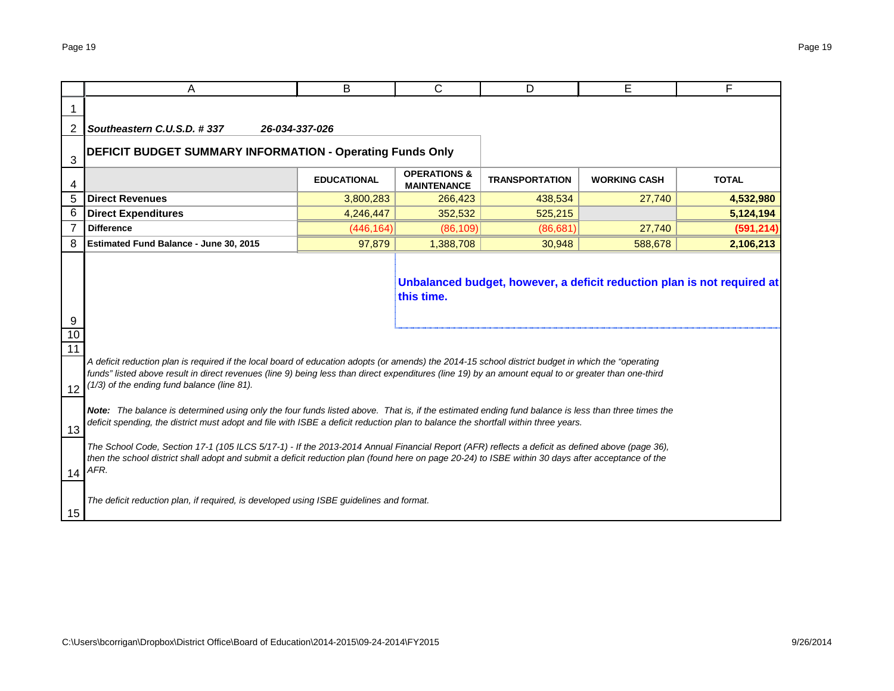|                     | A                                                                                                                                                                                                                                                                                                                                                                                                                                                  | B                  | С                                             | D                     | Е                   | F            |  |  |  |  |  |
|---------------------|----------------------------------------------------------------------------------------------------------------------------------------------------------------------------------------------------------------------------------------------------------------------------------------------------------------------------------------------------------------------------------------------------------------------------------------------------|--------------------|-----------------------------------------------|-----------------------|---------------------|--------------|--|--|--|--|--|
|                     |                                                                                                                                                                                                                                                                                                                                                                                                                                                    |                    |                                               |                       |                     |              |  |  |  |  |  |
| 2                   | Southeastern C.U.S.D. #337                                                                                                                                                                                                                                                                                                                                                                                                                         | 26-034-337-026     |                                               |                       |                     |              |  |  |  |  |  |
| 3                   | <b>DEFICIT BUDGET SUMMARY INFORMATION - Operating Funds Only</b>                                                                                                                                                                                                                                                                                                                                                                                   |                    |                                               |                       |                     |              |  |  |  |  |  |
| 4                   |                                                                                                                                                                                                                                                                                                                                                                                                                                                    | <b>EDUCATIONAL</b> | <b>OPERATIONS &amp;</b><br><b>MAINTENANCE</b> | <b>TRANSPORTATION</b> | <b>WORKING CASH</b> | <b>TOTAL</b> |  |  |  |  |  |
| 5                   | <b>Direct Revenues</b>                                                                                                                                                                                                                                                                                                                                                                                                                             | 3,800,283          | 266,423                                       | 438,534               | 27,740              | 4,532,980    |  |  |  |  |  |
| 6                   | <b>Direct Expenditures</b>                                                                                                                                                                                                                                                                                                                                                                                                                         | 4,246,447          | 352,532                                       | 525,215               |                     | 5,124,194    |  |  |  |  |  |
|                     | <b>Difference</b>                                                                                                                                                                                                                                                                                                                                                                                                                                  | (446, 164)         | (86, 109)                                     | (86, 681)             | 27,740              | (591, 214)   |  |  |  |  |  |
| 8                   | Estimated Fund Balance - June 30, 2015                                                                                                                                                                                                                                                                                                                                                                                                             | 97,879             | 1,388,708                                     | 30,948                | 588,678             | 2,106,213    |  |  |  |  |  |
| 9<br>10<br>11<br>12 | Unbalanced budget, however, a deficit reduction plan is not required at<br>this time.<br>A deficit reduction plan is required if the local board of education adopts (or amends) the 2014-15 school district budget in which the "operating<br>funds" listed above result in direct revenues (line 9) being less than direct expenditures (line 19) by an amount equal to or greater than one-third<br>(1/3) of the ending fund balance (line 81). |                    |                                               |                       |                     |              |  |  |  |  |  |
| 13                  | Note: The balance is determined using only the four funds listed above. That is, if the estimated ending fund balance is less than three times the<br>deficit spending, the district must adopt and file with ISBE a deficit reduction plan to balance the shortfall within three years.                                                                                                                                                           |                    |                                               |                       |                     |              |  |  |  |  |  |
| 14                  | The School Code, Section 17-1 (105 ILCS 5/17-1) - If the 2013-2014 Annual Financial Report (AFR) reflects a deficit as defined above (page 36),<br>then the school district shall adopt and submit a deficit reduction plan (found here on page 20-24) to ISBE within 30 days after acceptance of the<br>AFR.                                                                                                                                      |                    |                                               |                       |                     |              |  |  |  |  |  |
| 15                  | The deficit reduction plan, if required, is developed using ISBE guidelines and format.                                                                                                                                                                                                                                                                                                                                                            |                    |                                               |                       |                     |              |  |  |  |  |  |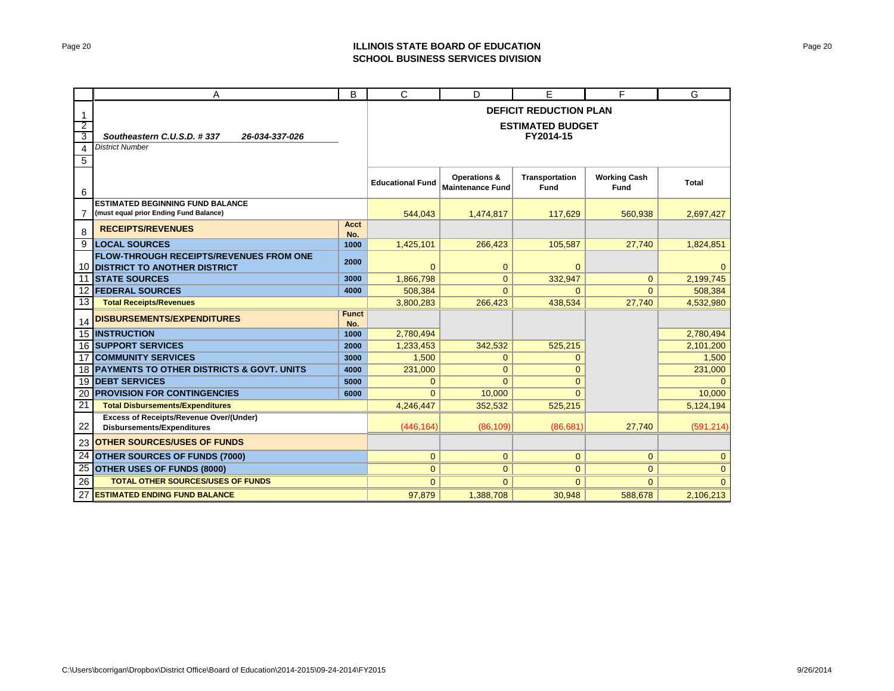### Page 20 **ILLINOIS STATE BOARD OF EDUCATION SCHOOL BUSINESS SERVICES DIVISION**

|                | A                                                                                        | B                   | С                       | D                                                  | E                             | F                                  | G                   |  |  |  |  |
|----------------|------------------------------------------------------------------------------------------|---------------------|-------------------------|----------------------------------------------------|-------------------------------|------------------------------------|---------------------|--|--|--|--|
| 1              |                                                                                          |                     |                         |                                                    | <b>DEFICIT REDUCTION PLAN</b> |                                    |                     |  |  |  |  |
| $\overline{2}$ |                                                                                          |                     |                         |                                                    | <b>ESTIMATED BUDGET</b>       |                                    |                     |  |  |  |  |
| 3              | Southeastern C.U.S.D. #337<br>26-034-337-026                                             |                     |                         | FY2014-15                                          |                               |                                    |                     |  |  |  |  |
| 4              | <b>District Number</b>                                                                   |                     |                         |                                                    |                               |                                    |                     |  |  |  |  |
| 5              |                                                                                          |                     |                         |                                                    |                               |                                    |                     |  |  |  |  |
| 6              |                                                                                          |                     | <b>Educational Fund</b> | <b>Operations &amp;</b><br><b>Maintenance Fund</b> | Transportation<br><b>Fund</b> | <b>Working Cash</b><br><b>Fund</b> | Total               |  |  |  |  |
|                | <b>ESTIMATED BEGINNING FUND BALANCE</b><br>(must equal prior Ending Fund Balance)        |                     | 544,043                 | 1,474,817                                          | 117,629                       | 560,938                            | 2,697,427           |  |  |  |  |
| 8              | <b>RECEIPTS/REVENUES</b>                                                                 | <b>Acct</b><br>No.  |                         |                                                    |                               |                                    |                     |  |  |  |  |
| 9              | <b>LOCAL SOURCES</b>                                                                     | 1000                | 1,425,101               | 266,423                                            | 105,587                       | 27.740                             | 1,824,851           |  |  |  |  |
|                | <b>FLOW-THROUGH RECEIPTS/REVENUES FROM ONE</b><br><b>10 DISTRICT TO ANOTHER DISTRICT</b> | 2000                | $\Omega$                | $\mathbf 0$                                        | $\mathbf{0}$                  |                                    |                     |  |  |  |  |
| 11             | <b>ISTATE SOURCES</b>                                                                    | 3000                | 1.866.798               | $\overline{0}$                                     | 332,947                       | $\mathbf{0}$                       | 2,199,745           |  |  |  |  |
| 12             | <b>FEDERAL SOURCES</b>                                                                   | 4000                | 508,384                 | $\Omega$                                           | $\Omega$                      | $\Omega$                           | 508,384             |  |  |  |  |
| 13             | <b>Total Receipts/Revenues</b>                                                           |                     | 3,800,283               | 266,423                                            | 438,534                       | 27,740                             | 4,532,980           |  |  |  |  |
| 14             | <b>DISBURSEMENTS/EXPENDITURES</b>                                                        | <b>Funct</b><br>No. |                         |                                                    |                               |                                    |                     |  |  |  |  |
|                | <b>15 INSTRUCTION</b>                                                                    | 1000                | 2,780,494               |                                                    |                               |                                    | 2,780,494           |  |  |  |  |
|                | <b>16 SUPPORT SERVICES</b>                                                               | 2000                | 1,233,453               | 342,532                                            | 525,215                       |                                    | 2,101,200           |  |  |  |  |
| 17             | <b>COMMUNITY SERVICES</b>                                                                | 3000                | 1,500                   | $\overline{0}$                                     | $\Omega$                      |                                    | 1,500               |  |  |  |  |
|                | 18 PAYMENTS TO OTHER DISTRICTS & GOVT. UNITS                                             | 4000                | 231,000                 | $\mathbf{0}$                                       | $\overline{0}$                |                                    | 231,000             |  |  |  |  |
| 19             | <b>DEBT SERVICES</b>                                                                     | 5000                | $\Omega$                | $\Omega$                                           | $\Omega$                      |                                    |                     |  |  |  |  |
| 20<br>21       | <b>PROVISION FOR CONTINGENCIES</b><br><b>Total Disbursements/Expenditures</b>            | 6000                | $\Omega$<br>4.246.447   | 10,000<br>352,532                                  | $\Omega$<br>525,215           |                                    | 10,000<br>5,124,194 |  |  |  |  |
|                | <b>Excess of Receipts/Revenue Over/(Under)</b>                                           |                     |                         |                                                    |                               |                                    |                     |  |  |  |  |
| 22             | <b>Disbursements/Expenditures</b>                                                        |                     | (446, 164)              | (86, 109)                                          | (86.681)                      | 27.740                             | (591, 214)          |  |  |  |  |
| 23             | <b>OTHER SOURCES/USES OF FUNDS</b>                                                       |                     |                         |                                                    |                               |                                    |                     |  |  |  |  |
| 24             | <b>OTHER SOURCES OF FUNDS (7000)</b>                                                     |                     | $\mathbf{0}$            | $\overline{0}$                                     | $\mathbf{0}$                  | $\mathbf{0}$                       | $\mathbf{0}$        |  |  |  |  |
| 25             | <b>OTHER USES OF FUNDS (8000)</b>                                                        |                     | $\overline{0}$          | $\overline{0}$                                     | $\Omega$                      | $\mathbf{0}$                       | $\mathbf{0}$        |  |  |  |  |
| 26             | <b>TOTAL OTHER SOURCES/USES OF FUNDS</b>                                                 |                     | $\Omega$                | $\mathbf{0}$                                       | $\Omega$                      | $\mathbf{0}$                       | $\Omega$            |  |  |  |  |
| 27             | <b>ESTIMATED ENDING FUND BALANCE</b>                                                     |                     | 97,879                  | 1,388,708                                          | 30,948                        | 588,678                            | 2,106,213           |  |  |  |  |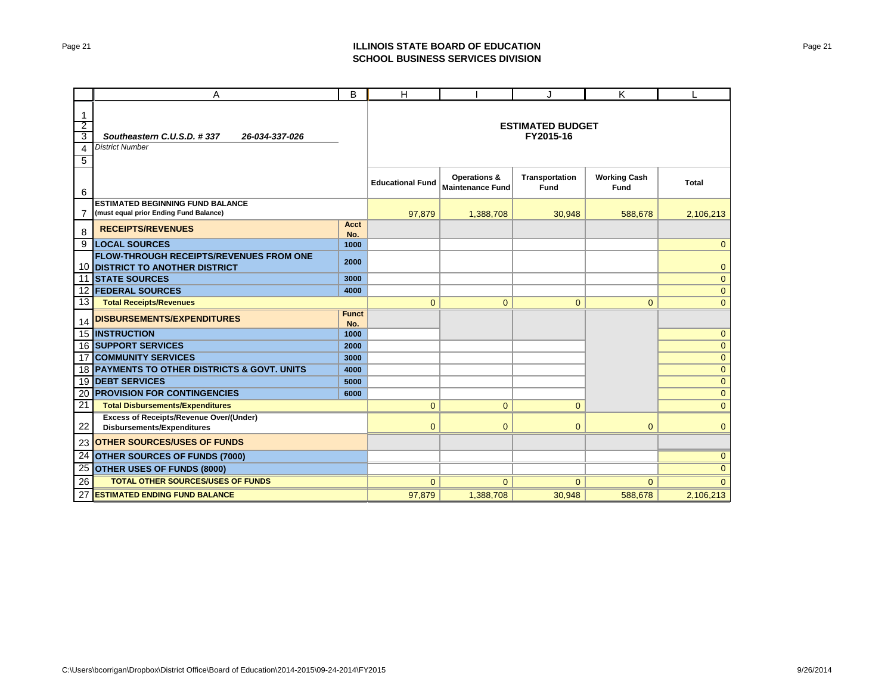### Page 21 **ILLINOIS STATE BOARD OF EDUCATION SCHOOL BUSINESS SERVICES DIVISION**

|                                                            | A                                                                                   | B                   | н                       |                                         | J                                    | K                           | L            |
|------------------------------------------------------------|-------------------------------------------------------------------------------------|---------------------|-------------------------|-----------------------------------------|--------------------------------------|-----------------------------|--------------|
| $\mathbf{1}$<br>$\overline{2}$<br>3<br>4<br>$\overline{5}$ | Southeastern C.U.S.D. #337<br>26-034-337-026<br><b>District Number</b>              |                     |                         |                                         | <b>ESTIMATED BUDGET</b><br>FY2015-16 |                             |              |
| 6                                                          |                                                                                     |                     | <b>Educational Fund</b> | Operations &<br><b>Maintenance Fund</b> | Transportation<br><b>Fund</b>        | <b>Working Cash</b><br>Fund | Total        |
| 7                                                          | <b>ESTIMATED BEGINNING FUND BALANCE</b><br>(must equal prior Ending Fund Balance)   |                     | 97,879                  | 1,388,708                               | 30,948                               | 588.678                     | 2,106,213    |
| 8                                                          | <b>RECEIPTS/REVENUES</b>                                                            | Acct<br>No.         |                         |                                         |                                      |                             |              |
| 9                                                          | <b>LOCAL SOURCES</b>                                                                | 1000                |                         |                                         |                                      |                             | $\Omega$     |
|                                                            | <b>FLOW-THROUGH RECEIPTS/REVENUES FROM ONE</b><br>10 DISTRICT TO ANOTHER DISTRICT   | 2000                |                         |                                         |                                      |                             | $\mathbf 0$  |
|                                                            | 11 STATE SOURCES                                                                    | 3000                |                         |                                         |                                      |                             | $\mathbf{0}$ |
|                                                            | <b>12 FEDERAL SOURCES</b>                                                           | 4000                |                         |                                         |                                      |                             | $\mathbf{0}$ |
| 13                                                         | <b>Total Receipts/Revenues</b>                                                      |                     | $\Omega$                | $\overline{0}$                          | $\mathbf{0}$                         | $\mathbf{0}$                | $\mathbf{0}$ |
| 14                                                         | <b>DISBURSEMENTS/EXPENDITURES</b>                                                   | <b>Funct</b><br>No. |                         |                                         |                                      |                             |              |
|                                                            | <b>15 INSTRUCTION</b>                                                               | 1000                |                         |                                         |                                      |                             | $\mathbf{0}$ |
|                                                            | <b>16 SUPPORT SERVICES</b>                                                          | 2000                |                         |                                         |                                      |                             | $\mathbf{0}$ |
|                                                            | <b>17 COMMUNITY SERVICES</b>                                                        | 3000                |                         |                                         |                                      |                             | $\mathbf 0$  |
|                                                            | 18 PAYMENTS TO OTHER DISTRICTS & GOVT. UNITS                                        | 4000                |                         |                                         |                                      |                             | $\mathbf 0$  |
| 19                                                         | <b>DEBT SERVICES</b>                                                                | 5000                |                         |                                         |                                      |                             | $\mathbf{0}$ |
| 20                                                         | <b>PROVISION FOR CONTINGENCIES</b>                                                  | 6000                |                         |                                         |                                      |                             | $\mathbf{0}$ |
| 21                                                         | <b>Total Disbursements/Expenditures</b>                                             |                     | $\overline{0}$          | $\overline{0}$                          | $\overline{0}$                       |                             | $\mathbf{0}$ |
| 22                                                         | <b>Excess of Receipts/Revenue Over/(Under)</b><br><b>Disbursements/Expenditures</b> |                     | $\overline{0}$          | $\mathbf{0}$                            | $\mathbf{0}$                         | $\mathbf{0}$                | $\mathbf{0}$ |
| 23                                                         | <b>OTHER SOURCES/USES OF FUNDS</b>                                                  |                     |                         |                                         |                                      |                             |              |
|                                                            | 24 OTHER SOURCES OF FUNDS (7000)                                                    |                     |                         |                                         |                                      |                             | $\mathbf{0}$ |
| 25                                                         | OTHER USES OF FUNDS (8000)                                                          |                     |                         |                                         |                                      |                             | $\mathbf{0}$ |
| 26                                                         | <b>TOTAL OTHER SOURCES/USES OF FUNDS</b>                                            |                     | $\Omega$                | $\mathbf{0}$                            | $\mathbf{0}$                         | $\overline{0}$              | $\Omega$     |
| 27                                                         | <b>ESTIMATED ENDING FUND BALANCE</b>                                                |                     | 97,879                  | 1,388,708                               | 30,948                               | 588,678                     | 2,106,213    |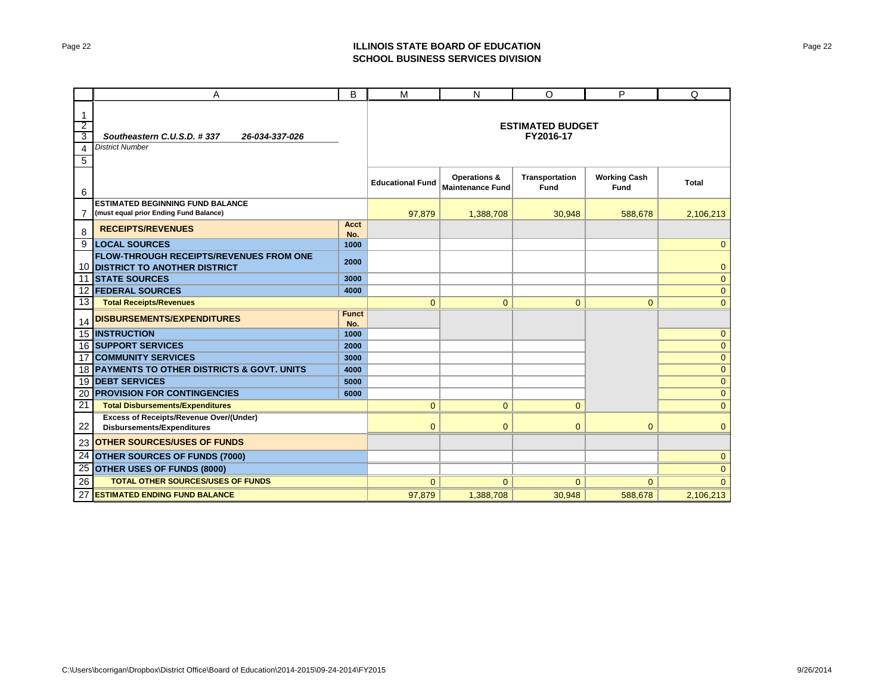### Page 22 **ILLINOIS STATE BOARD OF EDUCATION SCHOOL BUSINESS SERVICES DIVISION**

|                                                            | A                                                                                   | B                   | M                       | N                                                  | O                                    | P                                  | Q              |
|------------------------------------------------------------|-------------------------------------------------------------------------------------|---------------------|-------------------------|----------------------------------------------------|--------------------------------------|------------------------------------|----------------|
| $\mathbf{1}$<br>$\overline{2}$<br>3<br>4<br>$\overline{5}$ | Southeastern C.U.S.D. #337<br>26-034-337-026<br><b>District Number</b>              |                     |                         |                                                    | <b>ESTIMATED BUDGET</b><br>FY2016-17 |                                    |                |
| 6                                                          |                                                                                     |                     | <b>Educational Fund</b> | <b>Operations &amp;</b><br><b>Maintenance Fund</b> | Transportation<br>Fund               | <b>Working Cash</b><br><b>Fund</b> | Total          |
| 7                                                          | <b>ESTIMATED BEGINNING FUND BALANCE</b><br>(must equal prior Ending Fund Balance)   |                     | 97,879                  | 1,388,708                                          | 30,948                               | 588,678                            | 2,106,213      |
| 8                                                          | <b>RECEIPTS/REVENUES</b>                                                            | Acct<br>No.         |                         |                                                    |                                      |                                    |                |
| 9                                                          | <b>LOCAL SOURCES</b>                                                                | 1000                |                         |                                                    |                                      |                                    | $\mathbf{0}$   |
|                                                            | <b>FLOW-THROUGH RECEIPTS/REVENUES FROM ONE</b><br>10 DISTRICT TO ANOTHER DISTRICT   | 2000                |                         |                                                    |                                      |                                    | $\mathbf{0}$   |
| 11                                                         | <b>STATE SOURCES</b>                                                                | 3000                |                         |                                                    |                                      |                                    | $\overline{0}$ |
|                                                            | <b>12 FEDERAL SOURCES</b>                                                           | 4000                |                         |                                                    |                                      |                                    | $\mathbf{0}$   |
| 13                                                         | <b>Total Receipts/Revenues</b>                                                      |                     | $\overline{0}$          | $\mathbf{0}$                                       | $\overline{0}$                       | $\mathbf{0}$                       | $\mathbf{0}$   |
| 14                                                         | <b>DISBURSEMENTS/EXPENDITURES</b>                                                   | <b>Funct</b><br>No. |                         |                                                    |                                      |                                    |                |
|                                                            | 15 INSTRUCTION                                                                      | 1000                |                         |                                                    |                                      |                                    | $\mathbf{0}$   |
|                                                            | <b>16 SUPPORT SERVICES</b>                                                          | 2000                |                         |                                                    |                                      |                                    | $\mathbf{0}$   |
| 17                                                         | <b>COMMUNITY SERVICES</b>                                                           | 3000                |                         |                                                    |                                      |                                    | $\mathbf 0$    |
|                                                            | 18 PAYMENTS TO OTHER DISTRICTS & GOVT. UNITS                                        | 4000                |                         |                                                    |                                      |                                    | $\mathbf{0}$   |
| 19                                                         | <b>DEBT SERVICES</b>                                                                | 5000                |                         |                                                    |                                      |                                    | $\mathbf{0}$   |
| 20                                                         | <b>PROVISION FOR CONTINGENCIES</b>                                                  | 6000                |                         |                                                    |                                      |                                    | $\mathbf{0}$   |
| 21                                                         | <b>Total Disbursements/Expenditures</b>                                             |                     | $\overline{0}$          | $\overline{0}$                                     | $\overline{0}$                       |                                    | $\overline{0}$ |
| 22                                                         | <b>Excess of Receipts/Revenue Over/(Under)</b><br><b>Disbursements/Expenditures</b> |                     | $\Omega$                | $\mathbf{0}$                                       | $\Omega$                             | $\Omega$                           | $\mathbf{0}$   |
| 23                                                         | <b>OTHER SOURCES/USES OF FUNDS</b>                                                  |                     |                         |                                                    |                                      |                                    |                |
|                                                            | 24 OTHER SOURCES OF FUNDS (7000)                                                    |                     |                         |                                                    |                                      |                                    | $\mathbf{0}$   |
| 25                                                         | <b>OTHER USES OF FUNDS (8000)</b>                                                   |                     |                         |                                                    |                                      |                                    | $\mathbf{0}$   |
| 26                                                         | <b>TOTAL OTHER SOURCES/USES OF FUNDS</b>                                            |                     | $\Omega$                | $\mathbf{0}$                                       | $\mathbf{0}$                         | $\mathbf{0}$                       | $\Omega$       |
| 27                                                         | <b>ESTIMATED ENDING FUND BALANCE</b>                                                |                     | 97,879                  | 1,388,708                                          | 30,948                               | 588,678                            | 2,106,213      |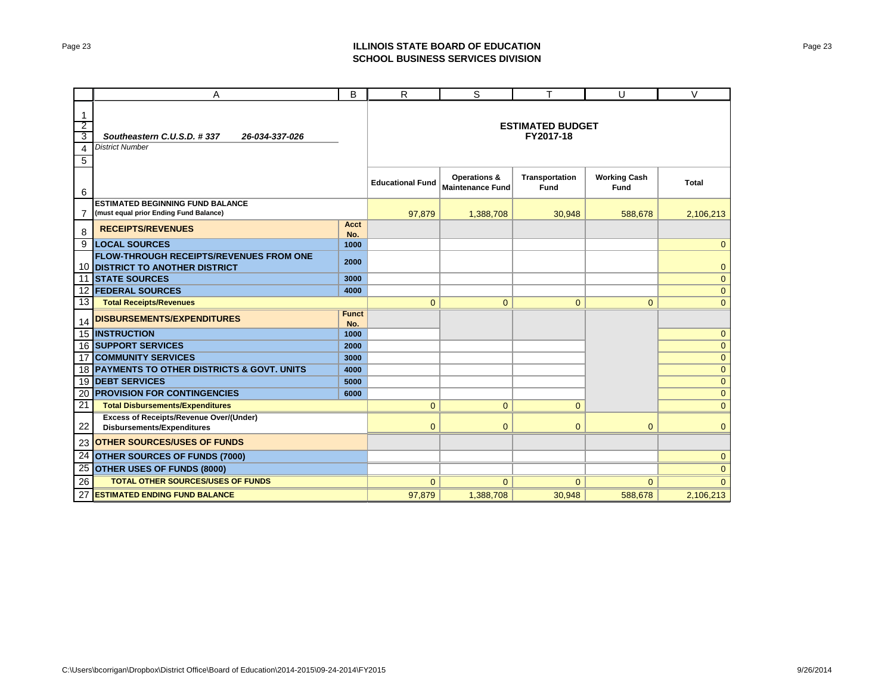### Page 23 **ILLINOIS STATE BOARD OF EDUCATION SCHOOL BUSINESS SERVICES DIVISION**

|                                    | Α                                                                                   | B                   | R                       | S                                                  | т                             | U                                  | $\vee$       |
|------------------------------------|-------------------------------------------------------------------------------------|---------------------|-------------------------|----------------------------------------------------|-------------------------------|------------------------------------|--------------|
| 1<br>$\overline{2}$<br>3<br>4<br>5 | Southeastern C.U.S.D. #337<br>26-034-337-026<br><b>District Number</b>              |                     |                         | <b>ESTIMATED BUDGET</b><br>FY2017-18               |                               |                                    |              |
| 6                                  |                                                                                     |                     | <b>Educational Fund</b> | <b>Operations &amp;</b><br><b>Maintenance Fund</b> | Transportation<br><b>Fund</b> | <b>Working Cash</b><br><b>Fund</b> | <b>Total</b> |
| 7                                  | <b>ESTIMATED BEGINNING FUND BALANCE</b><br>(must equal prior Ending Fund Balance)   |                     | 97,879                  | 1,388,708                                          | 30.948                        | 588.678                            | 2,106,213    |
| 8                                  | <b>RECEIPTS/REVENUES</b>                                                            | Acct<br>No.         |                         |                                                    |                               |                                    |              |
| 9                                  | <b>LOCAL SOURCES</b>                                                                | 1000                |                         |                                                    |                               |                                    | $\Omega$     |
|                                    | <b>FLOW-THROUGH RECEIPTS/REVENUES FROM ONE</b><br>10 DISTRICT TO ANOTHER DISTRICT   | 2000                |                         |                                                    |                               |                                    | $\mathbf{0}$ |
| 11                                 | <b>ISTATE SOURCES</b>                                                               | 3000                |                         |                                                    |                               |                                    | $\mathbf{0}$ |
|                                    | <b>12 FEDERAL SOURCES</b>                                                           | 4000                |                         |                                                    |                               |                                    | $\mathbf{0}$ |
| 13                                 | <b>Total Receipts/Revenues</b>                                                      |                     | $\Omega$                | $\overline{0}$                                     | $\overline{0}$                | $\mathbf{0}$                       | $\mathbf{0}$ |
| 14                                 | <b>DISBURSEMENTS/EXPENDITURES</b>                                                   | <b>Funct</b><br>No. |                         |                                                    |                               |                                    |              |
|                                    | 15 INSTRUCTION                                                                      | 1000                |                         |                                                    |                               |                                    | $\mathbf{0}$ |
|                                    | <b>16 SUPPORT SERVICES</b>                                                          | 2000                |                         |                                                    |                               |                                    | $\mathbf{0}$ |
|                                    | <b>17 COMMUNITY SERVICES</b>                                                        | 3000                |                         |                                                    |                               |                                    | $\mathbf 0$  |
|                                    | 18 PAYMENTS TO OTHER DISTRICTS & GOVT. UNITS                                        | 4000                |                         |                                                    |                               |                                    | $\mathbf 0$  |
| 19                                 | <b>IDEBT SERVICES</b>                                                               | 5000                |                         |                                                    |                               |                                    | $\mathbf{0}$ |
| 20                                 | <b>PROVISION FOR CONTINGENCIES</b>                                                  | 6000                |                         |                                                    |                               |                                    | $\mathbf{0}$ |
| 21                                 | <b>Total Disbursements/Expenditures</b>                                             |                     | $\overline{0}$          | $\overline{0}$                                     | $\overline{0}$                |                                    | $\mathbf{0}$ |
| 22                                 | <b>Excess of Receipts/Revenue Over/(Under)</b><br><b>Disbursements/Expenditures</b> |                     | $\overline{0}$          | $\overline{0}$                                     | 0                             | $\overline{0}$                     | $\mathbf{0}$ |
| 23                                 | <b>OTHER SOURCES/USES OF FUNDS</b>                                                  |                     |                         |                                                    |                               |                                    |              |
| 24                                 | <b>OTHER SOURCES OF FUNDS (7000)</b>                                                |                     |                         |                                                    |                               |                                    | $\mathbf{0}$ |
| 25                                 | <b>OTHER USES OF FUNDS (8000)</b>                                                   |                     |                         |                                                    |                               |                                    | $\mathbf{0}$ |
| 26                                 | <b>TOTAL OTHER SOURCES/USES OF FUNDS</b>                                            |                     | $\Omega$                | $\mathbf{0}$                                       | $\Omega$                      | $\mathbf{0}$                       | $\Omega$     |
| 27                                 | <b>ESTIMATED ENDING FUND BALANCE</b>                                                |                     | 97,879                  | 1,388,708                                          | 30,948                        | 588,678                            | 2,106,213    |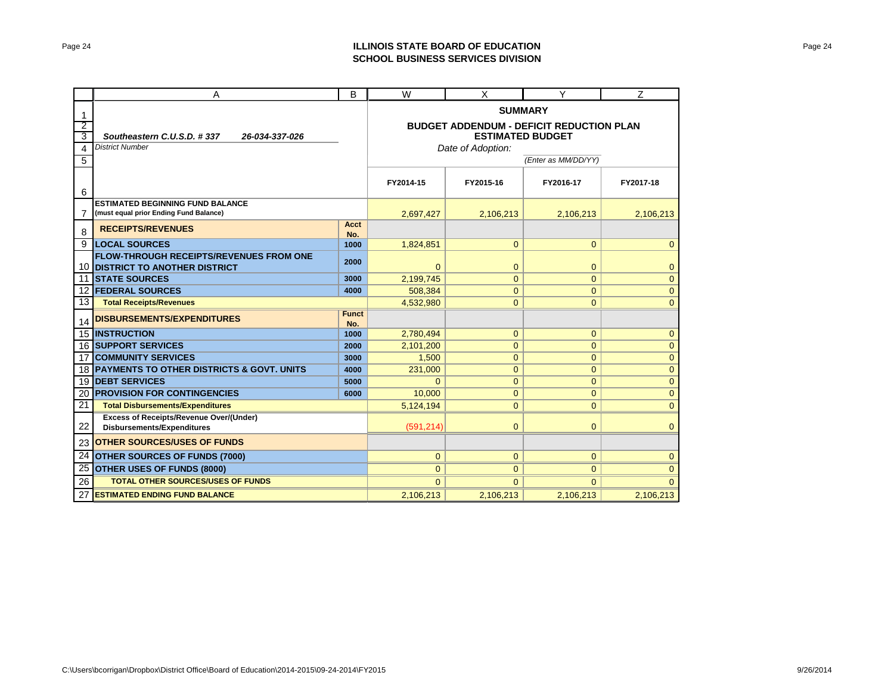### Page 24 **ILLINOIS STATE BOARD OF EDUCATION SCHOOL BUSINESS SERVICES DIVISION**

|                 | Α                                                                                   |                                                                            | W                 | X              | Υ            | Z            |  |
|-----------------|-------------------------------------------------------------------------------------|----------------------------------------------------------------------------|-------------------|----------------|--------------|--------------|--|
| 1               |                                                                                     | <b>SUMMARY</b>                                                             |                   |                |              |              |  |
| $\overline{2}$  |                                                                                     | <b>BUDGET ADDENDUM - DEFICIT REDUCTION PLAN</b><br><b>ESTIMATED BUDGET</b> |                   |                |              |              |  |
| 3               | Southeastern C.U.S.D. #337<br>26-034-337-026                                        |                                                                            |                   |                |              |              |  |
| 4               | <b>District Number</b>                                                              |                                                                            | Date of Adoption: |                |              |              |  |
| 5               |                                                                                     | (Enter as MM/DD/YY)                                                        |                   |                |              |              |  |
| 6               |                                                                                     |                                                                            | FY2014-15         | FY2015-16      | FY2016-17    | FY2017-18    |  |
| $\overline{7}$  | <b>ESTIMATED BEGINNING FUND BALANCE</b><br>(must equal prior Ending Fund Balance)   | 2,697,427                                                                  | 2,106,213         | 2,106,213      | 2,106,213    |              |  |
| 8               | <b>RECEIPTS/REVENUES</b>                                                            | <b>Acct</b>                                                                |                   |                |              |              |  |
| 9               | <b>LOCAL SOURCES</b>                                                                | No.<br>1000                                                                | 1,824,851         | $\mathbf{0}$   | $\mathbf{0}$ | $\mathbf{0}$ |  |
|                 | <b>FLOW-THROUGH RECEIPTS/REVENUES FROM ONE</b>                                      |                                                                            |                   |                |              |              |  |
|                 | <b>10 DISTRICT TO ANOTHER DISTRICT</b>                                              | 2000                                                                       | $\overline{0}$    | $\mathbf{0}$   | $\mathbf{0}$ | $\mathbf{0}$ |  |
| 11              | <b>STATE SOURCES</b>                                                                | 3000                                                                       | 2,199,745         | $\mathbf 0$    | $\mathbf{0}$ | $\mathbf{0}$ |  |
|                 | <b>12 FEDERAL SOURCES</b>                                                           | 4000                                                                       | 508,384           | $\mathbf{0}$   | $\mathbf{0}$ | $\mathbf{0}$ |  |
| 13              | <b>Total Receipts/Revenues</b>                                                      |                                                                            | 4,532,980         | $\mathbf{0}$   | $\mathbf{0}$ | $\mathbf{0}$ |  |
| 14              | <b>DISBURSEMENTS/EXPENDITURES</b>                                                   | <b>Funct</b><br>No.                                                        |                   |                |              |              |  |
|                 | <b>15 IINSTRUCTION</b>                                                              | 1000                                                                       | 2,780,494         | $\mathbf 0$    | $\mathbf{0}$ | $\mathbf{0}$ |  |
|                 | <b>16 SUPPORT SERVICES</b>                                                          | 2000                                                                       | 2,101,200         | $\mathbf{0}$   | $\mathbf{0}$ | $\mathbf{0}$ |  |
| 17              | <b>COMMUNITY SERVICES</b>                                                           | 3000                                                                       | 1,500             | $\mathbf 0$    | $\mathbf{0}$ | $\mathbf{0}$ |  |
|                 | <b>18 PAYMENTS TO OTHER DISTRICTS &amp; GOVT. UNITS</b>                             | 4000                                                                       | 231,000           | $\mathbf{0}$   | $\mathbf{0}$ | $\mathbf{0}$ |  |
| 19              | <b>IDEBT SERVICES</b>                                                               | 5000                                                                       | $\Omega$          | $\mathbf{0}$   | $\mathbf{0}$ | $\mathbf{0}$ |  |
| 20              | <b>PROVISION FOR CONTINGENCIES</b>                                                  | 6000                                                                       | 10.000            | $\mathbf{0}$   | $\mathbf{0}$ | $\mathbf{0}$ |  |
| $\overline{21}$ | <b>Total Disbursements/Expenditures</b>                                             |                                                                            | 5.124.194         | $\mathbf{0}$   | $\Omega$     | $\mathbf{0}$ |  |
| 22              | <b>Excess of Receipts/Revenue Over/(Under)</b><br><b>Disbursements/Expenditures</b> |                                                                            | (591, 214)        | $\overline{0}$ | $\mathbf{0}$ | $\mathbf{0}$ |  |
| 23              | <b>OTHER SOURCES/USES OF FUNDS</b>                                                  |                                                                            |                   |                |              |              |  |
| 24              | <b>OTHER SOURCES OF FUNDS (7000)</b>                                                |                                                                            | $\overline{0}$    | $\mathbf{0}$   | $\mathbf{0}$ | $\mathbf{0}$ |  |
| 25              | OTHER USES OF FUNDS (8000)                                                          |                                                                            | $\overline{0}$    | $\mathbf{0}$   | $\mathbf{0}$ | $\mathbf{0}$ |  |
| 26              | <b>TOTAL OTHER SOURCES/USES OF FUNDS</b>                                            |                                                                            | $\Omega$          | $\Omega$       | $\Omega$     | $\Omega$     |  |
| 27              | <b>ESTIMATED ENDING FUND BALANCE</b>                                                |                                                                            | 2,106,213         | 2,106,213      | 2,106,213    | 2,106,213    |  |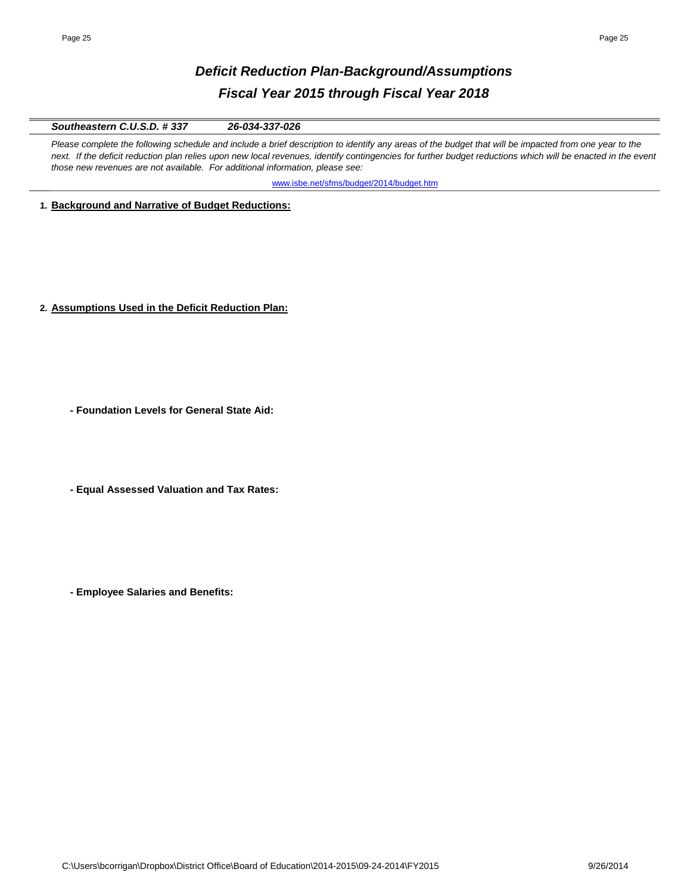# *Deficit Reduction Plan-Background/Assumptions Fiscal Year 2015 through Fiscal Year 2018*

### *Southeastern C.U.S.D. # 337 26-034-337-026*

Please complete the following schedule and include a brief description to identify any areas of the budget that will be impacted from one year to the next. If the deficit reduction plan relies upon new local revenues, identify contingencies for further budget reductions which will be enacted in the event *those new revenues are not available. For additional information, please see:* 

[www.isbe.net/sfms/budget/2014/budget.htm](http://www.isbe.net/sfms/budget/2014/budget.htm)

**1. Background and Narrative of Budget Reductions:**

**2. Assumptions Used in the Deficit Reduction Plan:**

**- Foundation Levels for General State Aid:**

**- Equal Assessed Valuation and Tax Rates:**

**- Employee Salaries and Benefits:**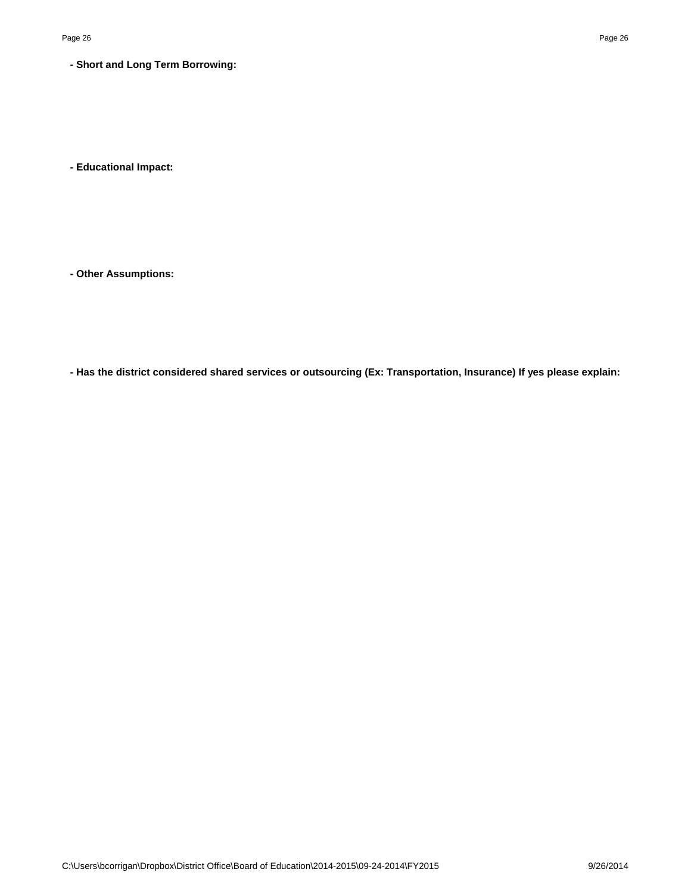**- Short and Long Term Borrowing:**

**- Educational Impact:**

**- Other Assumptions:**

**- Has the district considered shared services or outsourcing (Ex: Transportation, Insurance) If yes please explain:**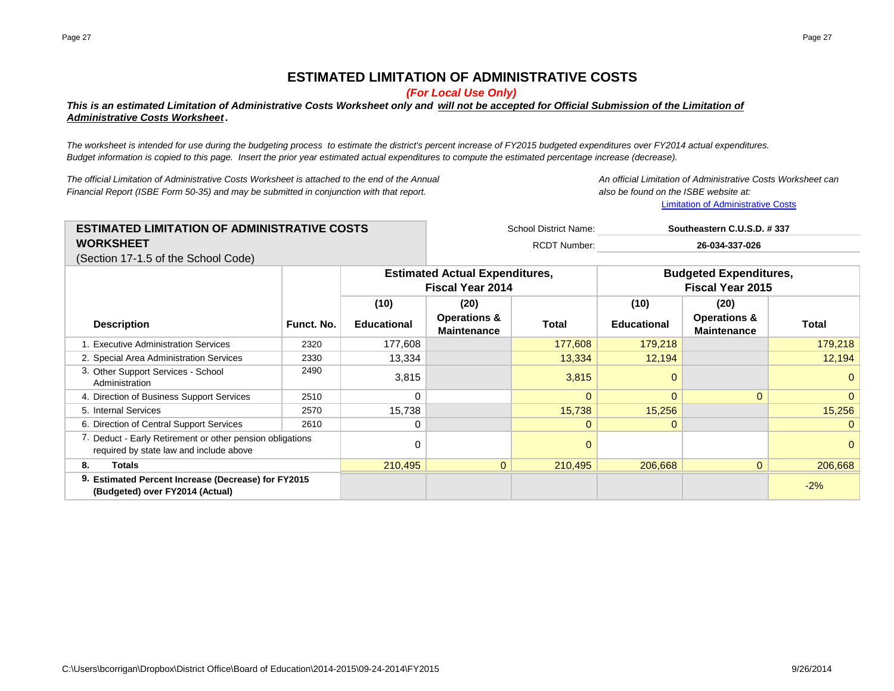## **ESTIMATED LIMITATION OF ADMINISTRATIVE COSTS**

*(For Local Use Only)*

### *This is an estimated Limitation of Administrative Costs Worksheet only and will not be accepted for Official Submission of the Limitation of Administrative Costs Worksheet .*

*The worksheet is intended for use during the budgeting process to estimate the district's percent increase of FY2015 budgeted expenditures over FY2014 actual expenditures. Budget information is copied to this page. Insert the prior year estimated actual expenditures to compute the estimated percentage increase (decrease).*

*The official Limitation of Administrative Costs Worksheet is attached to the end of the Annual An official Limitation of Administrative Costs Worksheet can Financial Report (ISBE Form 50-35) and may be submitted in conjunction with that report. also be found on the ISBE website at:*

[Limitation of Administrative Costs](http://www.isbe.net/sfms/AdminCaps/AdminCaps.htm)

| <b>ESTIMATED LIMITATION OF ADMINISTRATIVE COSTS</b> | School District Name: | Southeastern C.U.S.D. #337 |  |
|-----------------------------------------------------|-----------------------|----------------------------|--|
| <b>WORKSHEET</b>                                    | RCDT Number:          | 26-034-337-026             |  |
| (Section 17-1.5 of the School Code)                 |                       |                            |  |

|                                                                                                      |            |                    | <b>Estimated Actual Expenditures,</b><br><b>Fiscal Year 2014</b> |              | <b>Budgeted Expenditures,</b><br><b>Fiscal Year 2015</b> |                                               |                |
|------------------------------------------------------------------------------------------------------|------------|--------------------|------------------------------------------------------------------|--------------|----------------------------------------------------------|-----------------------------------------------|----------------|
|                                                                                                      |            | (10)               | (20)                                                             |              | (10)                                                     | (20)                                          |                |
| <b>Description</b>                                                                                   | Funct. No. | <b>Educational</b> | <b>Operations &amp;</b><br><b>Maintenance</b>                    | <b>Total</b> | <b>Educational</b>                                       | <b>Operations &amp;</b><br><b>Maintenance</b> | Total          |
| 1. Executive Administration Services                                                                 | 2320       | 177,608            |                                                                  | 177,608      | 179,218                                                  |                                               | 179,218        |
| 2. Special Area Administration Services                                                              | 2330       | 13,334             |                                                                  | 13,334       | 12,194                                                   |                                               | 12,194         |
| 3. Other Support Services - School<br>Administration                                                 | 2490       | 3,815              |                                                                  | 3,815        | 0                                                        |                                               | 0              |
| 4. Direction of Business Support Services                                                            | 2510       | 0                  |                                                                  | $\Omega$     | $\Omega$                                                 | $\Omega$                                      | 0              |
| 5. Internal Services                                                                                 | 2570       | 15,738             |                                                                  | 15,738       | 15,256                                                   |                                               | 15,256         |
| 6. Direction of Central Support Services                                                             | 2610       | 0                  |                                                                  | $\Omega$     | $\Omega$                                                 |                                               | $\overline{0}$ |
| 7. Deduct - Early Retirement or other pension obligations<br>required by state law and include above |            |                    |                                                                  | $\Omega$     |                                                          |                                               | $\Omega$       |
| Totals<br>8.                                                                                         |            | 210,495            | $\overline{0}$                                                   | 210,495      | 206,668                                                  | $\overline{0}$                                | 206,668        |
| 9. Estimated Percent Increase (Decrease) for FY2015<br>(Budgeted) over FY2014 (Actual)               |            |                    |                                                                  |              |                                                          |                                               | $-2%$          |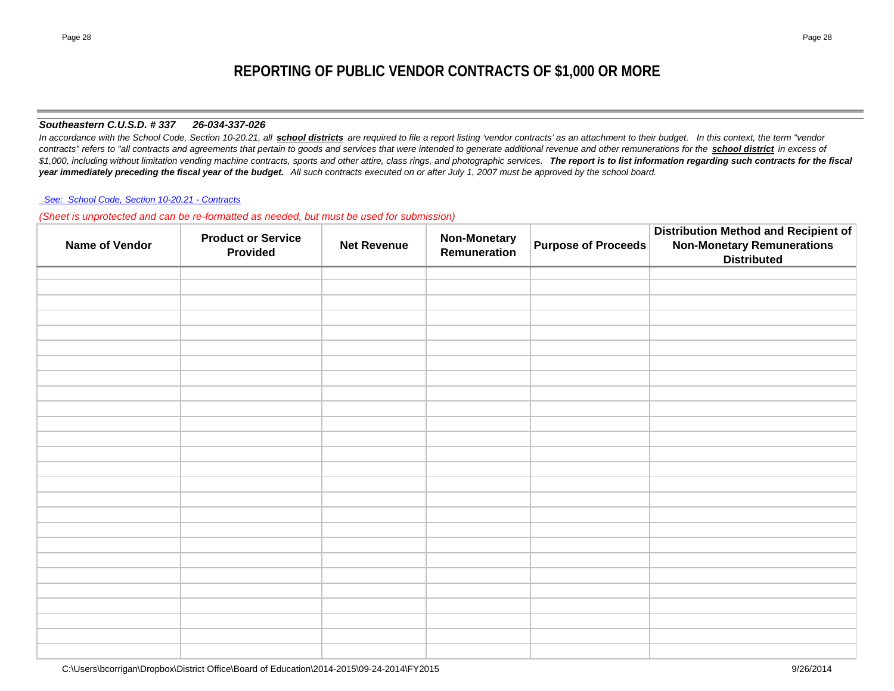### *Southeastern C.U.S.D. # 337 26-034-337-026*

In accordance with the School Code, Section 10-20.21, all **school districts** are required to file a report listing 'vendor contracts' as an attachment to their budget. In this context, the term "vendor *contracts" refers to "all contracts and agreements that pertain to goods and services that were intended to generate additional revenue and other remunerations for the school district in excess of*   $$1,000$ , including without limitation vending machine contracts, sports and other attire, class rings, and photographic services. The report is to list information regarding such contracts for the fiscal *year immediately preceding the fiscal year of the budget. All such contracts executed on or after July 1, 2007 must be approved by the school board.*

#### *[See: School Code, Section 10-20.21 - Contracts](http://www.ilga.gov/legislation/ilcs/ilcs4.asp?DocName=010500050HArt%2E+10&ActID=1005&ChapAct=105%26nbsp%3BILCS%26nbsp%3B5%2F&ChapterID=17&ChapterName=SCHOOLS&SectionID=48899&SeqStart=53200000&SeqEnd=74800000&ActName=School+Code%2E)*

*(Sheet is unprotected and can be re-formatted as needed, but must be used for submission)*

| Name of Vendor | <b>Product or Service</b><br><b>Provided</b> | <b>Net Revenue</b> | <b>Non-Monetary</b><br>Remuneration | <b>Purpose of Proceeds</b> | <b>Distribution Method and Recipient of</b><br><b>Non-Monetary Remunerations</b><br><b>Distributed</b> |
|----------------|----------------------------------------------|--------------------|-------------------------------------|----------------------------|--------------------------------------------------------------------------------------------------------|
|                |                                              |                    |                                     |                            |                                                                                                        |
|                |                                              |                    |                                     |                            |                                                                                                        |
|                |                                              |                    |                                     |                            |                                                                                                        |
|                |                                              |                    |                                     |                            |                                                                                                        |
|                |                                              |                    |                                     |                            |                                                                                                        |
|                |                                              |                    |                                     |                            |                                                                                                        |
|                |                                              |                    |                                     |                            |                                                                                                        |
|                |                                              |                    |                                     |                            |                                                                                                        |
|                |                                              |                    |                                     |                            |                                                                                                        |
|                |                                              |                    |                                     |                            |                                                                                                        |
|                |                                              |                    |                                     |                            |                                                                                                        |
|                |                                              |                    |                                     |                            |                                                                                                        |
|                |                                              |                    |                                     |                            |                                                                                                        |
|                |                                              |                    |                                     |                            |                                                                                                        |
|                |                                              |                    |                                     |                            |                                                                                                        |
|                |                                              |                    |                                     |                            |                                                                                                        |
|                |                                              |                    |                                     |                            |                                                                                                        |
|                |                                              |                    |                                     |                            |                                                                                                        |
|                |                                              |                    |                                     |                            |                                                                                                        |
|                |                                              |                    |                                     |                            |                                                                                                        |
|                |                                              |                    |                                     |                            |                                                                                                        |
|                |                                              |                    |                                     |                            |                                                                                                        |
|                |                                              |                    |                                     |                            |                                                                                                        |
|                |                                              |                    |                                     |                            |                                                                                                        |
|                |                                              |                    |                                     |                            |                                                                                                        |
|                |                                              |                    |                                     |                            |                                                                                                        |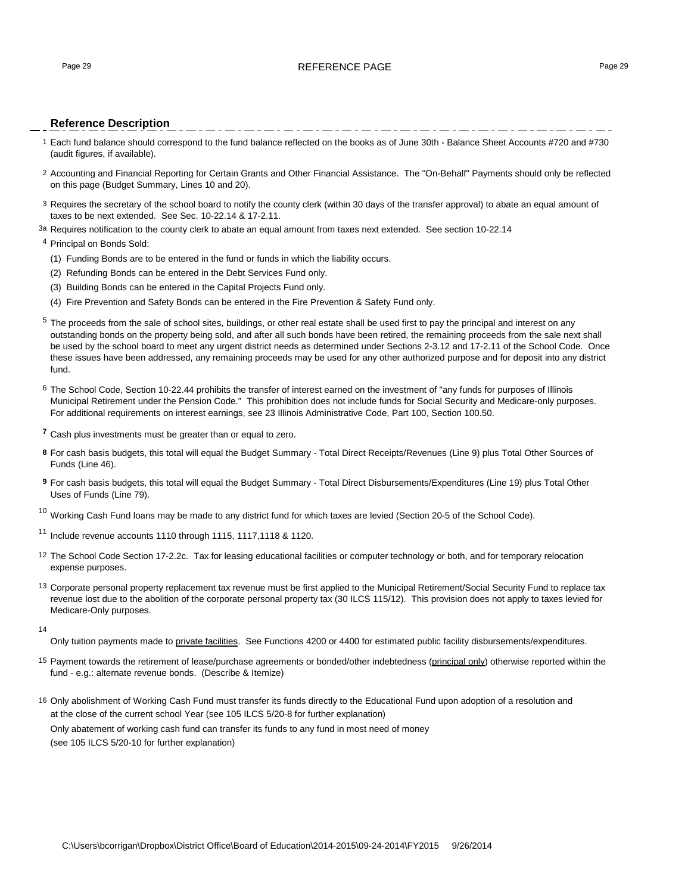#### Page 29 REFERENCE PAGE Page 29

#### **Reference Description**

- 1 Each fund balance should correspond to the fund balance reflected on the books as of June 30th Balance Sheet Accounts #720 and #730 (audit figures, if available).
- 2 Accounting and Financial Reporting for Certain Grants and Other Financial Assistance. The "On-Behalf" Payments should only be reflected on this page (Budget Summary, Lines 10 and 20).
- 3 Requires the secretary of the school board to notify the county clerk (within 30 days of the transfer approval) to abate an equal amount of taxes to be next extended. See Sec. 10-22.14 & 17-2.11.
- 3a Requires notification to the county clerk to abate an equal amount from taxes next extended. See section 10-22.14

#### <sup>4</sup> Principal on Bonds Sold:

- (1) Funding Bonds are to be entered in the fund or funds in which the liability occurs.
- (2) Refunding Bonds can be entered in the Debt Services Fund only.
- (3) Building Bonds can be entered in the Capital Projects Fund only.
- (4) Fire Prevention and Safety Bonds can be entered in the Fire Prevention & Safety Fund only.
- <sup>5</sup> The proceeds from the sale of school sites, buildings, or other real estate shall be used first to pay the principal and interest on any outstanding bonds on the property being sold, and after all such bonds have been retired, the remaining proceeds from the sale next shall be used by the school board to meet any urgent district needs as determined under Sections 2-3.12 and 17-2.11 of the School Code. Once these issues have been addressed, any remaining proceeds may be used for any other authorized purpose and for deposit into any district fund.
- 6 The School Code, Section 10-22.44 prohibits the transfer of interest earned on the investment of "any funds for purposes of Illinois Municipal Retirement under the Pension Code." This prohibition does not include funds for Social Security and Medicare-only purposes. For additional requirements on interest earnings, see 23 Illinois Administrative Code, Part 100, Section 100.50.
- **<sup>7</sup>** Cash plus investments must be greater than or equal to zero.
- **8** For cash basis budgets, this total will equal the Budget Summary Total Direct Receipts/Revenues (Line 9) plus Total Other Sources of Funds (Line 46).
- **9** For cash basis budgets, this total will equal the Budget Summary Total Direct Disbursements/Expenditures (Line 19) plus Total Other Uses of Funds (Line 79).

 $10$  Working Cash Fund loans may be made to any district fund for which taxes are levied (Section 20-5 of the School Code).

<sup>11</sup> Include revenue accounts 1110 through 1115, 1117,1118 & 1120.

- 12 The School Code Section 17-2.2c. Tax for leasing educational facilities or computer technology or both, and for temporary relocation expense purposes.
- <sup>13</sup> Corporate personal property replacement tax revenue must be first applied to the Municipal Retirement/Social Security Fund to replace tax revenue lost due to the abolition of the corporate personal property tax (30 ILCS 115/12). This provision does not apply to taxes levied for Medicare-Only purposes.
- 14

Only tuition payments made to private facilities. See Functions 4200 or 4400 for estimated public facility disbursements/expenditures.

- 15 Payment towards the retirement of lease/purchase agreements or bonded/other indebtedness (principal only) otherwise reported within the fund - e.g.: alternate revenue bonds. (Describe & Itemize)
- 16 Only abolishment of Working Cash Fund must transfer its funds directly to the Educational Fund upon adoption of a resolution and at the close of the current school Year (see 105 ILCS 5/20-8 for further explanation) Only abatement of working cash fund can transfer its funds to any fund in most need of money

(see 105 ILCS 5/20-10 for further explanation)